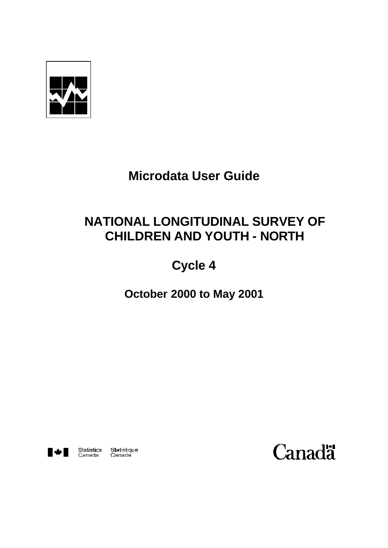

# **Microdata User Guide**

# **NATIONAL LONGITUDINAL SURVEY OF CHILDREN AND YOUTH - NORTH**

# **Cycle 4**

**October 2000 to May 2001**



Statistics Statistique<br>Canada Canada

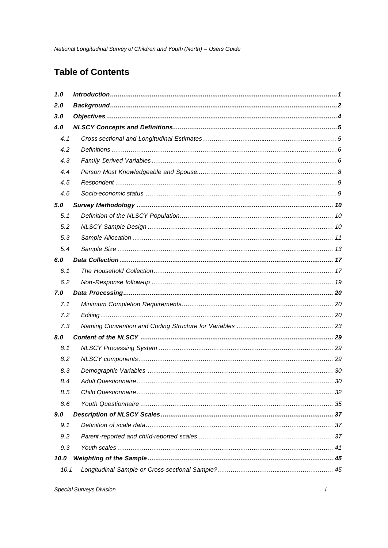# **Table of Contents**

| 1.0  |    |
|------|----|
| 2.0  |    |
| 3.0  |    |
| 4.0  |    |
| 4.1  |    |
| 4.2  |    |
| 4.3  |    |
| 4.4  |    |
| 4.5  |    |
| 4.6  |    |
| 5.0  |    |
| 5.1  |    |
| 5.2  |    |
| 5.3  |    |
| 5.4  |    |
| 6.0  |    |
| 6.1  |    |
| 6.2  |    |
| 7.0  |    |
| 7.1  |    |
| 7.2  |    |
| 7.3  |    |
| 8.0  |    |
| 8.1  |    |
| 8.2  |    |
| 8.3  |    |
| 8.4  | 30 |
| 8.5  |    |
| 8.6  |    |
| 9.0  |    |
| 9.1  |    |
| 9.2  |    |
| 9.3  |    |
| 10.0 |    |
| 10.1 |    |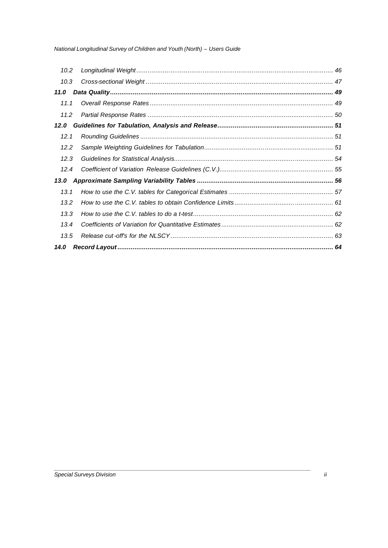| 10.2 |  |
|------|--|
| 10.3 |  |
| 11.0 |  |
| 11.1 |  |
| 11.2 |  |
| 12.0 |  |
| 12.1 |  |
| 12.2 |  |
| 12.3 |  |
| 12.4 |  |
| 13.0 |  |
| 13.1 |  |
| 13.2 |  |
| 13.3 |  |
| 13.4 |  |
| 13.5 |  |
| 14.0 |  |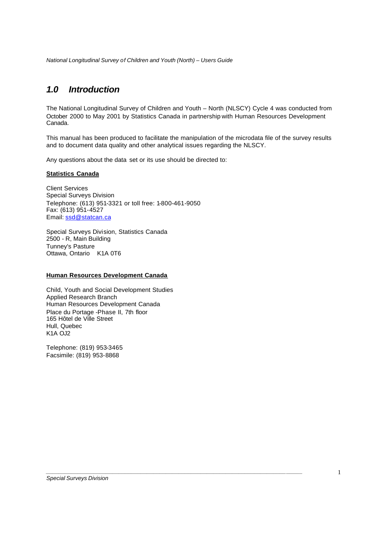### *1.0 Introduction*

The National Longitudinal Survey of Children and Youth – North (NLSCY) Cycle 4 was conducted from October 2000 to May 2001 by Statistics Canada in partnership with Human Resources Development Canada.

This manual has been produced to facilitate the manipulation of the microdata file of the survey results and to document data quality and other analytical issues regarding the NLSCY.

*\_\_\_\_\_\_\_\_\_\_\_\_\_\_\_\_\_\_\_\_\_\_\_\_\_\_\_\_\_\_\_\_\_\_\_\_\_\_\_\_\_\_\_\_\_\_\_\_\_\_\_\_\_\_\_\_\_\_\_\_\_\_\_\_\_\_\_\_\_\_\_\_\_\_\_\_\_\_\_\_\_*

Any questions about the data set or its use should be directed to:

#### **Statistics Canada**

Client Services Special Surveys Division Telephone: (613) 951-3321 or toll free: 1-800-461-9050 Fax: (613) 951-4527 Email: ssd@statcan.ca

Special Surveys Division, Statistics Canada 2500 - R, Main Building Tunney's Pasture Ottawa, Ontario K1A 0T6

#### **Human Resources Development Canada**

Child, Youth and Social Development Studies Applied Research Branch Human Resources Development Canada Place du Portage -Phase II, 7th floor 165 Hôtel de Ville Street Hull, Quebec K1A OJ2

Telephone: (819) 953-3465 Facsimile: (819) 953-8868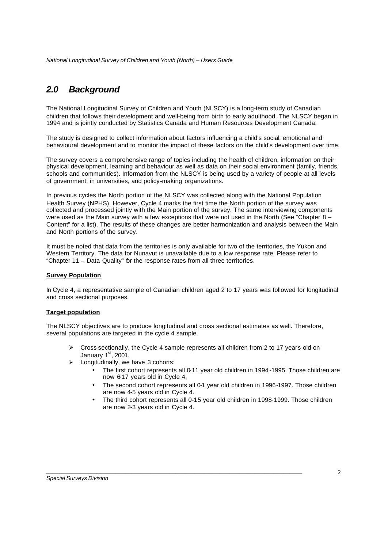# *2.0 Background*

The National Longitudinal Survey of Children and Youth (NLSCY) is a long-term study of Canadian children that follows their development and well-being from birth to early adulthood. The NLSCY began in 1994 and is jointly conducted by Statistics Canada and Human Resources Development Canada.

The study is designed to collect information about factors influencing a child's social, emotional and behavioural development and to monitor the impact of these factors on the child's development over time.

The survey covers a comprehensive range of topics including the health of children, information on their physical development, learning and behaviour as well as data on their social environment (family, friends, schools and communities). Information from the NLSCY is being used by a variety of people at all levels of government, in universities, and policy-making organizations.

In previous cycles the North portion of the NLSCY was collected along with the National Population Health Survey (NPHS). However, Cycle 4 marks the first time the North portion of the survey was collected and processed jointly with the Main portion of the survey. The same interviewing components were used as the Main survey with a few exceptions that were not used in the North (See "Chapter  $8 -$ Content" for a list). The results of these changes are better harmonization and analysis between the Main and North portions of the survey.

It must be noted that data from the territories is only available for two of the territories, the Yukon and Western Territory. The data for Nunavut is unavailable due to a low response rate. Please refer to "Chapter 11 – Data Quality" for the response rates from all three territories.

#### **Survey Population**

In Cycle 4, a representative sample of Canadian children aged 2 to 17 years was followed for longitudinal and cross sectional purposes.

#### **Target population**

The NLSCY objectives are to produce longitudinal and cross sectional estimates as well. Therefore, several populations are targeted in the cycle 4 sample.

- $\triangleright$  Cross-sectionally, the Cycle 4 sample represents all children from 2 to 17 years old on January  $1<sup>st</sup>$ , 2001.
- $\triangleright$  Longitudinally, we have 3 cohorts:
	- The first cohort represents all 0-11 year old children in 1994 -1995. Those children are now 6-17 years old in Cycle 4.
	- The second cohort represents all 0-1 year old children in 1996-1997. Those children are now 4-5 years old in Cycle 4.
	- The third cohort represents all 0-15 year old children in 1998-1999. Those children are now 2-3 years old in Cycle 4.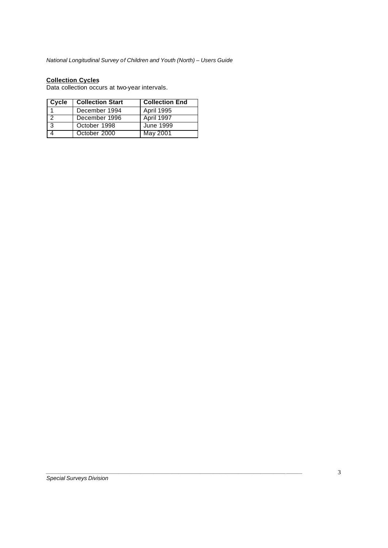#### **Collection Cycles**

Data collection occurs at two-year intervals.

| Cycle | <b>Collection Start</b> | <b>Collection End</b> |
|-------|-------------------------|-----------------------|
|       | December 1994           | <b>April 1995</b>     |
| l 2   | December 1996           | April 1997            |
| - 3   | October 1998            | June 1999             |
|       | October 2000            | May 2001              |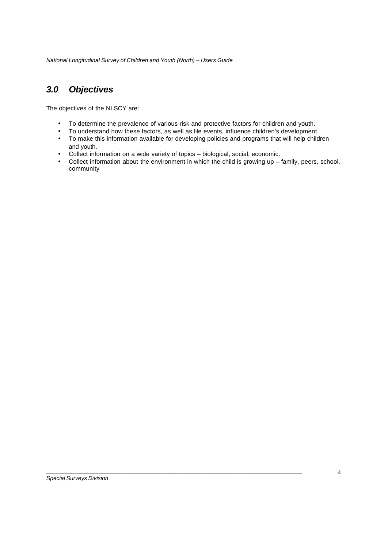# *3.0 Objectives*

The objectives of the NLSCY are:

- To determine the prevalence of various risk and protective factors for children and youth.
- To understand how these factors, as well as life events, influence children's development.
- To make this information available for developing policies and programs that will help children and youth.
- Collect information on a wide variety of topics biological, social, economic.

*\_\_\_\_\_\_\_\_\_\_\_\_\_\_\_\_\_\_\_\_\_\_\_\_\_\_\_\_\_\_\_\_\_\_\_\_\_\_\_\_\_\_\_\_\_\_\_\_\_\_\_\_\_\_\_\_\_\_\_\_\_\_\_\_\_\_\_\_\_\_\_\_\_\_\_\_\_\_\_\_\_*

• Collect information about the environment in which the child is growing up – family, peers, school, community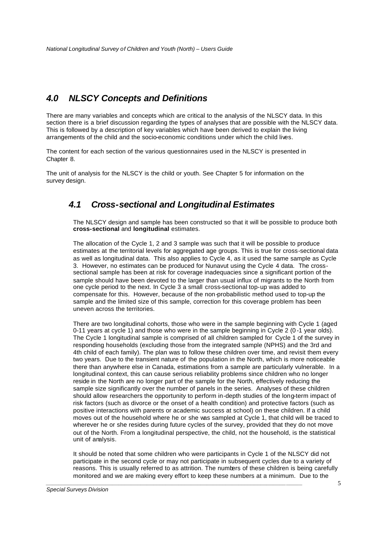### *4.0 NLSCY Concepts and Definitions*

There are many variables and concepts which are critical to the analysis of the NLSCY data. In this section there is a brief discussion regarding the types of analyses that are possible with the NLSCY data. This is followed by a description of key variables which have been derived to explain the living arrangements of the child and the socio-economic conditions under which the child lives.

The content for each section of the various questionnaires used in the NLSCY is presented in Chapter 8.

The unit of analysis for the NLSCY is the child or youth. See Chapter 5 for information on the survey design.

### *4.1 Cross-sectional and Longitudinal Estimates*

The NLSCY design and sample has been constructed so that it will be possible to produce both **cross-sectional** and **longitudinal** estimates.

The allocation of the Cycle 1, 2 and 3 sample was such that it will be possible to produce estimates at the territorial levels for aggregated age groups. This is true for cross-sectional data as well as longitudinal data. This also applies to Cycle 4, as it used the same sample as Cycle 3. However, no estimates can be produced for Nunavut using the Cycle 4 data. The crosssectional sample has been at risk for coverage inadequacies since a significant portion of the sample should have been devoted to the larger than usual influx of migrants to the North from one cycle period to the next. In Cycle 3 a small cross-sectional top-up was added to compensate for this. However, because of the non-probabilistic method used to top-up the sample and the limited size of this sample, correction for this coverage problem has been uneven across the territories.

There are two longitudinal cohorts, those who were in the sample beginning with Cycle 1 (aged 0-11 years at cycle 1) and those who were in the sample beginning in Cycle 2 (0 -1 year olds). The Cycle 1 longitudinal sample is comprised of all children sampled for Cycle 1 of the survey in responding households (excluding those from the integrated sample (NPHS) and the 3rd and 4th child of each family). The plan was to follow these children over time, and revisit them every two years. Due to the transient nature of the population in the North, which is more noticeable there than anywhere else in Canada, estimations from a sample are particularly vulnerable. In a longitudinal context, this can cause serious reliability problems since children who no longer reside in the North are no longer part of the sample for the North, effectively reducing the sample size significantly over the number of panels in the series. Analyses of these children should allow researchers the opportunity to perform in-depth studies of the long-term impact of risk factors (such as divorce or the onset of a health condition) and protective factors (such as positive interactions with parents or academic success at school) on these children. If a child moves out of the household where he or she was sampled at Cycle 1, that child will be traced to wherever he or she resides during future cycles of the survey, provided that they do not move out of the North. From a longitudinal perspective, the child, not the household, is the statistical unit of analysis.

It should be noted that some children who were participants in Cycle 1 of the NLSCY did not participate in the second cycle or may not participate in subsequent cycles due to a variety of reasons. This is usually referred to as attrition. The numbers of these children is being carefully monitored and we are making every effort to keep these numbers at a minimum. Due to the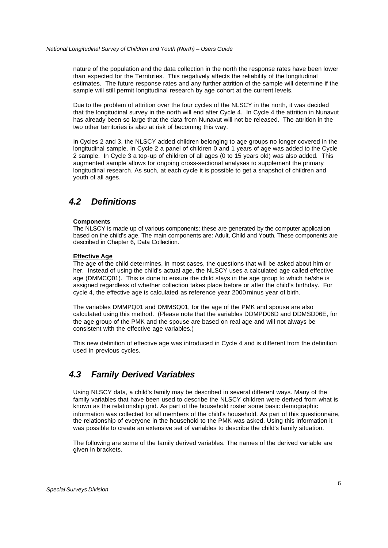nature of the population and the data collection in the north the response rates have been lower than expected for the Territories. This negatively affects the reliability of the longitudinal estimates. The future response rates and any further attrition of the sample will determine if the sample will still permit longitudinal research by age cohort at the current levels.

Due to the problem of attrition over the four cycles of the NLSCY in the north, it was decided that the longitudinal survey in the north will end after Cycle 4. In Cycle 4 the attrition in Nunavut has already been so large that the data from Nunavut will not be released. The attrition in the two other territories is also at risk of becoming this way.

In Cycles 2 and 3, the NLSCY added children belonging to age groups no longer covered in the longitudinal sample. In Cycle 2 a panel of children 0 and 1 years of age was added to the Cycle 2 sample. In Cycle 3 a top-up of children of all ages (0 to 15 years old) was also added. This augmented sample allows for ongoing cross-sectional analyses to supplement the primary longitudinal research. As such, at each cycle it is possible to get a snapshot of children and youth of all ages.

### *4.2 Definitions*

#### **Components**

The NLSCY is made up of various components; these are generated by the computer application based on the child's age. The main components are: Adult, Child and Youth. These components are described in Chapter 6, Data Collection.

#### **Effective Age**

The age of the child determines, in most cases, the questions that will be asked about him or her. Instead of using the child's actual age, the NLSCY uses a calculated age called effective age (DMMCQ01). This is done to ensure the child stays in the age group to which he/she is assigned regardless of whether collection takes place before or after the child's birthday. For cycle 4, the effective age is calculated as reference year 2000 minus year of birth.

The variables DMMPQ01 and DMMSQ01, for the age of the PMK and spouse are also calculated using this method. (Please note that the variables DDMPD06D and DDMSD06E, for the age group of the PMK and the spouse are based on real age and will not always be consistent with the effective age variables.)

This new definition of effective age was introduced in Cycle 4 and is different from the definition used in previous cycles.

# *4.3 Family Derived Variables*

Using NLSCY data, a child's family may be described in several different ways. Many of the family variables that have been used to describe the NLSCY children were derived from what is known as the relationship grid. As part of the household roster some basic demographic information was collected for all members of the child's household. As part of this questionnaire, the relationship of everyone in the household to the PMK was asked. Using this information it was possible to create an extensive set of variables to describe the child's family situation.

The following are some of the family derived variables. The names of the derived variable are given in brackets.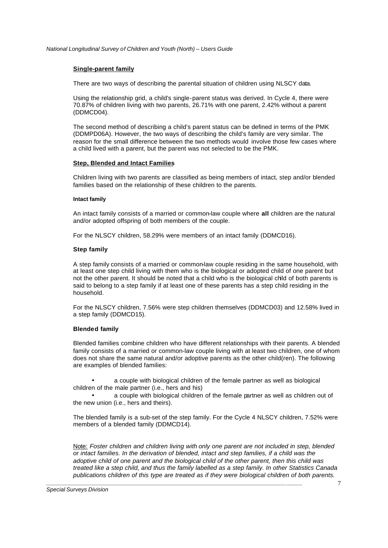#### **Single-parent family**

There are two ways of describing the parental situation of children using NLSCY data.

Using the relationship grid, a child's single-parent status was derived. In Cycle 4, there were 70.87% of children living with two parents, 26.71% with one parent, 2.42% without a parent (DDMCD04).

The second method of describing a child's parent status can be defined in terms of the PMK (DDMPD06A). However, the two ways of describing the child's family are very similar. The reason for the small difference between the two methods would involve those few cases where a child lived with a parent, but the parent was not selected to be the PMK.

#### **Step, Blended and Intact Families**

Children living with two parents are classified as being members of intact, step and/or blended families based on the relationship of these children to the parents.

#### **Intact family**

An intact family consists of a married or common-law couple where **all** children are the natural and/or adopted offspring of both members of the couple.

For the NLSCY children, 58.29% were members of an intact family (DDMCD16).

#### **Step family**

A step family consists of a married or common-law couple residing in the same household, with at least one step child living with them who is the biological or adopted child of one parent but not the other parent. It should be noted that a child who is the biological child of both parents is said to belong to a step family if at least one of these parents has a step child residing in the household.

For the NLSCY children, 7.56% were step children themselves (DDMCD03) and 12.58% lived in a step family (DDMCD15).

#### **Blended family**

Blended families combine children who have different relationships with their parents. A blended family consists of a married or common-law couple living with at least two children, one of whom does not share the same natural and/or adoptive parents as the other child(ren). The following are examples of blended families:

a couple with biological children of the female partner as well as biological children of the male partner (i.e., hers and his)

• a couple with biological children of the female partner as well as children out of the new union (i.e., hers and theirs).

The blended family is a sub-set of the step family. For the Cycle 4 NLSCY children, 7.52% were members of a blended family (DDMCD14).

Note: *Foster children and children living with only one parent are not included in step, blended or intact families. In the derivation of blended, intact and step families, if a child was the adoptive child of one parent and the biological child of the other parent, then this child was treated like a step child, and thus the family labelled as a step family. In other Statistics Canada publications children of this type are treated as if they were biological children of both parents.*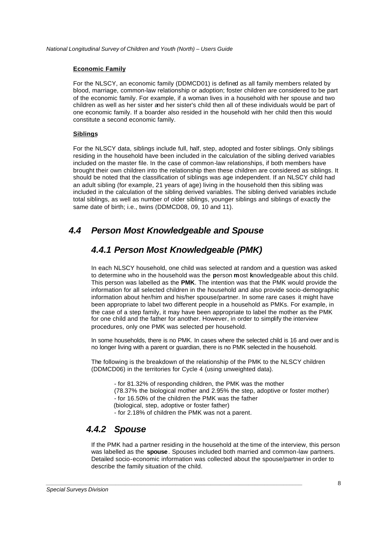#### **Economic Family**

For the NLSCY, an economic family (DDMCD01) is defined as all family members related by blood, marriage, common-law relationship or adoption; foster children are considered to be part of the economic family. For example, if a woman lives in a household with her spouse and two children as well as her sister and her sister's child then all of these individuals would be part of one economic family. If a boarder also resided in the household with her child then this would constitute a second economic family.

#### **Siblings**

For the NLSCY data, siblings include full, half, step, adopted and foster siblings. Only siblings residing in the household have been included in the calculation of the sibling derived variables included on the master file. In the case of common-law relationships, if both members have brought their own children into the relationship then these children are considered as siblings. It should be noted that the classification of siblings was age independent. If an NLSCY child had an adult sibling (for example, 21 years of age) living in the household then this sibling was included in the calculation of the sibling derived variables. The sibling derived variables include total siblings, as well as number of older siblings, younger siblings and siblings of exactly the same date of birth; i.e., twins (DDMCD08, 09, 10 and 11).

# *4.4 Person Most Knowledgeable and Spouse*

# *4.4.1 Person Most Knowledgeable (PMK)*

In each NLSCY household, one child was selected at random and a question was asked to determine who in the household was the **p**erson **m**ost **k**nowledgeable about this child. This person was labelled as the **PMK**. The intention was that the PMK would provide the information for all selected children in the household and also provide socio-demographic information about her/him and his/her spouse/partner. In some rare cases it might have been appropriate to label two different people in a household as PMKs. For example, in the case of a step family, it may have been appropriate to label the mother as the PMK for one child and the father for another. However, in order to simplify the interview procedures, only one PMK was selected per household.

In some households, there is no PMK. In cases where the selected child is 16 and over and is no longer living with a parent or guardian, there is no PMK selected in the household.

The following is the breakdown of the relationship of the PMK to the NLSCY children (DDMCD06) in the territories for Cycle 4 (using unweighted data).

- for 81.32% of responding children, the PMK was the mother (78.37% the biological mother and 2.95% the step, adoptive or foster mother) - for 16.50% of the children the PMK was the father (biological, step, adoptive or foster father)

- for 2.18% of children the PMK was not a parent.

*\_\_\_\_\_\_\_\_\_\_\_\_\_\_\_\_\_\_\_\_\_\_\_\_\_\_\_\_\_\_\_\_\_\_\_\_\_\_\_\_\_\_\_\_\_\_\_\_\_\_\_\_\_\_\_\_\_\_\_\_\_\_\_\_\_\_\_\_\_\_\_\_\_\_\_\_\_\_\_\_\_*

### *4.4.2 Spouse*

If the PMK had a partner residing in the household at the time of the interview, this person was labelled as the **spouse**. Spouses included both married and common-law partners. Detailed socio-economic information was collected about the spouse/partner in order to describe the family situation of the child.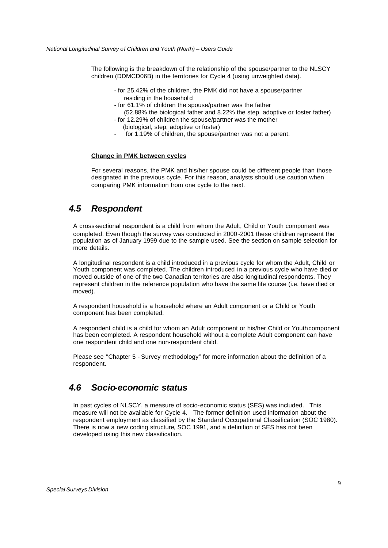The following is the breakdown of the relationship of the spouse/partner to the NLSCY children (DDMCD06B) in the territories for Cycle 4 (using unweighted data).

- for 25.42% of the children, the PMK did not have a spouse/partner residing in the househol d
- for 61.1% of children the spouse/partner was the father
- (52.88% the biological father and 8.22% the step, adoptive or foster father) - for 12.29% of children the spouse/partner was the mother
- (biological, step, adoptive or foster)
- for 1.19% of children, the spouse/partner was not a parent.

#### **Change in PMK between cycles**

For several reasons, the PMK and his/her spouse could be different people than those designated in the previous cycle. For this reason, analysts should use caution when comparing PMK information from one cycle to the next.

### *4.5 Respondent*

A cross-sectional respondent is a child from whom the Adult, Child or Youth component was completed. Even though the survey was conducted in 2000 -2001 these children represent the population as of January 1999 due to the sample used. See the section on sample selection for more details.

A longitudinal respondent is a child introduced in a previous cycle for whom the Adult, Child or Youth component was completed. The children introduced in a previous cycle who have died or moved outside of one of the two Canadian territories are also longitudinal respondents. They represent children in the reference population who have the same life course (i.e. have died or moved).

A respondent household is a household where an Adult component or a Child or Youth component has been completed.

A respondent child is a child for whom an Adult component or his/her Child or Youthcomponent has been completed. A respondent household without a complete Adult component can have one respondent child and one non-respondent child.

Please see "Chapter 5 - Survey methodology" for more information about the definition of a respondent.

# *4.6 Socio-economic status*

In past cycles of NLSCY, a measure of socio-economic status (SES) was included. This measure will not be available for Cycle 4. The former definition used information about the respondent employment as classified by the Standard Occupational Classification (SOC 1980). There is now a new coding structure, SOC 1991, and a definition of SES has not been developed using this new classification.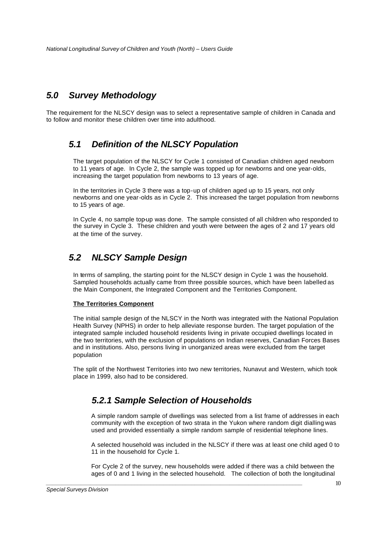# *5.0 Survey Methodology*

The requirement for the NLSCY design was to select a representative sample of children in Canada and to follow and monitor these children over time into adulthood.

# *5.1 Definition of the NLSCY Population*

The target population of the NLSCY for Cycle 1 consisted of Canadian children aged newborn to 11 years of age. In Cycle 2, the sample was topped up for newborns and one year-olds, increasing the target population from newborns to 13 years of age.

In the territories in Cycle 3 there was a top-up of children aged up to 15 years, not only newborns and one year-olds as in Cycle 2. This increased the target population from newborns to 15 years of age.

In Cycle 4, no sample top-up was done. The sample consisted of all children who responded to the survey in Cycle 3. These children and youth were between the ages of 2 and 17 years old at the time of the survey.

# *5.2 NLSCY Sample Design*

In terms of sampling, the starting point for the NLSCY design in Cycle 1 was the household. Sampled households actually came from three possible sources, which have been labelled as the Main Component, the Integrated Component and the Territories Component.

#### **The Territories Component**

The initial sample design of the NLSCY in the North was integrated with the National Population Health Survey (NPHS) in order to help alleviate response burden. The target population of the integrated sample included household residents living in private occupied dwellings located in the two territories, with the exclusion of populations on Indian reserves, Canadian Forces Bases and in institutions. Also, persons living in unorganized areas were excluded from the target population

The split of the Northwest Territories into two new territories, Nunavut and Western, which took place in 1999, also had to be considered.

# *5.2.1 Sample Selection of Households*

*\_\_\_\_\_\_\_\_\_\_\_\_\_\_\_\_\_\_\_\_\_\_\_\_\_\_\_\_\_\_\_\_\_\_\_\_\_\_\_\_\_\_\_\_\_\_\_\_\_\_\_\_\_\_\_\_\_\_\_\_\_\_\_\_\_\_\_\_\_\_\_\_\_\_\_\_\_\_\_\_\_*

A simple random sample of dwellings was selected from a list frame of addresses in each community with the exception of two strata in the Yukon where random digit dialling was used and provided essentially a simple random sample of residential telephone lines.

A selected household was included in the NLSCY if there was at least one child aged 0 to 11 in the household for Cycle 1.

For Cycle 2 of the survey, new households were added if there was a child between the ages of 0 and 1 living in the selected household. The collection of both the longitudinal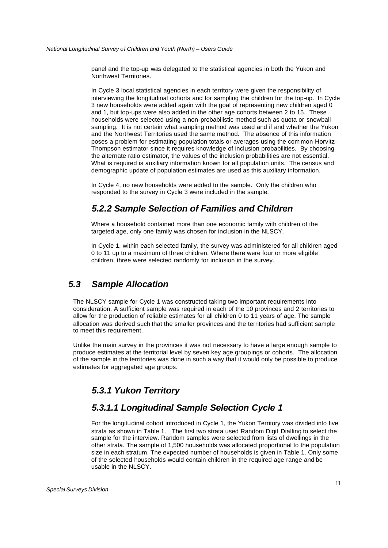panel and the top-up was delegated to the statistical agencies in both the Yukon and Northwest Territories.

In Cycle 3 local statistical agencies in each territory were given the responsibility of interviewing the longitudinal cohorts and for sampling the children for the top-up. In Cycle 3 new households were added again with the goal of representing new children aged 0 and 1, but top-ups were also added in the other age cohorts between 2 to 15. These households were selected using a non-probabilistic method such as quota or snowball sampling. It is not certain what sampling method was used and if and whether the Yukon and the Northwest Territories used the same method. The absence of this information poses a problem for estimating population totals or averages using the com mon Horvitz-Thompson estimator since it requires knowledge of inclusion probabilities. By choosing the alternate ratio estimator, the values of the inclusion probabilities are not essential. What is required is auxiliary information known for all population units. The census and demographic update of population estimates are used as this auxiliary information.

In Cycle 4, no new households were added to the sample. Only the children who responded to the survey in Cycle 3 were included in the sample.

# *5.2.2 Sample Selection of Families and Children*

Where a household contained more than one economic family with children of the targeted age, only one family was chosen for inclusion in the NLSCY.

In Cycle 1, within each selected family, the survey was administered for all children aged 0 to 11 up to a maximum of three children. Where there were four or more eligible children, three were selected randomly for inclusion in the survey.

# *5.3 Sample Allocation*

The NLSCY sample for Cycle 1 was constructed taking two important requirements into consideration. A sufficient sample was required in each of the 10 provinces and 2 territories to allow for the production of reliable estimates for all children 0 to 11 years of age. The sample allocation was derived such that the smaller provinces and the territories had sufficient sample to meet this requirement.

Unlike the main survey in the provinces it was not necessary to have a large enough sample to produce estimates at the territorial level by seven key age groupings or cohorts. The allocation of the sample in the territories was done in such a way that it would only be possible to produce estimates for aggregated age groups.

# *5.3.1 Yukon Territory*

# *5.3.1.1 Longitudinal Sample Selection Cycle 1*

*\_\_\_\_\_\_\_\_\_\_\_\_\_\_\_\_\_\_\_\_\_\_\_\_\_\_\_\_\_\_\_\_\_\_\_\_\_\_\_\_\_\_\_\_\_\_\_\_\_\_\_\_\_\_\_\_\_\_\_\_\_\_\_\_\_\_\_\_\_\_\_\_\_\_\_\_\_\_\_\_\_*

For the longitudinal cohort introduced in Cycle 1, the Yukon Territory was divided into five strata as shown in Table 1. The first two strata used Random Digit Dialling to select the sample for the interview. Random samples were selected from lists of dwellings in the other strata. The sample of 1,500 households was allocated proportional to the population size in each stratum. The expected number of households is given in Table 1. Only some of the selected households would contain children in the required age range and be usable in the NLSCY.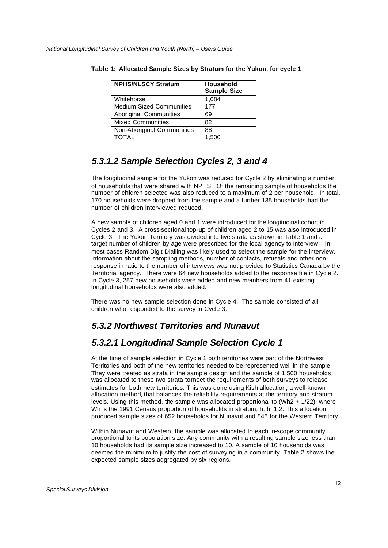| <b>NPHS/NLSCY Stratum</b>       | Household<br><b>Sample Size</b> |
|---------------------------------|---------------------------------|
| Whitehorse                      | 1,084                           |
| <b>Medium Sized Communities</b> | 177                             |
| <b>Aboriginal Communities</b>   | 69                              |
| <b>Mixed Communities</b>        | 82                              |
| Non-Aboriginal Communities      | 88                              |
| <b>TOTAL</b>                    | 1,500                           |

**Table 1: Allocated Sample Sizes by Stratum for the Yukon, for cycle 1**

# *5.3.1.2 Sample Selection Cycles 2, 3 and 4*

The longitudinal sample for the Yukon was reduced for Cycle 2 by eliminating a number of households that were shared with NPHS. Of the remaining sample of households the number of children selected was also reduced to a maximum of 2 per household. In total, 170 households were dropped from the sample and a further 135 households had the number of children interviewed reduced.

A new sample of children aged 0 and 1 were introduced for the longitudinal cohort in Cycles 2 and 3. A cross-sectional top-up of children aged 2 to 15 was also introduced in Cycle 3. The Yukon Territory was divided into five strata as shown in Table 1 and a target number of children by age were prescribed for the local agency to interview. In most cases Random Digit Dialling was likely used to select the sample for the interview. Information about the sampling methods, number of contacts, refusals and other nonresponse in ratio to the number of interviews was not provided to Statistics Canada by the Territorial agency. There were 64 new households added to the response file in Cycle 2. In Cycle 3, 257 new households were added and new members from 41 existing longitudinal households were also added.

There was no new sample selection done in Cycle 4. The sample consisted of all children who responded to the survey in Cycle 3.

# *5.3.2 Northwest Territories and Nunavut*

*\_\_\_\_\_\_\_\_\_\_\_\_\_\_\_\_\_\_\_\_\_\_\_\_\_\_\_\_\_\_\_\_\_\_\_\_\_\_\_\_\_\_\_\_\_\_\_\_\_\_\_\_\_\_\_\_\_\_\_\_\_\_\_\_\_\_\_\_\_\_\_\_\_\_\_\_\_\_\_\_\_*

# *5.3.2.1 Longitudinal Sample Selection Cycle 1*

At the time of sample selection in Cycle 1 both territories were part of the Northwest Territories and both of the new territories needed to be represented well in the sample. They were treated as strata in the sample design and the sample of 1,500 households was allocated to these two strata to meet the requirements of both surveys to release estimates for both new territories. This was done using Kish allocation, a well-known allocation method, that balances the reliability requirements at the territory and stratum levels. Using this method, the sample was allocated proportional to (Wh2 + 1/22), where Wh is the 1991 Census proportion of households in stratum, h, h=1,2. This allocation produced sample sizes of 652 households for Nunavut and 848 for the Western Territory.

Within Nunavut and Western, the sample was allocated to each in-scope community proportional to its population size. Any community with a resulting sample size less than 10 households had its sample size increased to 10. A sample of 10 households was deemed the minimum to justify the cost of surveying in a community. Table 2 shows the expected sample sizes aggregated by six regions.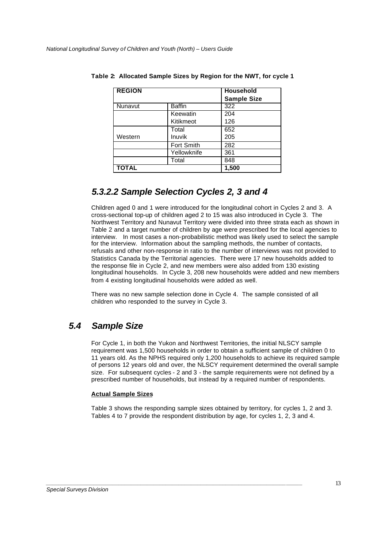| <b>REGION</b> |               | <b>Household</b><br><b>Sample Size</b> |
|---------------|---------------|----------------------------------------|
| Nunavut       | <b>Baffin</b> | 322                                    |
|               | Keewatin      | 204                                    |
|               | Kitikmeot     | 126                                    |
|               | Total         | 652                                    |
| Western       | Inuvik        | 205                                    |
|               | Fort Smith    | 282                                    |
|               | Yellowknife   | 361                                    |
|               | Total         | 848                                    |
| <b>TOTAL</b>  |               | 1,500                                  |

**Table 2: Allocated Sample Sizes by Region for the NWT, for cycle 1**

# *5.3.2.2 Sample Selection Cycles 2, 3 and 4*

Children aged 0 and 1 were introduced for the longitudinal cohort in Cycles 2 and 3. A cross-sectional top-up of children aged 2 to 15 was also introduced in Cycle 3. The Northwest Territory and Nunavut Territory were divided into three strata each as shown in Table 2 and a target number of children by age were prescribed for the local agencies to interview. In most cases a non-probabilistic method was likely used to select the sample for the interview. Information about the sampling methods, the number of contacts, refusals and other non-response in ratio to the number of interviews was not provided to Statistics Canada by the Territorial agencies. There were 17 new households added to the response file in Cycle 2, and new members were also added from 130 existing longitudinal households. In Cycle 3, 208 new households were added and new members from 4 existing longitudinal households were added as well.

There was no new sample selection done in Cycle 4. The sample consisted of all children who responded to the survey in Cycle 3.

# *5.4 Sample Size*

For Cycle 1, in both the Yukon and Northwest Territories, the initial NLSCY sample requirement was 1,500 households in order to obtain a sufficient sample of children 0 to 11 years old. As the NPHS required only 1,200 households to achieve its required sample of persons 12 years old and over, the NLSCY requirement determined the overall sample size. For subsequent cycles - 2 and 3 - the sample requirements were not defined by a prescribed number of households, but instead by a required number of respondents.

#### **Actual Sample Sizes**

Table 3 shows the responding sample sizes obtained by territory, for cycles 1, 2 and 3. Tables 4 to 7 provide the respondent distribution by age, for cycles 1, 2, 3 and 4.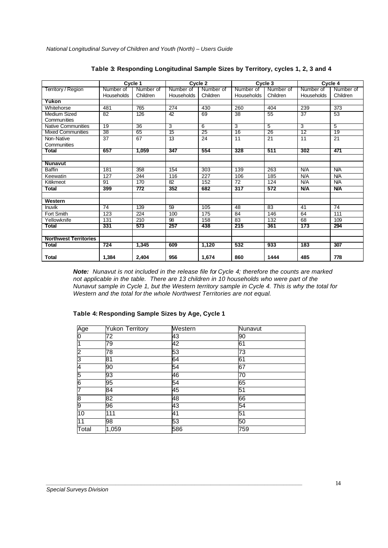|                              |                  | Cycle 1   |            | Cycle 2          |                 | Cycle 3   |            | Cycle 4    |
|------------------------------|------------------|-----------|------------|------------------|-----------------|-----------|------------|------------|
| Territory / Region           | Number of        | Number of | Number of  | Number of        | Number of       | Number of | Number of  | Number of  |
|                              | Households       | Children  | Households | Children         | Households      | Children  | Households | Children   |
| Yukon                        |                  |           |            |                  |                 |           |            |            |
| Whitehorse                   | 481              | 765       | 274        | 430              | 260             | 404       | 239        | 373        |
| Medium Sized                 | $\overline{82}$  | 126       | 42         | 69               | $\overline{38}$ | 55        | 37         | 53         |
| <b>Communities</b>           |                  |           |            |                  |                 |           |            |            |
| <b>Native Communities</b>    | 19               | 36        | 3          | 6                | 3               | 5         | 3          | 5          |
| <b>Mixed Communities</b>     | 38               | 65        | 15         | 25               | 16              | 26        | 12         | 19         |
| Non-Native                   | 37               | 67        | 13         | 24               | 11              | 21        | 11         | 21         |
| Communities                  |                  |           |            |                  |                 |           |            |            |
| Total                        | 657              | 1,059     | 347        | 554              | 328             | 511       | 302        | 471        |
|                              |                  |           |            |                  |                 |           |            |            |
| <b>Nunavut</b>               |                  |           |            |                  |                 |           |            |            |
| <b>Baffin</b>                | 181              | 358       | 154        | 303              | 139             | 263       | N/A        | N/A        |
| Keewatin                     | $\overline{127}$ | 244       | 116        | $\overline{227}$ | 106             | 185       | N/A        | <b>N/A</b> |
| Kitikmeot                    | 91               | 170       | 82         | 152              | 72              | 124       | N/A        | <b>N/A</b> |
| <b>Total</b>                 | 399              | 772       | 352        | 682              | 317             | 572       | N/A        | <b>N/A</b> |
|                              |                  |           |            |                  |                 |           |            |            |
| Western                      |                  |           |            |                  |                 |           |            |            |
| Inuvik                       | 74               | 139       | 59         | 105              | 48              | 83        | 41         | 74         |
| Fort Smith                   | 123              | 224       | 100        | 175              | 84              | 146       | 64         | 111        |
| Yellowknife                  | 131              | 210       | 98         | 158              | 83              | 132       | 68         | 109        |
| Total                        | 331              | 573       | 257        | 438              | 215             | 361       | 173        | 294        |
|                              |                  |           |            |                  |                 |           |            |            |
| <b>Northwest Territories</b> |                  |           |            |                  |                 |           |            |            |
| <b>Total</b>                 | 724              | 1,345     | 609        | 1,120            | 532             | 933       | 183        | 307        |
|                              |                  |           |            |                  |                 |           |            |            |
| <b>Total</b>                 | 1.384            | 2,404     | 956        | 1,674            | 860             | 1444      | 485        | 778        |

#### **Table 3: Responding Longitudinal Sample Sizes by Territory, cycles 1, 2, 3 and 4**

*Note: Nunavut is not included in the release file for Cycle 4; therefore the counts are marked not applicable in the table. There are 13 children in 10 households who were part of the Nunavut sample in Cycle 1, but the Western territory sample in Cycle 4. This is why the total for Western and the total for the whole Northwest Territories are not equal.*

#### **Table 4: Responding Sample Sizes by Age, Cycle 1**

| Age<br>0 | <b>Yukon Territory</b> | Western | Nunavut |
|----------|------------------------|---------|---------|
|          | 72                     | 43      | 90      |
| 1        | 79                     | 42      | 61      |
| la<br>S  | 78                     | 53      | 73      |
|          | 81                     | 64      | 61      |
| 4        | 90                     | 54      | 67      |
| 5        | 93                     | 46      | 70      |
| 6        | 95                     | 54      | 65      |
| 7        | 84                     | 45      | 51      |
| 8        | 82                     | 48      | 66      |
| 9        | 96                     | 43      | 54      |
| 10       | 111                    | 41      | 51      |
| 11       | 98                     | 53      | 50      |
| Total    | 1,059                  | 586     | 759     |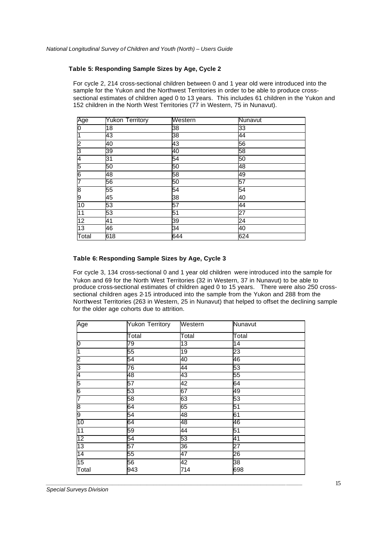#### **Table 5: Responding Sample Sizes by Age, Cycle 2**

For cycle 2, 214 cross-sectional children between 0 and 1 year old were introduced into the sample for the Yukon and the Northwest Territories in order to be able to produce crosssectional estimates of children aged 0 to 13 years. This includes 61 children in the Yukon and 152 children in the North West Territories (77 in Western, 75 in Nunavut).

| Age                     | <b>Yukon Territory</b> | Western | <b>Nunavut</b> |
|-------------------------|------------------------|---------|----------------|
| ō                       | 18                     | 38      | 33             |
| 1                       | 43                     | 38      | 44             |
| 2                       | 40                     | 43      | 56             |
| $\overline{\mathbf{3}}$ | 39                     | 40      | 58             |
| 4                       | 31                     | 54      | 50             |
| 5                       | 50                     | 50      | 48             |
| 6                       | 48                     | 58      | 49             |
| 7                       | 56                     | 50      | 57             |
| 8                       | 55                     | 54      | 54             |
| 9                       | 45                     | 38      | 40             |
| 10                      | 53                     | 57      | 44             |
| 11                      | 53                     | 51      | 27             |
| $\overline{12}$         | 41                     | 39      | 24             |
| 13                      | 46                     | 34      | 40             |
| Total                   | 618                    | 644     | 624            |

#### **Table 6: Responding Sample Sizes by Age, Cycle 3**

For cycle 3, 134 cross-sectional 0 and 1 year old children were introduced into the sample for Yukon and 69 for the North West Territories (32 in Western, 37 in Nunavut) to be able to produce cross-sectional estimates of children aged 0 to 15 years. There were also 250 crosssectional children ages 2-15 introduced into the sample from the Yukon and 288 from the Northwest Territories (263 in Western, 25 in Nunavut) that helped to offset the declining sample for the older age cohorts due to attrition.

| Age                     | <b>Yukon Territory</b> | Western | Nunavut |
|-------------------------|------------------------|---------|---------|
|                         | Total                  | Total   | Total   |
| 0                       | 79                     | 13      | 14      |
| 1                       | 55                     | 19      | 23      |
| 2                       | 54                     | 40      | 46      |
| $\overline{\mathbf{3}}$ | 76                     | 44      | 53      |
| 4                       | 8                      | 43      | 55      |
| 5                       | 57                     | 42      | 64      |
| 6                       | 53                     | 67      | 49      |
| 7                       | 58                     | 63      | 53      |
| 8                       | 64                     | 65      | 51      |
| 9                       | 54                     | 48      | 61      |
| 10                      | 64                     | 48      | 46      |
| 11                      | 59                     | 44      | 51      |
| 12                      | 54                     | 53      | 41      |
| 13                      | 57                     | 36      | 27      |
| 14                      | 55                     | 47      | 26      |
| 15                      | 56                     | 42      | 38      |
| Total                   | 943                    | 714     | 698     |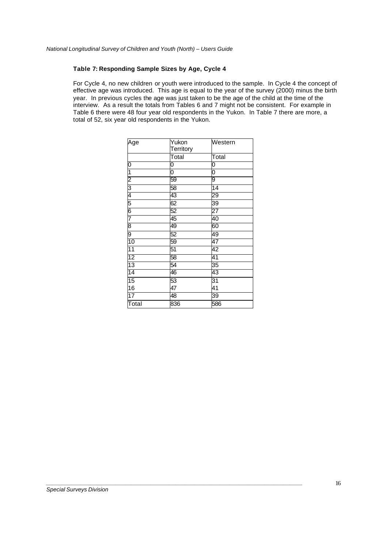#### **Table 7: Responding Sample Sizes by Age, Cycle 4**

For Cycle 4, no new children or youth were introduced to the sample. In Cycle 4 the concept of effective age was introduced. This age is equal to the year of the survey (2000) minus the birth year. In previous cycles the age was just taken to be the age of the child at the time of the interview. As a result the totals from Tables 6 and 7 might not be consistent. For example in Table 6 there were 48 four year old respondents in the Yukon. In Table 7 there are more, a total of 52, six year old respondents in the Yukon.

| Age                                                                   | Yukon     | Western         |
|-----------------------------------------------------------------------|-----------|-----------------|
|                                                                       | Territory |                 |
|                                                                       | Total     | Total           |
| 0                                                                     | 0         | 0               |
| $\overline{\mathbf{1}}$                                               | 0         | 0               |
|                                                                       | 59        | 9               |
|                                                                       | 58        | $\overline{14}$ |
|                                                                       | 43        | 29              |
| $\frac{2}{3}$ $\frac{3}{4}$ $\frac{4}{5}$ $\frac{6}{6}$ $\frac{7}{4}$ | 62        | 39              |
|                                                                       | 52        | 27              |
|                                                                       | 45        | 40              |
| 8                                                                     | 49        | 60              |
| 9                                                                     | 52        | 49              |
| $\overline{10}$                                                       | 59        | 47              |
| 11                                                                    | 51        | 42              |
| 12                                                                    | 58        | 41              |
| $\overline{13}$                                                       | 54        | 35              |
| 14                                                                    | 46        | 43              |
| $\overline{15}$                                                       | 53        | 31              |
| 16                                                                    | 47        | 41              |
| $\overline{17}$                                                       | 48        | 39              |
| Total                                                                 | 836       | 586             |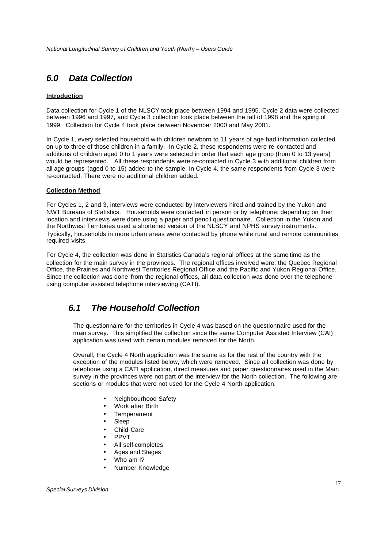# *6.0 Data Collection*

#### **Introduction**

Data collection for Cycle 1 of the NLSCY took place between 1994 and 1995. Cycle 2 data were collected between 1996 and 1997, and Cycle 3 collection took place between the fall of 1998 and the spring of 1999. Collection for Cycle 4 took place between November 2000 and May 2001.

In Cycle 1, every selected household with children newborn to 11 years of age had information collected on up to three of those children in a family. In Cycle 2, these respondents were re-contacted and additions of children aged 0 to 1 years were selected in order that each age group (from 0 to 13 years) would be represented. All these respondents were re-contacted in Cycle 3 with additional children from all age groups (aged 0 to 15) added to the sample. In Cycle 4, the same respondents from Cycle 3 were re-contacted. There were no additional children added.

#### **Collection Method**

For Cycles 1, 2 and 3, interviews were conducted by interviewers hired and trained by the Yukon and NWT Bureaus of Statistics. Households were contacted in person or by telephone; depending on their location and interviews were done using a paper and pencil questionnaire. Collection in the Yukon and the Northwest Territories used a shortened version of the NLSCY and NPHS survey instruments. Typically, households in more urban areas were contacted by phone while rural and remote communities required visits.

For Cycle 4, the collection was done in Statistics Canada's regional offices at the same time as the collection for the main survey in the provinces. The regional offices involved were: the Quebec Regional Office, the Prairies and Northwest Territories Regional Office and the Pacific and Yukon Regional Office. Since the collection was done from the regional offices, all data collection was done over the telephone using computer assisted telephone interviewing (CATI).

# *6.1 The Household Collection*

The questionnaire for the territories in Cycle 4 was based on the questionnaire used for the main survey. This simplified the collection since the same Computer Assisted Interview (CAI) application was used with certain modules removed for the North.

Overall, the Cycle 4 North application was the same as for the rest of the country with the exception of the modules listed below, which were removed. Since all collection was done by telephone using a CATI application, direct measures and paper questionnaires used in the Main survey in the provinces were not part of the interview for the North collection. The following are sections or modules that were not used for the Cycle 4 North application:

- Neighbourhood Safety
- Work after Birth
- Temperament
- Sleep
- Child Care
- PPVT
- All self-completes
- Ages and Stages
- Who am I?
- Number Knowledge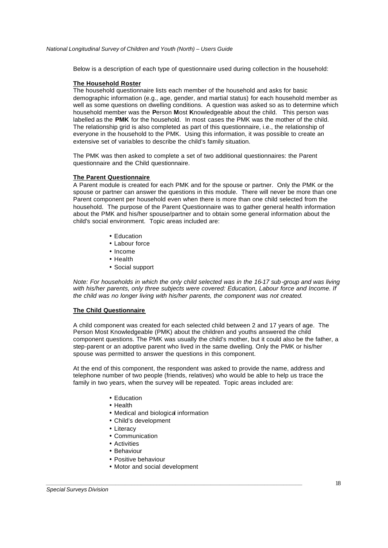Below is a description of each type of questionnaire used during collection in the household:

#### **The Household Roster**

The household questionnaire lists each member of the household and asks for basic demographic information (e.g., age, gender, and martial status) for each household member as well as some questions on dwelling conditions. A question was asked so as to determine which household member was the **P**erson **M**ost **K**nowledgeable about the child. This person was labelled as the **PMK** for the household. In most cases the PMK was the mother of the child. The relationship grid is also completed as part of this questionnaire, i.e., the relationship of everyone in the household to the PMK. Using this information, it was possible to create an extensive set of variables to describe the child's family situation.

The PMK was then asked to complete a set of two additional questionnaires: the Parent questionnaire and the Child questionnaire.

#### **The Parent Questionnaire**

A Parent module is created for each PMK and for the spouse or partner. Only the PMK or the spouse or partner can answer the questions in this module. There will never be more than one Parent component per household even when there is more than one child selected from the household. The purpose of the Parent Questionnaire was to gather general health information about the PMK and his/her spouse/partner and to obtain some general information about the child's social environment. Topic areas included are:

- Education
- Labour force
- Income
- Health
- Social support

*Note: For households in which the only child selected was in the 16-17 sub-group and was living with his/her parents, only three subjects were covered: Education, Labour force and Income. If the child was no longer living with his/her parents, the component was not created.*

#### **The Child Questionnaire**

A child component was created for each selected child between 2 and 17 years of age. The Person Most Knowledgeable (PMK) about the children and youths answered the child component questions. The PMK was usually the child's mother, but it could also be the father, a step-parent or an adoptive parent who lived in the same dwelling. Only the PMK or his/her spouse was permitted to answer the questions in this component.

At the end of this component, the respondent was asked to provide the name, address and telephone number of two people (friends, relatives) who would be able to help us trace the family in two years, when the survey will be repeated. Topic areas included are:

- Education
- Health
- Medical and biological information
- Child's development
- Literacy
- Communication
- Activities
- Behaviour
- Positive behaviour
- Motor and social development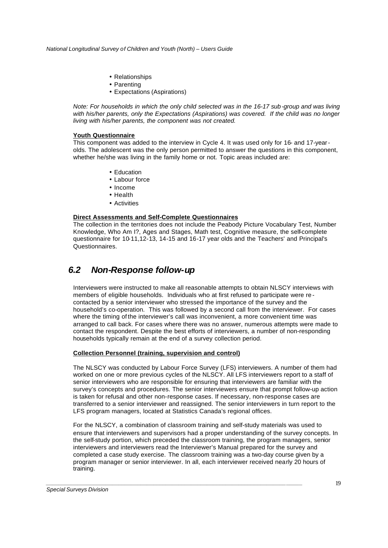- Relationships
- Parenting
- Expectations (Aspirations)

*Note: For households in which the only child selected was in the 16-17 sub-group and was living*  with his/her parents, only the Expectations (Aspirations) was covered. If the child was no longer *living with his/her parents, the component was not created.*

#### **Youth Questionnaire**

This component was added to the interview in Cycle 4. It was used only for 16- and 17-yearolds. The adolescent was the only person permitted to answer the questions in this component, whether he/she was living in the family home or not. Topic areas included are:

- Education
- Labour force
- Income
- Health
- Activities

#### **Direct Assessments and Self-Complete Questionnaires**

The collection in the territories does not include the Peabody Picture Vocabulary Test, Number Knowledge, Who Am I?, Ages and Stages, Math test, Cognitive measure, the self-complete questionnaire for 10-11,12-13, 14-15 and 16-17 year olds and the Teachers' and Principal's Questionnaires.

### *6.2 Non-Response follow-up*

Interviewers were instructed to make all reasonable attempts to obtain NLSCY interviews with members of eligible households. Individuals who at first refused to participate were re contacted by a senior interviewer who stressed the importance of the survey and the household's co-operation. This was followed by a second call from the interviewer. For cases where the timing of the interviewer's call was inconvenient, a more convenient time was arranged to call back. For cases where there was no answer, numerous attempts were made to contact the respondent. Despite the best efforts of interviewers, a number of non-responding households typically remain at the end of a survey collection period.

#### **Collection Personnel (training, supervision and control)**

The NLSCY was conducted by Labour Force Survey (LFS) interviewers. A number of them had worked on one or more previous cycles of the NLSCY. All LFS interviewers report to a staff of senior interviewers who are responsible for ensuring that interviewers are familiar with the survey's concepts and procedures. The senior interviewers ensure that prompt follow-up action is taken for refusal and other non-response cases. If necessary, non-response cases are transferred to a senior interviewer and reassigned. The senior interviewers in turn report to the LFS program managers, located at Statistics Canada's regional offices.

For the NLSCY, a combination of classroom training and self-study materials was used to ensure that interviewers and supervisors had a proper understanding of the survey concepts. In the self-study portion, which preceded the classroom training, the program managers, senior interviewers and interviewers read the Interviewer's Manual prepared for the survey and completed a case study exercise. The classroom training was a two-day course given by a program manager or senior interviewer. In all, each interviewer received nearly 20 hours of training.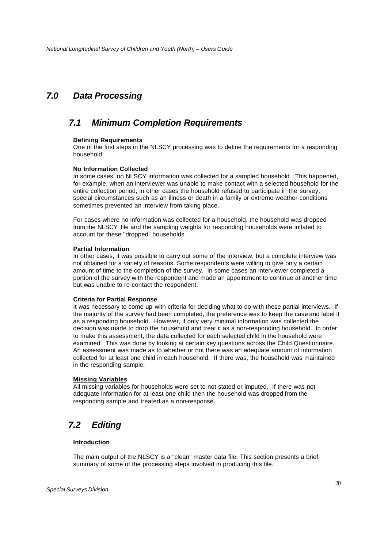# *7.0 Data Processing*

### *7.1 Minimum Completion Requirements*

#### **Defining Requirements**

One of the first steps in the NLSCY processing was to define the requirements for a responding household.

#### **No Information Collected**

In some cases, no NLSCY information was collected for a sampled household. This happened, for example, when an interviewer was unable to make contact with a selected household for the entire collection period, in other cases the household refused to participate in the survey, special circumstances such as an illness or death in a family or extreme weather conditions sometimes prevented an interview from taking place.

For cases where no information was collected for a household, the household was dropped from the NLSCY file and the sampling weights for responding households were inflated to account for these "dropped" households

#### **Partial Information**

In other cases, it was possible to carry out some of the interview, but a complete interview was not obtained for a variety of reasons. Some respondents were willing to give only a certain amount of time to the completion of the survey. In some cases an interviewer completed a portion of the survey with the respondent and made an appointment to continue at another time but was unable to re-contact the respondent.

#### **Criteria for Partial Response**

It was necessary to come up with criteria for deciding what to do with these partial interviews. If the majority of the survey had been completed, the preference was to keep the case and label it as a responding household. However, if only very minimal information was collected the decision was made to drop the household and treat it as a non-responding household. In order to make this assessment, the data collected for each selected child in the household were examined. This was done by looking at certain key questions across the Child Questionnaire. An assessment was made as to whether or not there was an adequate amount of information collected for at least one child in each household. If there was, the household was maintained in the responding sample.

#### **Missing Variables**

All missing variables for households were set to not-stated or imputed. If there was not adequate information for at least one child then the household was dropped from the responding sample and treated as a non-response.

# *7.2 Editing*

#### **Introduction**

The main output of the NLSCY is a "clean" master data file. This section presents a brief summary of some of the processing steps involved in producing this file.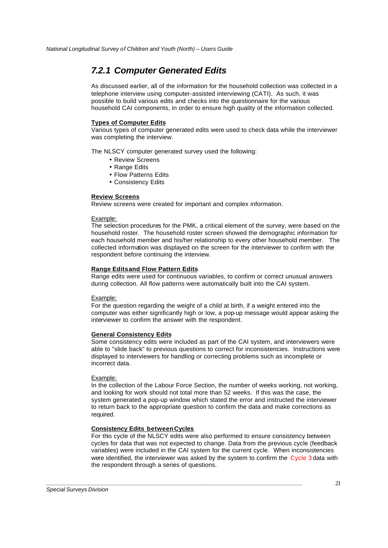# *7.2.1 Computer Generated Edits*

As discussed earlier, all of the information for the household collection was collected in a telephone interview using computer-assisted interviewing (CATI). As such, it was possible to build various edits and checks into the questionnaire for the various household CAI components, in order to ensure high quality of the information collected.

#### **Types of Computer Edits**

Various types of computer generated edits were used to check data while the interviewer was completing the interview.

The NLSCY computer generated survey used the following:

- Review Screens
- Range Edits
- Flow Patterns Edits
- Consistency Edits

#### **Review Screens**

Review screens were created for important and complex information.

#### Example:

The selection procedures for the PMK, a critical element of the survey, were based on the household roster. The household roster screen showed the demographic information for each household member and his/her relationship to every other household member. The collected information was displayed on the screen for the interviewer to confirm with the respondent before continuing the interview.

#### **Range Edits and Flow Pattern Edits**

Range edits were used for continuous variables, to confirm or correct unusual answers during collection. All flow patterns were automatically built into the CAI system.

#### Example:

For the question regarding the weight of a child at birth, if a weight entered into the computer was either significantly high or low, a pop-up message would appear asking the interviewer to confirm the answer with the respondent.

#### **General Consistency Edits**

Some consistency edits were included as part of the CAI system, and interviewers were able to "slide back" to previous questions to correct for inconsistencies. Instructions were displayed to interviewers for handling or correcting problems such as incomplete or incorrect data.

#### Example:

In the collection of the Labour Force Section, the number of weeks working, not working, and looking for work should not total more than 52 weeks. If this was the case, the system generated a pop-up window which stated the error and instructed the interviewer to return back to the appropriate question to confirm the data and make corrections as required.

#### **Consistency Edits between Cycles**

*\_\_\_\_\_\_\_\_\_\_\_\_\_\_\_\_\_\_\_\_\_\_\_\_\_\_\_\_\_\_\_\_\_\_\_\_\_\_\_\_\_\_\_\_\_\_\_\_\_\_\_\_\_\_\_\_\_\_\_\_\_\_\_\_\_\_\_\_\_\_\_\_\_\_\_\_\_\_\_\_\_*

For this cycle of the NLSCY edits were also performed to ensure consistency between cycles for data that was not expected to change. Data from the previous cycle (feedback variables) were included in the CAI system for the current cycle. When inconsistencies were identified, the interviewer was asked by the system to confirm the Cycle 3 data with the respondent through a series of questions.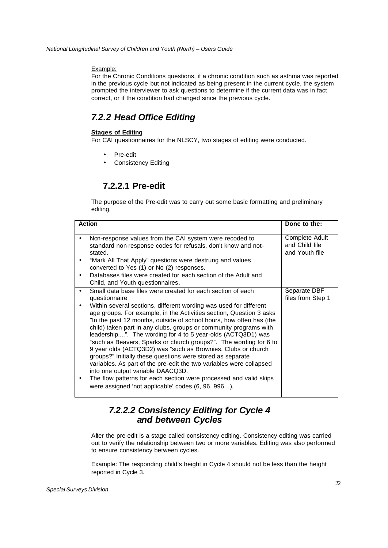#### Example:

For the Chronic Conditions questions, if a chronic condition such as asthma was reported in the previous cycle but not indicated as being present in the current cycle, the system prompted the interviewer to ask questions to determine if the current data was in fact correct, or if the condition had changed since the previous cycle.

# *7.2.2 Head Office Editing*

#### **Stages of Editing**

For CAI questionnaires for the NLSCY, two stages of editing were conducted.

- Pre-edit
- Consistency Editing

# **7.2.2.1 Pre-edit**

The purpose of the Pre-edit was to carry out some basic formatting and preliminary editing.

| <b>Action</b>                                                                                                                                                                                                                                                                                                                                                                                                                                                                                                                                                                                                                                                                                                                                                                                                                                                                              | Done to the:                                       |
|--------------------------------------------------------------------------------------------------------------------------------------------------------------------------------------------------------------------------------------------------------------------------------------------------------------------------------------------------------------------------------------------------------------------------------------------------------------------------------------------------------------------------------------------------------------------------------------------------------------------------------------------------------------------------------------------------------------------------------------------------------------------------------------------------------------------------------------------------------------------------------------------|----------------------------------------------------|
| Non-response values from the CAI system were recoded to<br>standard non-response codes for refusals, don't know and not-<br>stated.<br>"Mark All That Apply" questions were destrung and values<br>٠<br>converted to Yes (1) or No (2) responses.<br>Databases files were created for each section of the Adult and<br>$\bullet$<br>Child, and Youth questionnaires.                                                                                                                                                                                                                                                                                                                                                                                                                                                                                                                       | Complete Adult<br>and Child file<br>and Youth file |
| Small data base files were created for each section of each<br>$\bullet$<br>questionnaire<br>Within several sections, different wording was used for different<br>age groups. For example, in the Activities section, Question 3 asks<br>"In the past 12 months, outside of school hours, how often has (the<br>child) taken part in any clubs, groups or community programs with<br>leadership". The wording for 4 to 5 year-olds (ACTQ3D1) was<br>"such as Beavers, Sparks or church groups?". The wording for 6 to<br>9 year olds (ACTQ3D2) was "such as Brownies, Clubs or church<br>groups?" Initially these questions were stored as separate<br>variables. As part of the pre-edit the two variables were collapsed<br>into one output variable DAACQ3D.<br>The flow patterns for each section were processed and valid skips<br>were assigned 'not applicable' codes (6, 96, 996). | Separate DBF<br>files from Step 1                  |

# *7.2.2.2 Consistency Editing for Cycle 4 and between Cycles*

*\_\_\_\_\_\_\_\_\_\_\_\_\_\_\_\_\_\_\_\_\_\_\_\_\_\_\_\_\_\_\_\_\_\_\_\_\_\_\_\_\_\_\_\_\_\_\_\_\_\_\_\_\_\_\_\_\_\_\_\_\_\_\_\_\_\_\_\_\_\_\_\_\_\_\_\_\_\_\_\_\_*

After the pre-edit is a stage called consistency editing. Consistency editing was carried out to verify the relationship between two or more variables. Editing was also performed to ensure consistency between cycles.

Example: The responding child's height in Cycle 4 should not be less than the height reported in Cycle 3.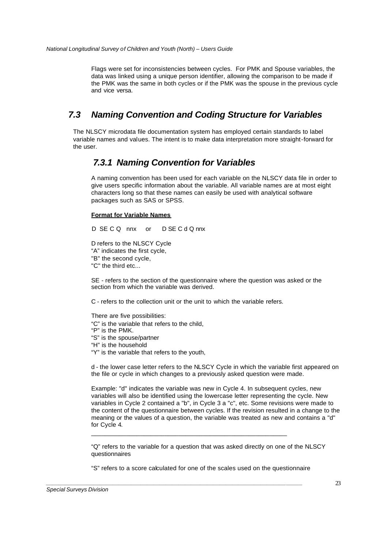Flags were set for inconsistencies between cycles. For PMK and Spouse variables, the data was linked using a unique person identifier, allowing the comparison to be made if the PMK was the same in both cycles or if the PMK was the spouse in the previous cycle and vice versa.

# *7.3 Naming Convention and Coding Structure for Variables*

The NLSCY microdata file documentation system has employed certain standards to label variable names and values. The intent is to make data interpretation more straight-forward for the user.

### *7.3.1 Naming Convention for Variables*

A naming convention has been used for each variable on the NLSCY data file in order to give users specific information about the variable. All variable names are at most eight characters long so that these names can easily be used with analytical software packages such as SAS or SPSS.

#### **Format for Variable Names**

D SE C Q nnx or D SE C d Q nnx

D refers to the NLSCY Cycle

- "A" indicates the first cycle,
- "B" the second cycle,
- "C" the third etc...

SE - refers to the section of the questionnaire where the question was asked or the section from which the variable was derived.

C - refers to the collection unit or the unit to which the variable refers.

There are five possibilities:

- "C" is the variable that refers to the child,
- "P" is the PMK.
- "S" is the spouse/partner
- "H" is the household
- "Y" is the variable that refers to the youth,

d - the lower case letter refers to the NLSCY Cycle in which the variable first appeared on the file or cycle in which changes to a previously asked question were made.

Example: "d" indicates the variable was new in Cycle 4. In subsequent cycles, new variables will also be identified using the lowercase letter representing the cycle. New variables in Cycle 2 contained a "b", in Cycle 3 a "c", etc. Some revisions were made to the content of the questionnaire between cycles. If the revision resulted in a change to the meaning or the values of a question, the variable was treated as new and contains a "d" for Cycle 4.

"Q" refers to the variable for a question that was asked directly on one of the NLSCY questionnaires

"S" refers to a score calculated for one of the scales used on the questionnaire

\_\_\_\_\_\_\_\_\_\_\_\_\_\_\_\_\_\_\_\_\_\_\_\_\_\_\_\_\_\_\_\_\_\_\_\_\_\_\_\_\_\_\_\_\_\_\_\_\_\_\_\_\_\_\_\_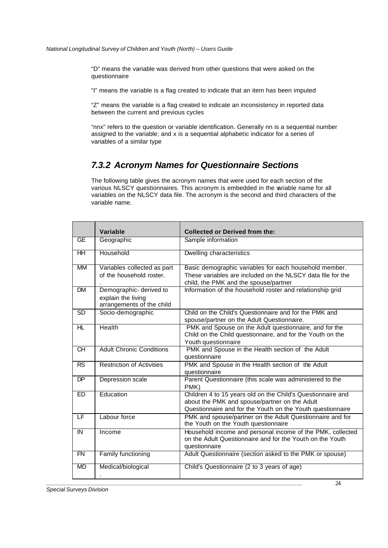"D" means the variable was derived from other questions that were asked on the questionnaire

"I" means the variable is a flag created to indicate that an item has been imputed

"Z" means the variable is a flag created to indicate an inconsistency in reported data between the current and previous cycles

"nnx" refers to the question or variable identification. Generally nn is a sequential number assigned to the variable; and x is a sequential alphabetic indicator for a series of variables of a similar type

### *7.3.2 Acronym Names for Questionnaire Sections*

The following table gives the acronym names that were used for each section of the various NLSCY questionnaires. This acronym is embedded in the variable name for all variables on the NLSCY data file. The acronym is the second and third characters of the variable name.

|                           | Variable                                                                   | <b>Collected or Derived from the:</b>                                                                                                                                      |
|---------------------------|----------------------------------------------------------------------------|----------------------------------------------------------------------------------------------------------------------------------------------------------------------------|
| GE                        | Geographic                                                                 | Sample information                                                                                                                                                         |
| $H$ H                     | Household                                                                  | Dwelling characteristics                                                                                                                                                   |
| МM                        | Variables collected as part<br>of the household roster.                    | Basic demographic variables for each household member.<br>These variables are included on the NLSCY data file for the<br>child, the PMK and the spouse/partner             |
| <b>DM</b>                 | Demographic- derived to<br>explain the living<br>arrangements of the child | Information of the household roster and relationship grid                                                                                                                  |
| <b>SD</b>                 | Socio-demographic                                                          | Child on the Child's Questionnaire and for the PMK and<br>spouse/partner on the Adult Questionnaire.                                                                       |
| HL                        | Health                                                                     | PMK and Spouse on the Adult questionnaire, and for the<br>Child on the Child questionnaire, and for the Youth on the<br>Youth questionnaire                                |
| <b>CH</b>                 | <b>Adult Chronic Conditions</b>                                            | PMK and Spouse in the Health section of the Adult<br>questionnaire                                                                                                         |
| <b>RS</b>                 | <b>Restriction of Activities</b>                                           | PMK and Spouse in the Health section of the Adult<br>questionnaire                                                                                                         |
| <b>DP</b>                 | Depression scale                                                           | Parent Questionnaire (this scale was administered to the<br>PMK)                                                                                                           |
| ED                        | Education                                                                  | Children 4 to 15 years old on the Child's Questionnaire and<br>about the PMK and spouse/partner on the Adult<br>Questionnaire and for the Youth on the Youth questionnaire |
| LF                        | Labour force                                                               | PMK and spouse/partner on the Adult Questionnaire and for<br>the Youth on the Youth questionnaire                                                                          |
| IN                        | Income                                                                     | Household income and personal income of the PMK, collected<br>on the Adult Questionnaire and for the Youth on the Youth<br>questionnaire                                   |
| $\overline{\mathsf{F}}$ N | Family functioning                                                         | Adult Questionnaire (section asked to the PMK or spouse)                                                                                                                   |
| <b>MD</b>                 | Medical/biological                                                         | Child's Questionnaire (2 to 3 years of age)                                                                                                                                |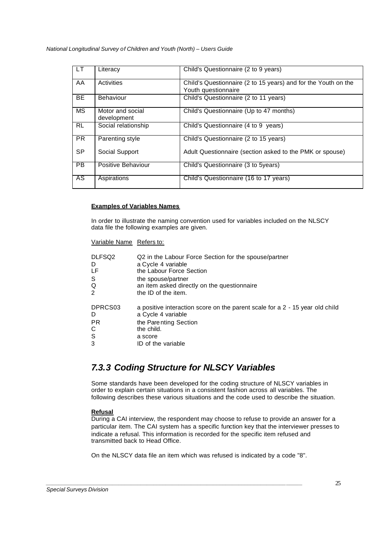| LT.       | Literacy                        | Child's Questionnaire (2 to 9 years)                                                  |
|-----------|---------------------------------|---------------------------------------------------------------------------------------|
| AA        | Activities                      | Child's Questionnaire (2 to 15 years) and for the Youth on the<br>Youth questionnaire |
| <b>BE</b> | <b>Behaviour</b>                | Child's Questionnaire (2 to 11 years)                                                 |
| <b>MS</b> | Motor and social<br>development | Child's Questionnaire (Up to 47 months)                                               |
| <b>RL</b> | Social relationship             | Child's Questionnaire (4 to 9 years)                                                  |
| <b>PR</b> | Parenting style                 | Child's Questionnaire (2 to 15 years)                                                 |
| <b>SP</b> | Social Support                  | Adult Questionnaire (section asked to the PMK or spouse)                              |
| PB        | Positive Behaviour              | Child's Questionnaire (3 to 5years)                                                   |
| AS        | Aspirations                     | Child's Questionnaire (16 to 17 years)                                                |

#### **Examples of Variables Names**

In order to illustrate the naming convention used for variables included on the NLSCY data file the following examples are given.

#### Variable Name Refers to:

| DLFSQ2  | Q2 in the Labour Force Section for the spouse/partner                        |
|---------|------------------------------------------------------------------------------|
| D       | a Cycle 4 variable                                                           |
| LF      | the Labour Force Section                                                     |
| S       | the spouse/partner                                                           |
| Q       | an item asked directly on the questionnaire                                  |
| 2       | the ID of the item.                                                          |
| DPRCS03 | a positive interaction score on the parent scale for a 2 - 15 year old child |
| D       | a Cycle 4 variable                                                           |
| РR      | the Parenting Section                                                        |
| С       | the child.                                                                   |
| S       | a score                                                                      |
| 3       | ID of the variable                                                           |

# *7.3.3 Coding Structure for NLSCY Variables*

Some standards have been developed for the coding structure of NLSCY variables in order to explain certain situations in a consistent fashion across all variables. The following describes these various situations and the code used to describe the situation.

#### **Refusal**

During a CAI interview, the respondent may choose to refuse to provide an answer for a particular item. The CAI system has a specific function key that the interviewer presses to indicate a refusal. This information is recorded for the specific item refused and transmitted back to Head Office.

On the NLSCY data file an item which was refused is indicated by a code "8".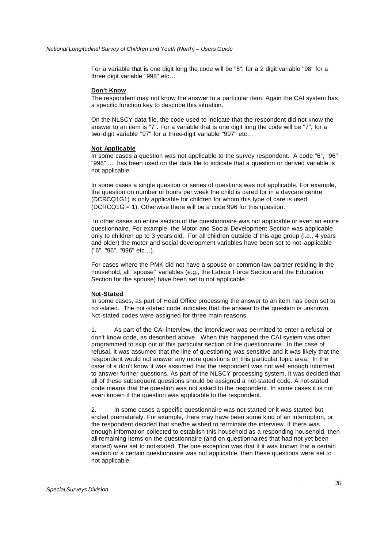For a variable that is one digit long the code will be "8", for a 2 digit variable "98" for a three digit variable "998" etc…

#### **Don't Know**

The respondent may not know the answer to a particular item. Again the CAI system has a specific function key to describe this situation.

On the NLSCY data file, the code used to indicate that the respondent did not know the answer to an item is "7". For a variable that is one digit long the code will be "7", for a two-digit variable "97" for a three-digit variable "997" etc…

#### **Not Applicable**

In some cases a question was not applicable to the survey respondent. A code "6", "96" "996" ... has been used on the data file to indicate that a question or derived variable is not applicable.

In some cases a single question or series of questions was not applicable. For example, the question on number of hours per week the child is cared for in a daycare centre (DCRCQ1G1) is only applicable for children for whom this type of care is used (DCRCQ1G = 1). Otherwise there will be a code 996 for this question.

 In other cases an entire section of the questionnaire was not applicable or even an entire questionnaire. For example, the Motor and Social Development Section was applicable only to children up to 3 years old. For all children outside of this age group (i.e., 4 years and older) the motor and social development variables have been set to not-applicable ("6", "96", "996" etc...).

For cases where the PMK did not have a spouse or common-law partner residing in the household, all "spouse" variables (e.g., the Labour Force Section and the Education Section for the spouse) have been set to not applicable.

#### **Not-Stated**

In some cases, as part of Head Office processing the answer to an item has been set to not-stated. The not-stated code indicates that the answer to the question is unknown. Not-stated codes were assigned for three main reasons.

1. As part of the CAI interview, the interviewer was permitted to enter a refusal or don't know code, as described above. When this happened the CAI system was often programmed to skip out of this particular section of the questionnaire. In the case of refusal, it was assumed that the line of questioning was sensitive and it was likely that the respondent would not answer any more questions on this particular topic area. In the case of a don't know it was assumed that the respondent was not well enough informed to answer further questions. As part of the NLSCY processing system, it was decided that all of these subsequent questions should be assigned a not-stated code. A not-stated code means that the question was not asked to the respondent. In some cases it is not even known if the question was applicable to the respondent.

2. In some cases a specific questionnaire was not started or it was started but ended prematurely. For example, there may have been some kind of an interruption, or the respondent decided that she/he wished to terminate the interview. If there was enough information collected to establish this household as a responding household, then all remaining items on the questionnaire (and on questionnaires that had not yet been started) were set to not-stated. The one exception was that if it was known that a certain section or a certain questionnaire was not applicable, then these questions were set to not applicable.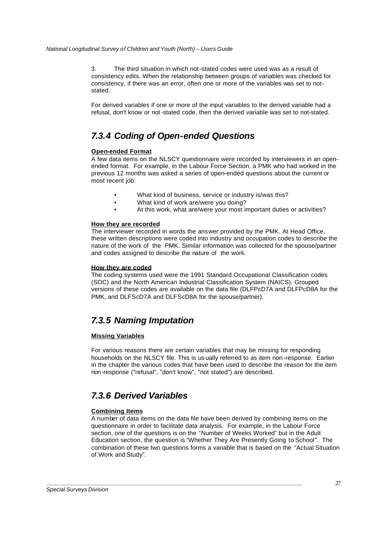3. The third situation in which not-stated codes were used was as a result of consistency edits. When the relationship between groups of variables was checked for consistency, if there was an error, often one or more of the variables was set to notstated.

For derived variables if one or more of the input variables to the derived variable had a refusal, don't know or not-stated code, then the derived variable was set to not-stated.

# *7.3.4 Coding of Open-ended Questions*

#### **Open-ended Format**

A few data items on the NLSCY questionnaire were recorded by interviewers in an openended format. For example, in the Labour Force Section, a PMK who had worked in the previous 12 months was asked a series of open-ended questions about the current or most recent job:

- What kind of business, service or industry is/was this?
- What kind of work are/were you doing?
- At this work, what are/were your most important duties or activities?

#### **How they are recorded**

The interviewer recorded in words the answer provided by the PMK. At Head Office, these written descriptions were coded into industry and occupation codes to describe the nature of the work of the PMK. Similar information was collected for the spouse/partner and codes assigned to describe the nature of the work.

#### **How they are coded**

The coding systems used were the 1991 Standard Occupational Classification codes (SOC) and the North American Industrial Classification System (NAICS). Grouped versions of these codes are available on the data file (DLFPcD7A and DLFPcD8A for the PMK, and DLFScD7A and DLFScD8A for the spouse/partner).

# *7.3.5 Naming Imputation*

#### **Missing Variables**

For various reasons there are certain variables that may be missing for responding households on the NLSCY file. This is us ually referred to as item non -response. Earlier in the chapter the various codes that have been used to describe the reason for the item non-response ("refusal", "don't know", "not stated") are described.

# *7.3.6 Derived Variables*

#### **Combining Items**

A number of data items on the data file have been derived by combining items on the questionnaire in order to facilitate data analysis. For example, in the Labour Force section, one of the questions is on the "Number of Weeks Worked" but in the Adult Education section, the question is "Whether They Are Presently Going to School". The combination of these two questions forms a variable that is based on the "Actual Situation of Work and Study".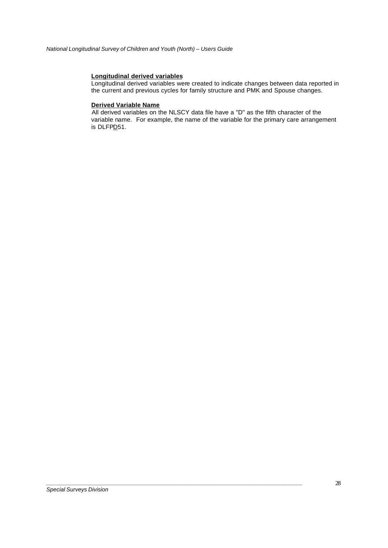#### **Longitudinal derived variables**

Longitudinal derived variables were created to indicate changes between data reported in the current and previous cycles for family structure and PMK and Spouse changes.

#### **Derived Variable Name**

All derived variables on the NLSCY data file have a "D" as the fifth character of the variable name. For example, the name of the variable for the primary care arrangement is DLFPD51.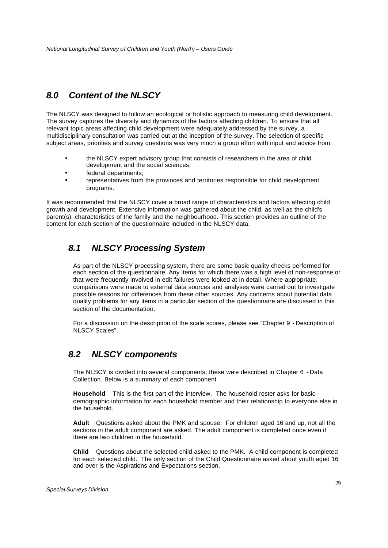# *8.0 Content of the NLSCY*

The NLSCY was designed to follow an ecological or holistic approach to measuring child development. The survey captures the diversity and dynamics of the factors affecting children. To ensure that all relevant topic areas affecting child development were adequately addressed by the survey, a multidisciplinary consultation was carried out at the inception of the survey. The selection of specific subject areas, priorities and survey questions was very much a group effort with input and advice from:

- the NLSCY expert advisory group that consists of researchers in the area of child development and the social sciences;
- federal departments;
- representatives from the provinces and territories responsible for child development programs.

It was recommended that the NLSCY cover a broad range of characteristics and factors affecting child growth and development. Extensive information was gathered about the child, as well as the child's parent(s), characteristics of the family and the neighbourhood. This section provides an outline of the content for each section of the questionnaire included in the NLSCY data.

# *8.1 NLSCY Processing System*

As part of the NLSCY processing system, there are some basic quality checks performed for each section of the questionnaire. Any items for which there was a high level of non-response or that were frequently involved in edit failures were looked at in detail. Where appropriate, comparisons were made to external data sources and analyses were carried out to investigate possible reasons for differences from these other sources. Any concerns about potential data quality problems for any items in a particular section of the questionnaire are discussed in this section of the documentation.

For a discussion on the description of the scale scores, please see "Chapter 9 - Description of NLSCY Scales".

# *8.2 NLSCY components*

The NLSCY is divided into several components; these were described in Chapter 6 - Data Collection. Below is a summary of each component.

**Household** This is the first part of the interview. The household roster asks for basic demographic information for each household member and their relationship to everyone else in the household.

**Adult** Questions asked about the PMK and spouse. For children aged 16 and up, not all the sections in the adult component are asked. The adult component is completed once even if there are two children in the household.

**Child** Questions about the selected child asked to the PMK. A child component is completed for each selected child. The only section of the Child Questionnaire asked about youth aged 16 and over is the Aspirations and Expectations section.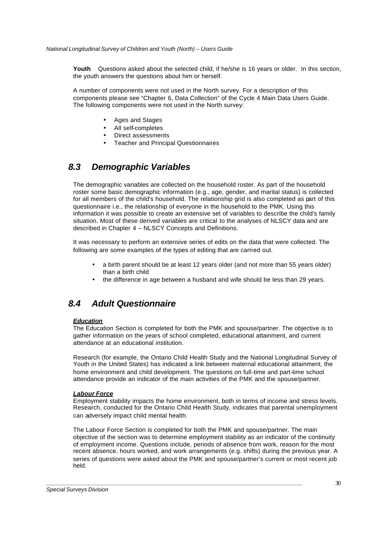**Youth** Questions asked about the selected child, if he/she is 16 years or older. In this section, the youth answers the questions about him or herself.

A number of components were not used in the North survey. For a description of this components please see "Chapter 6, Data Collection" of the Cycle 4 Main Data Users Guide. The following components were not used in the North survey:

- Ages and Stages
- All self-completes
- Direct assessments
- Teacher and Principal Questionnaires

### *8.3 Demographic Variables*

The demographic variables are collected on the household roster. As part of the household roster some basic demographic information (e.g., age, gender, and marital status) is collected for all members of the child's household. The relationship grid is also completed as part of this questionnaire i.e., the relationship of everyone in the household to the PMK. Using this information it was possible to create an extensive set of variables to describe the child's family situation. Most of these derived variables are critical to the analyses of NLSCY data and are described in Chapter 4 – NLSCY Concepts and Definitions.

It was necessary to perform an extensive series of edits on the data that were collected. The following are some examples of the types of editing that are carried out.

- a birth parent should be at least 12 years older (and not more than 55 years older) than a birth child
- the difference in age between a husband and wife should be less than 29 years.

### *8.4 Adult Questionnaire*

#### *Education*

The Education Section is completed for both the PMK and spouse/partner. The objective is to gather information on the years of school completed, educational attainment, and current attendance at an educational institution.

Research (for example, the Ontario Child Health Study and the National Longitudinal Survey of Youth in the United States) has indicated a link between maternal educational attainment, the home environment and child development. The questions on full-time and part-time school attendance provide an indicator of the main activities of the PMK and the spouse/partner.

#### *Labour Force*

Employment stability impacts the home environment, both in terms of income and stress levels. Research, conducted for the Ontario Child Health Study, indicates that parental unemployment can adversely impact child mental health.

The Labour Force Section is completed for both the PMK and spouse/partner. The main objective of the section was to determine employment stability as an indicator of the continuity of employment income. Questions include, periods of absence from work, reason for the most recent absence, hours worked, and work arrangements (e.g. shifts) during the previous year. A series of questions were asked about the PMK and spouse/partner's current or most recent job held.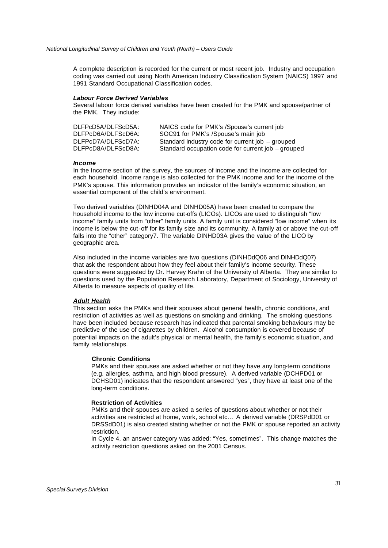A complete description is recorded for the current or most recent job. Industry and occupation coding was carried out using North American Industry Classification System (NAICS) 1997 and 1991 Standard Occupational Classification codes.

#### *Labour Force Derived Variables*

Several labour force derived variables have been created for the PMK and spouse/partner of the PMK. They include:

| DLFPcD5A/DLFScD5A: | NAICS code for PMK's /Spouse's current job         |
|--------------------|----------------------------------------------------|
| DLFPcD6A/DLFScD6A: | SOC91 for PMK's /Spouse's main job                 |
| DLFPcD7A/DLFScD7A: | Standard industry code for current job – grouped   |
| DLFPcD8A/DLFScD8A: | Standard occupation code for current job - grouped |

#### *Income*

In the Income section of the survey, the sources of income and the income are collected for each household. Income range is also collected for the PMK income and for the income of the PMK's spouse. This information provides an indicator of the family's economic situation, an essential component of the child's environment.

Two derived variables (DINHD04A and DINHD05A) have been created to compare the household income to the low income cut-offs (LICOs). LICOs are used to distinguish "low income" family units from "other" family units. A family unit is considered "low income" when its income is below the cut-off for its family size and its community. A family at or above the cut-off falls into the "other" category7. The variable DINHD03A gives the value of the LICO by geographic area.

Also included in the income variables are two questions (DINHDdQ06 and DINHDdQ07) that ask the respondent about how they feel about their family's income security. These questions were suggested by Dr. Harvey Krahn of the University of Alberta. They are similar to questions used by the Population Research Laboratory, Department of Sociology, University of Alberta to measure aspects of quality of life.

#### *Adult Health*

This section asks the PMKs and their spouses about general health, chronic conditions, and restriction of activities as well as questions on smoking and drinking. The smoking questions have been included because research has indicated that parental smoking behaviours may be predictive of the use of cigarettes by children. Alcohol consumption is covered because of potential impacts on the adult's physical or mental health, the family's economic situation, and family relationships.

#### **Chronic Conditions**

PMKs and their spouses are asked whether or not they have any long-term conditions (e.g. allergies, asthma, and high blood pressure). A derived variable (DCHPD01 or DCHSD01) indicates that the respondent answered "yes", they have at least one of the long-term conditions.

#### **Restriction of Activities**

PMKs and their spouses are asked a series of questions about whether or not their activities are restricted at home, work, school etc... A derived variable (DRSPdD01 or DRSSdD01) is also created stating whether or not the PMK or spouse reported an activity restriction.

In Cycle 4, an answer category was added: "Yes, sometimes". This change matches the activity restriction questions asked on the 2001 Census.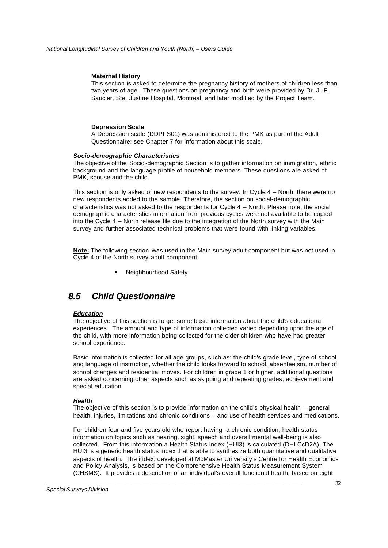#### **Maternal History**

This section is asked to determine the pregnancy history of mothers of children less than two years of age. These questions on pregnancy and birth were provided by Dr. J.-F. Saucier, Ste. Justine Hospital, Montreal, and later modified by the Project Team.

#### **Depression Scale**

A Depression scale (DDPPS01) was administered to the PMK as part of the Adult Questionnaire; see Chapter 7 for information about this scale.

#### *Socio-demographic Characteristics*

The objective of the Socio -demographic Section is to gather information on immigration, ethnic background and the language profile of household members. These questions are asked of PMK, spouse and the child.

This section is only asked of new respondents to the survey. In Cycle 4 – North, there were no new respondents added to the sample. Therefore, the section on social-demographic characteristics was not asked to the respondents for Cycle 4 – North. Please note, the social demographic characteristics information from previous cycles were not available to be copied into the Cycle 4 – North release file due to the integration of the North survey with the Main survey and further associated technical problems that were found with linking variables.

**Note:** The following section was used in the Main survey adult component but was not used in Cycle 4 of the North survey adult component.

• Neighbourhood Safety

### *8.5 Child Questionnaire*

#### *Education*

The objective of this section is to get some basic information about the child's educational experiences. The amount and type of information collected varied depending upon the age of the child, with more information being collected for the older children who have had greater school experience.

Basic information is collected for all age groups, such as: the child's grade level, type of school and language of instruction, whether the child looks forward to school, absenteeism, number of school changes and residential moves. For children in grade 1 or higher, additional questions are asked concerning other aspects such as skipping and repeating grades, achievement and special education.

#### *Health*

The objective of this section is to provide information on the child's physical health – general health, injuries, limitations and chronic conditions – and use of health services and medications.

For children four and five years old who report having a chronic condition, health status information on topics such as hearing, sight, speech and overall mental well-being is also collected. From this information a Health Status Index (HUI3) is calculated (DHLCcD2A). The HUI3 is a generic health status index that is able to synthesize both quantitative and qualitative aspects of health. The index, developed at McMaster University's Centre for Health Economics and Policy Analysis, is based on the Comprehensive Health Status Measurement System (CHSMS). It provides a description of an individual's overall functional health, based on eight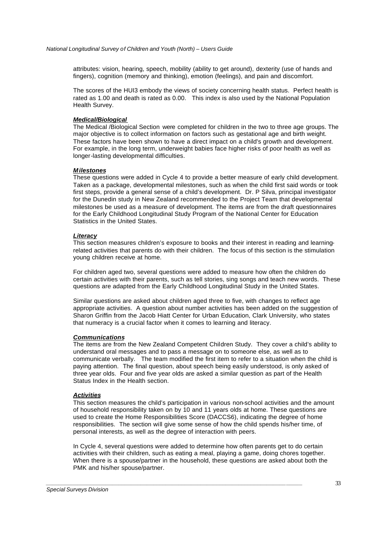attributes: vision, hearing, speech, mobility (ability to get around), dexterity (use of hands and fingers), cognition (memory and thinking), emotion (feelings), and pain and discomfort.

The scores of the HUI3 embody the views of society concerning health status. Perfect health is rated as 1.00 and death is rated as 0.00. This index is also used by the National Population Health Survey.

### *Medical/Biological*

The Medical /Biological Section were completed for children in the two to three age groups. The major objective is to collect information on factors such as gestational age and birth weight. These factors have been shown to have a direct impact on a child's growth and development. For example, in the long term, underweight babies face higher risks of poor health as well as longer-lasting developmental difficulties.

### *Milestones*

These questions were added in Cycle 4 to provide a better measure of early child development. Taken as a package, developmental milestones, such as when the child first said words or took first steps, provide a general sense of a child's development. Dr. P Silva, principal investigator for the Dunedin study in New Zealand recommended to the Project Team that developmental milestones be used as a measure of development. The items are from the draft questionnaires for the Early Childhood Longitudinal Study Program of the National Center for Education Statistics in the United States.

### *Literacy*

This section measures children's exposure to books and their interest in reading and learningrelated activities that parents do with their children. The focus of this section is the stimulation young children receive at home.

For children aged two, several questions were added to measure how often the children do certain activities with their parents, such as tell stories, sing songs and teach new words. These questions are adapted from the Early Childhood Longitudinal Study in the United States.

Similar questions are asked about children aged three to five, with changes to reflect age appropriate activities. A question about number activities has been added on the suggestion of Sharon Griffin from the Jacob Hiatt Center for Urban Education, Clark University, who states that numeracy is a crucial factor when it comes to learning and literacy.

### *Communications*

The items are from the New Zealand Competent Children Study. They cover a child's ability to understand oral messages and to pass a message on to someone else, as well as to communicate verbally. The team modified the first item to refer to a situation when the child is paying attention. The final question, about speech being easily understood, is only asked of three year olds. Four and five year olds are asked a similar question as part of the Health Status Index in the Health section.

### *Activities*

This section measures the child's participation in various non-school activities and the amount of household responsibility taken on by 10 and 11 years olds at home. These questions are used to create the Home Responsibilities Score (DACCS6), indicating the degree of home responsibilities. The section will give some sense of how the child spends his/her time, of personal interests, as well as the degree of interaction with peers.

In Cycle 4, several questions were added to determine how often parents get to do certain activities with their children, such as eating a meal, playing a game, doing chores together. When there is a spouse/partner in the household, these questions are asked about both the PMK and his/her spouse/partner.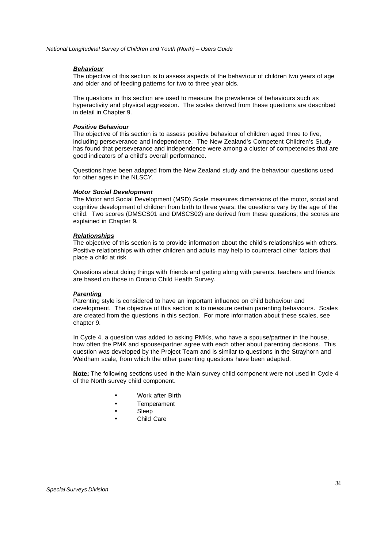### *Behaviour*

The objective of this section is to assess aspects of the behaviour of children two years of age and older and of feeding patterns for two to three year olds.

The questions in this section are used to measure the prevalence of behaviours such as hyperactivity and physical aggression. The scales derived from these questions are described in detail in Chapter 9.

### *Positive Behaviour*

The objective of this section is to assess positive behaviour of children aged three to five, including perseverance and independence. The New Zealand's Competent Children's Study has found that perseverance and independence were among a cluster of competencies that are good indicators of a child's overall performance.

Questions have been adapted from the New Zealand study and the behaviour questions used for other ages in the NLSCY.

### *Motor Social Development*

The Motor and Social Development (MSD) Scale measures dimensions of the motor, social and cognitive development of children from birth to three years; the questions vary by the age of the child. Two scores (DMSCS01 and DMSCS02) are derived from these questions; the scores are explained in Chapter 9.

## *Relationships*

The objective of this section is to provide information about the child's relationships with others. Positive relationships with other children and adults may help to counteract other factors that place a child at risk.

Questions about doing things with friends and getting along with parents, teachers and friends are based on those in Ontario Child Health Survey.

## *Parenting*

Parenting style is considered to have an important influence on child behaviour and development. The objective of this section is to measure certain parenting behaviours. Scales are created from the questions in this section. For more information about these scales, see chapter 9.

In Cycle 4, a question was added to asking PMKs, who have a spouse/partner in the house, how often the PMK and spouse/partner agree with each other about parenting decisions. This question was developed by the Project Team and is similar to questions in the Strayhorn and Weidham scale, from which the other parenting questions have been adapted.

**Note:** The following sections used in the Main survey child component were not used in Cycle 4 of the North survey child component.

Work after Birth

- **Temperament**
- Sleep
- Child Care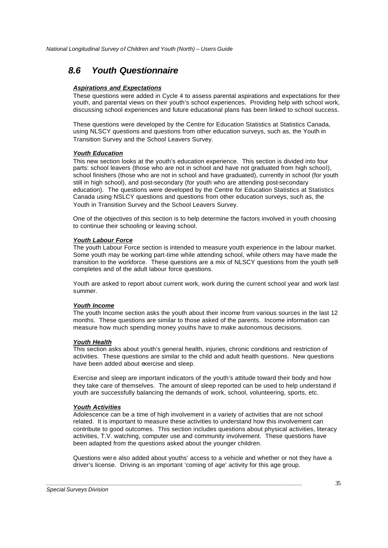# *8.6 Youth Questionnaire*

## *Aspirations and Expectations*

These questions were added in Cycle 4 to assess parental aspirations and expectations for their youth, and parental views on their youth's school experiences. Providing help with school work, discussing school experiences and future educational plans has been linked to school success.

These questions were developed by the Centre for Education Statistics at Statistics Canada, using NLSCY questions and questions from other education surveys, such as, the Youth in Transition Survey and the School Leavers Survey.

### *Youth Education*

This new section looks at the youth's education experience. This section is divided into four parts: school leavers (those who are not in school and have not graduated from high school), school finishers (those who are not in school and have graduated), currently in school (for youth still in high school), and post-secondary (for youth who are attending post-secondary education). The questions were developed by the Centre for Education Statistics at Statistics Canada using NSLCY questions and questions from other education surveys, such as, the Youth in Transition Survey and the School Leavers Survey.

One of the objectives of this section is to help determine the factors involved in youth choosing to continue their schooling or leaving school.

### *Youth Labour Force*

The youth Labour Force section is intended to measure youth experience in the labour market. Some youth may be working part-time while attending school, while others may have made the transition to the workforce. These questions are a mix of NLSCY questions from the youth selfcompletes and of the adult labour force questions.

Youth are asked to report about current work, work during the current school year and work last summer.

### *Youth Income*

The youth Income section asks the youth about their income from various sources in the last 12 months. These questions are similar to those asked of the parents. Income information can measure how much spending money youths have to make autonomous decisions.

### *Youth Health*

This section asks about youth's general health, injuries, chronic conditions and restriction of activities. These questions are similar to the child and adult health questions. New questions have been added about exercise and sleep.

Exercise and sleep are important indicators of the youth's attitude toward their body and how they take care of themselves. The amount of sleep reported can be used to help understand if youth are successfully balancing the demands of work, school, volunteering, sports, etc.

### *Youth Activities*

Adolescence can be a time of high involvement in a variety of activities that are not school related. It is important to measure these activities to understand how this involvement can contribute to good outcomes. This section includes questions about physical activities, literacy activities, T.V. watching, computer use and community involvement. These questions have been adapted from the questions asked about the younger children.

Questions were also added about youths' access to a vehicle and whether or not they have a driver's license. Driving is an important 'coming of age' activity for this age group.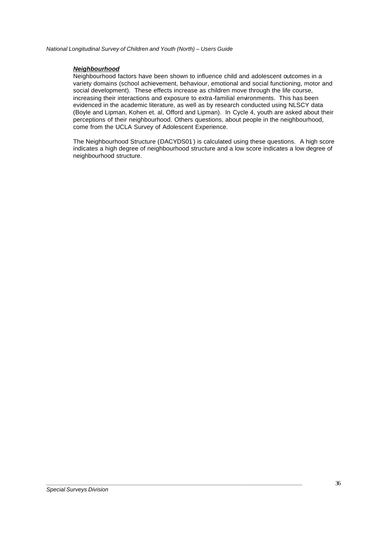## *Neighbourhood*

Neighbourhood factors have been shown to influence child and adolescent outcomes in a variety domains (school achievement, behaviour, emotional and social functioning, motor and social development). These effects increase as children move through the life course, increasing their interactions and exposure to extra-familial environments. This has been evidenced in the academic literature, as well as by research conducted using NLSCY data (Boyle and Lipman, Kohen et. al, Offord and Lipman). In Cycle 4, youth are asked about their perceptions of their neighbourhood. Others questions, about people in the neighbourhood, come from the UCLA Survey of Adolescent Experience.

The Neighbourhood Structure (DACYDS01 ) is calculated using these questions. A high score indicates a high degree of neighbourhood structure and a low score indicates a low degree of neighbourhood structure.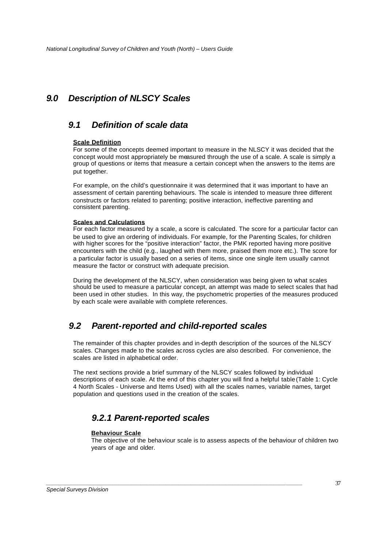# *9.0 Description of NLSCY Scales*

# *9.1 Definition of scale data*

## **Scale Definition**

For some of the concepts deemed important to measure in the NLSCY it was decided that the concept would most appropriately be measured through the use of a scale. A scale is simply a group of questions or items that measure a certain concept when the answers to the items are put together.

For example, on the child's questionnaire it was determined that it was important to have an assessment of certain parenting behaviours. The scale is intended to measure three different constructs or factors related to parenting; positive interaction, ineffective parenting and consistent parenting.

### **Scales and Calculations**

For each factor measured by a scale, a score is calculated. The score for a particular factor can be used to give an ordering of individuals. For example, for the Parenting Scales, for children with higher scores for the "positive interaction" factor, the PMK reported having more positive encounters with the child (e.g., laughed with them more, praised them more etc.). The score for a particular factor is usually based on a series of items, since one single item usually cannot measure the factor or construct with adequate precision.

During the development of the NLSCY, when consideration was being given to what scales should be used to measure a particular concept, an attempt was made to select scales that had been used in other studies. In this way, the psychometric properties of the measures produced by each scale were available with complete references.

# *9.2 Parent-reported and child-reported scales*

The remainder of this chapter provides and in-depth description of the sources of the NLSCY scales. Changes made to the scales across cycles are also described. For convenience, the scales are listed in alphabetical order.

The next sections provide a brief summary of the NLSCY scales followed by individual descriptions of each scale. At the end of this chapter you will find a helpful table (Table 1: Cycle 4 North Scales - Universe and Items Used) with all the scales names, variable names, target population and questions used in the creation of the scales.

# *9.2.1 Parent-reported scales*

*\_\_\_\_\_\_\_\_\_\_\_\_\_\_\_\_\_\_\_\_\_\_\_\_\_\_\_\_\_\_\_\_\_\_\_\_\_\_\_\_\_\_\_\_\_\_\_\_\_\_\_\_\_\_\_\_\_\_\_\_\_\_\_\_\_\_\_\_\_\_\_\_\_\_\_\_\_\_\_\_\_*

## **Behaviour Scale**

The objective of the behaviour scale is to assess aspects of the behaviour of children two years of age and older.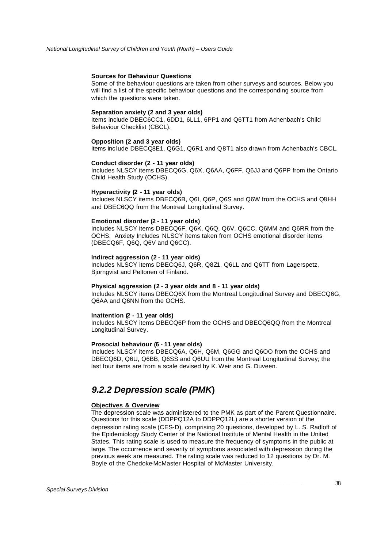### **Sources for Behaviour Questions**

Some of the behaviour questions are taken from other surveys and sources. Below you will find a list of the specific behaviour questions and the corresponding source from which the questions were taken.

#### **Separation anxiety (2 and 3 year olds)**

Items include DBEC6CC1, 6DD1, 6LL1, 6PP1 and Q6TT1 from Achenbach's Child Behaviour Checklist (CBCL).

#### **Opposition (2 and 3 year olds)**

Items inc lude DBECQ8E1, Q6G1, Q6R1 and Q8T1 also drawn from Achenbach's CBCL.

#### **Conduct disorder (2 - 11 year olds)**

Includes NLSCY items DBECQ6G, Q6X, Q6AA, Q6FF, Q6JJ and Q6PP from the Ontario Child Health Study (OCHS).

#### **Hyperactivity (2 - 11 year olds)**

Includes NLSCY items DBECQ6B, Q6I, Q6P, Q6S and Q6W from the OCHS and Q8HH and DBEC6QQ from the Montreal Longitudinal Survey.

#### **Emotional disorder (2 - 11 year olds)**

Includes NLSCY items DBECQ6F, Q6K, Q6Q, Q6V, Q6CC, Q6MM and Q6RR from the OCHS. Anxiety Includes NLSCY items taken from OCHS emotional disorder items (DBECQ6F, Q6Q, Q6V and Q6CC).

#### **Indirect aggression (2 - 11 year olds)**

Includes NLSCY items DBECQ6J, Q6R, Q8Z1, Q6LL and Q6TT from Lagerspetz, Bjorngvist and Peltonen of Finland.

#### **Physical aggression (2 - 3 year olds and 8 - 11 year olds)**

Includes NLSCY items DBECQ6X from the Montreal Longitudinal Survey and DBECQ6G, Q6AA and Q6NN from the OCHS.

#### **Inattention (2 - 11 year olds)**

Includes NLSCY items DBECQ6P from the OCHS and DBECQ6QQ from the Montreal Longitudinal Survey.

### **Prosocial behaviour (6 - 11 year olds)**

Includes NLSCY items DBECQ6A, Q6H, Q6M, Q6GG and Q6OO from the OCHS and DBECQ6D, Q6U, Q6BB, Q6SS and Q6UU from the Montreal Longitudinal Survey; the last four items are from a scale devised by K. Weir and G. Duveen.

# *9.2.2 Depression scale (PMK***)**

*\_\_\_\_\_\_\_\_\_\_\_\_\_\_\_\_\_\_\_\_\_\_\_\_\_\_\_\_\_\_\_\_\_\_\_\_\_\_\_\_\_\_\_\_\_\_\_\_\_\_\_\_\_\_\_\_\_\_\_\_\_\_\_\_\_\_\_\_\_\_\_\_\_\_\_\_\_\_\_\_\_*

### **Objectives & Overview**

The depression scale was administered to the PMK as part of the Parent Questionnaire. Questions for this scale (DDPPQ12A to DDPPQ12L) are a shorter version of the depression rating scale (CES-D), comprising 20 questions, developed by L. S. Radloff of the Epidemiology Study Center of the National Institute of Mental Health in the United States. This rating scale is used to measure the frequency of symptoms in the public at large. The occurrence and severity of symptoms associated with depression during the previous week are measured. The rating scale was reduced to 12 questions by Dr. M. Boyle of the Chedoke-McMaster Hospital of McMaster University.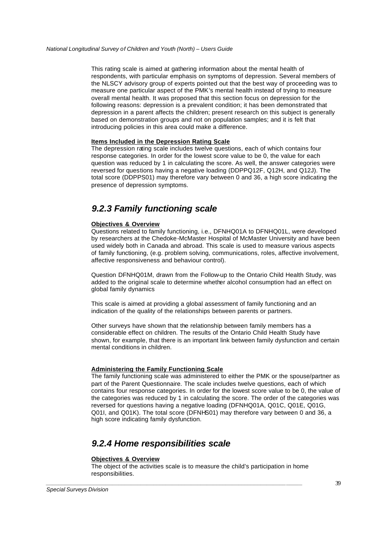This rating scale is aimed at gathering information about the mental health of respondents, with particular emphasis on symptoms of depression. Several members of the NLSCY advisory group of experts pointed out that the best way of proceeding was to measure one particular aspect of the PMK's mental health instead of trying to measure overall mental health. It was proposed that this section focus on depression for the following reasons: depression is a prevalent condition; it has been demonstrated that depression in a parent affects the children; present research on this subject is generally based on demonstration groups and not on population samples; and it is felt that introducing policies in this area could make a difference.

### **Items Included in the Depression Rating Scale**

The depression rating scale includes twelve questions, each of which contains four response categories. In order for the lowest score value to be 0, the value for each question was reduced by 1 in calculating the score. As well, the answer categories were reversed for questions having a negative loading (DDPPQ12F, Q12H, and Q12J). The total score (DDPPS01) may therefore vary between 0 and 36, a high score indicating the presence of depression symptoms.

# *9.2.3 Family functioning scale*

### **Objectives & Overview**

Questions related to family functioning, i.e., DFNHQ01A to DFNHQ01L, were developed by researchers at the Chedoke-McMaster Hospital of McMaster University and have been used widely both in Canada and abroad. This scale is used to measure various aspects of family functioning, (e.g. problem solving, communications, roles, affective involvement, affective responsiveness and behaviour control).

Question DFNHQ01M, drawn from the Follow-up to the Ontario Child Health Study, was added to the original scale to determine whether alcohol consumption had an effect on global family dynamics

This scale is aimed at providing a global assessment of family functioning and an indication of the quality of the relationships between parents or partners.

Other surveys have shown that the relationship between family members has a considerable effect on children. The results of the Ontario Child Health Study have shown, for example, that there is an important link between family dysfunction and certain mental conditions in children.

## **Administering the Family Functioning Scale**

The family functioning scale was administered to either the PMK or the spouse/partner as part of the Parent Questionnaire. The scale includes twelve questions, each of which contains four response categories. In order for the lowest score value to be 0, the value of the categories was reduced by 1 in calculating the score. The order of the categories was reversed for questions having a negative loading (DFNHQ01A, Q01C, Q01E, Q01G, Q01I, and Q01K). The total score (DFNHS01) may therefore vary between 0 and 36, a high score indicating family dysfunction.

# *9.2.4 Home responsibilities scale*

*\_\_\_\_\_\_\_\_\_\_\_\_\_\_\_\_\_\_\_\_\_\_\_\_\_\_\_\_\_\_\_\_\_\_\_\_\_\_\_\_\_\_\_\_\_\_\_\_\_\_\_\_\_\_\_\_\_\_\_\_\_\_\_\_\_\_\_\_\_\_\_\_\_\_\_\_\_\_\_\_\_*

## **Objectives & Overview**

The object of the activities scale is to measure the child's participation in home responsibilities.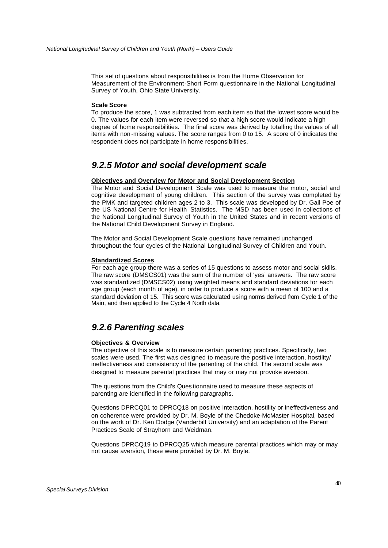This set of questions about responsibilities is from the Home Observation for Measurement of the Environment-Short Form questionnaire in the National Longitudinal Survey of Youth, Ohio State University.

### **Scale Score**

To produce the score, 1 was subtracted from each item so that the lowest score would be 0. The values for each item were reversed so that a high score would indicate a high degree of home responsibilities. The final score was derived by totalling the values of all items with non -missing values. The score ranges from 0 to 15. A score of 0 indicates the respondent does not participate in home responsibilities.

# *9.2.5 Motor and social development scale*

## **Objectives and Overview for Motor and Social Development Section**

The Motor and Social Development Scale was used to measure the motor, social and cognitive development of young children. This section of the survey was completed by the PMK and targeted children ages 2 to 3. This scale was developed by Dr. Gail Poe of the US National Centre for Health Statistics. The MSD has been used in collections of the National Longitudinal Survey of Youth in the United States and in recent versions of the National Child Development Survey in England.

The Motor and Social Development Scale questions have remained unchanged throughout the four cycles of the National Longitudinal Survey of Children and Youth.

### **Standardized Scores**

For each age group there was a series of 15 questions to assess motor and social skills. The raw score (DMSCS01) was the sum of the number of 'yes' answers. The raw score was standardized (DMSCS02) using weighted means and standard deviations for each age group (each month of age), in order to produce a score with a mean of 100 and a standard deviation of 15. This score was calculated using norms derived from Cycle 1 of the Main, and then applied to the Cycle 4 North data.

# *9.2.6 Parenting scales*

### **Objectives & Overview**

The objective of this scale is to measure certain parenting practices. Specifically, two scales were used. The first was designed to measure the positive interaction, hostility/ ineffectiveness and consistency of the parenting of the child. The second scale was designed to measure parental practices that may or may not provoke aversion.

The questions from the Child's Ques tionnaire used to measure these aspects of parenting are identified in the following paragraphs.

*\_\_\_\_\_\_\_\_\_\_\_\_\_\_\_\_\_\_\_\_\_\_\_\_\_\_\_\_\_\_\_\_\_\_\_\_\_\_\_\_\_\_\_\_\_\_\_\_\_\_\_\_\_\_\_\_\_\_\_\_\_\_\_\_\_\_\_\_\_\_\_\_\_\_\_\_\_\_\_\_\_*

Questions DPRCQ01 to DPRCQ18 on positive interaction, hostility or ineffectiveness and on coherence were provided by Dr. M. Boyle of the Chedoke-McMaster Hospital, based on the work of Dr. Ken Dodge (Vanderbilt University) and an adaptation of the Parent Practices Scale of Strayhorn and Weidman.

Questions DPRCQ19 to DPRCQ25 which measure parental practices which may or may not cause aversion, these were provided by Dr. M. Boyle.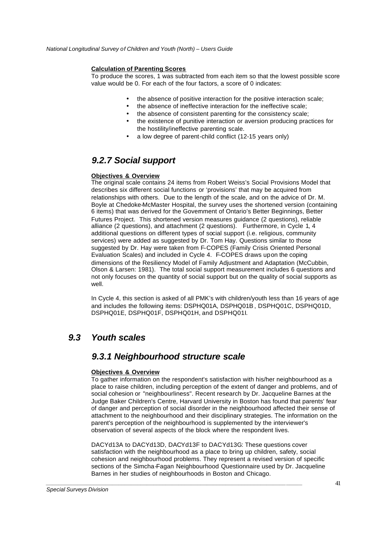## **Calculation of Parenting Scores**

To produce the scores, 1 was subtracted from each item so that the lowest possible score value would be 0. For each of the four factors, a score of 0 indicates:

- the absence of positive interaction for the positive interaction scale;
- the absence of ineffective interaction for the ineffective scale;
- the absence of consistent parenting for the consistency scale;
- the existence of punitive interaction or aversion producing practices for the hostility/ineffective parenting scale.
- a low degree of parent-child conflict (12-15 years only)

# *9.2.7 Social support*

## **Objectives & Overview**

The original scale contains 24 items from Robert Weiss's Social Provisions Model that describes six different social functions or 'provisions' that may be acquired from relationships with others. Due to the length of the scale, and on the advice of Dr. M. Boyle at Chedoke-McMaster Hospital, the survey uses the shortened version (containing 6 items) that was derived for the Government of Ontario's Better Beginnings, Better Futures Project. This shortened version measures guidance (2 questions), reliable alliance (2 questions), and attachment (2 questions). Furthermore, in Cycle 1, 4 additional questions on different types of social support (i.e. religious, community services) were added as suggested by Dr. Tom Hay. Questions similar to those suggested by Dr. Hay were taken from F-COPES (Family Crisis Oriented Personal Evaluation Scales) and included in Cycle 4. F-COPES draws upon the coping dimensions of the Resiliency Model of Family Adjustment and Adaptation (McCubbin, Olson & Larsen: 1981). The total social support measurement includes 6 questions and not only focuses on the quantity of social support but on the quality of social supports as well.

In Cycle 4, this section is asked of all PMK's with children/youth less than 16 years of age and includes the following items: DSPHQ01A, DSPHQ01B, DSPHQ01C, DSPHQ01D, DSPHQ01E, DSPHQ01F, DSPHQ01H, and DSPHQ01I.

# *9.3 Youth scales*

# *9.3.1 Neighbourhood structure scale*

*\_\_\_\_\_\_\_\_\_\_\_\_\_\_\_\_\_\_\_\_\_\_\_\_\_\_\_\_\_\_\_\_\_\_\_\_\_\_\_\_\_\_\_\_\_\_\_\_\_\_\_\_\_\_\_\_\_\_\_\_\_\_\_\_\_\_\_\_\_\_\_\_\_\_\_\_\_\_\_\_\_*

## **Objectives & Overview**

To gather information on the respondent's satisfaction with his/her neighbourhood as a place to raise children, including perception of the extent of danger and problems, and of social cohesion or "neighbourliness". Recent research by Dr. Jacqueline Barnes at the Judge Baker Children's Centre, Harvard University in Boston has found that parents' fear of danger and perception of social disorder in the neighbourhood affected their sense of attachment to the neighbourhood and their disciplinary strategies. The information on the parent's perception of the neighbourhood is supplemented by the interviewer's observation of several aspects of the block where the respondent lives.

DACYd13A to DACYd13D, DACYd13F to DACYd13G: These questions cover satisfaction with the neighbourhood as a place to bring up children, safety, social cohesion and neighbourhood problems. They represent a revised version of specific sections of the Simcha-Fagan Neighbourhood Questionnaire used by Dr. Jacqueline Barnes in her studies of neighbourhoods in Boston and Chicago.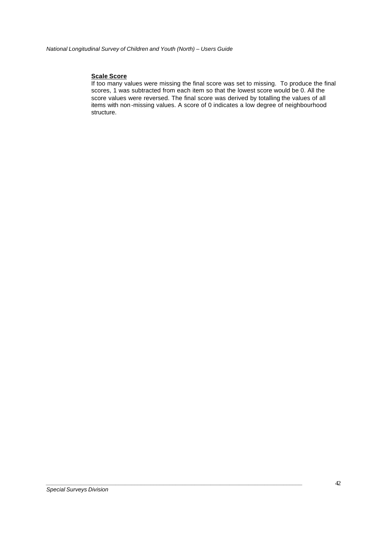## **Scale Score**

If too many values were missing the final score was set to missing. To produce the final scores, 1 was subtracted from each item so that the lowest score would be 0. All the score values were reversed. The final score was derived by totalling the values of all items with non -missing values. A score of 0 indicates a low degree of neighbourhood structure.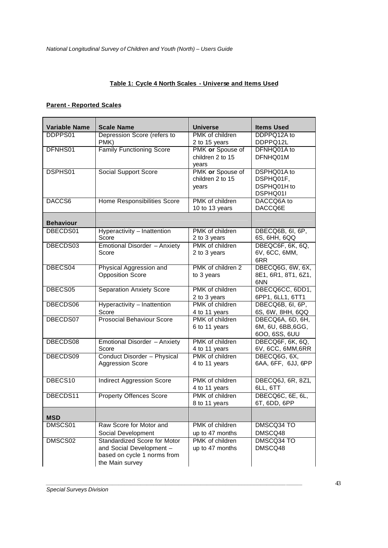## **Table 1: Cycle 4 North Scales - Universe and Items Used**

## **Parent - Reported Scales**

| <b>Variable Name</b> | <b>Scale Name</b>                   | <b>Universe</b>   | <b>Items Used</b>   |
|----------------------|-------------------------------------|-------------------|---------------------|
| DDPPS01              | Depression Score (refers to         | PMK of children   | DDPPQ12A to         |
|                      | PMK)                                | 2 to 15 years     | DDPPQ12L            |
| DFNHS01              | <b>Family Functioning Score</b>     | PMK or Spouse of  | DFNHQ01A to         |
|                      |                                     | children 2 to 15  | DFNHQ01M            |
|                      |                                     | years             |                     |
| DSPHS01              | <b>Social Support Score</b>         | PMK or Spouse of  | DSPHQ01A to         |
|                      |                                     | children 2 to 15  | DSPHQ01F,           |
|                      |                                     | years             | DSPHQ01H to         |
|                      |                                     |                   | DSPHQ01I            |
| DACCS6               | Home Responsibilities Score         | PMK of children   | DACCQ6A to          |
|                      |                                     | 10 to 13 years    | DACCQ6E             |
| <b>Behaviour</b>     |                                     |                   |                     |
| DBECDS01             | Hyperactivity - Inattention         | PMK of children   | DBECQ6B, 6I, 6P,    |
|                      | Score                               | 2 to 3 years      | 6S, 6HH, 6QQ        |
| DBECDS03             | Emotional Disorder - Anxiety        | PMK of children   | DBEQC6F, 6K, 6Q,    |
|                      | Score                               | 2 to 3 years      | 6V, 6CC, 6MM,       |
|                      |                                     |                   | 6RR                 |
| DBECS04              | Physical Aggression and             | PMK of children 2 | DBECQ6G, 6W, 6X,    |
|                      | <b>Opposition Score</b>             | to 3 years        | 8E1, 6R1, 8T1, 6Z1, |
|                      |                                     |                   | 6NN                 |
| DBECS05              | <b>Separation Anxiety Score</b>     | PMK of children   | DBECQ6CC, 6DD1,     |
|                      |                                     | 2 to 3 years      | 6PP1, 6LL1, 6TT1    |
| DBECDS06             | Hyperactivity - Inattention         | PMK of children   | DBECQ6B, 6I, 6P,    |
|                      | Score                               | 4 to 11 years     | 6S, 6W, 8HH, 6QQ    |
| DBECDS07             | <b>Prosocial Behaviour Score</b>    | PMK of children   | DBECQ6A, 6D, 6H,    |
|                      |                                     | 6 to 11 years     | 6M, 6U, 6BB, 6GG,   |
|                      |                                     |                   | 600, 6SS, 6UU       |
| DBECDS08             | Emotional Disorder - Anxiety        | PMK of children   | DBECQ6F, 6K, 6Q,    |
|                      | Score                               | 4 to 11 years     | 6V, 6CC, 6MM, 6RR   |
| DBECDS09             | Conduct Disorder - Physical         | PMK of children   | DBECQ6G, 6X,        |
|                      | <b>Aggression Score</b>             | 4 to 11 years     | 6AA, 6FF, 6JJ, 6PP  |
|                      |                                     |                   |                     |
| DBECS10              | <b>Indirect Aggression Score</b>    | PMK of children   | DBECQ6J, 6R, 8Z1,   |
|                      |                                     | 4 to 11 years     | 6LL, 6TT            |
| DBECDS11             | <b>Property Offences Score</b>      | PMK of children   | DBECQ6C, 6E, 6L,    |
|                      |                                     | 8 to 11 years     | 6T, 6DD, 6PP        |
|                      |                                     |                   |                     |
| <b>MSD</b>           |                                     |                   |                     |
| DMSCS01              | Raw Score for Motor and             | PMK of children   | DMSCQ34 TO          |
|                      | Social Development                  | up to 47 months   | DMSCQ48             |
| DMSCS02              | <b>Standardized Score for Motor</b> | PMK of children   | DMSCQ34 TO          |
|                      | and Social Development -            | up to 47 months   | DMSCQ48             |
|                      | based on cycle 1 norms from         |                   |                     |
|                      | the Main survey                     |                   |                     |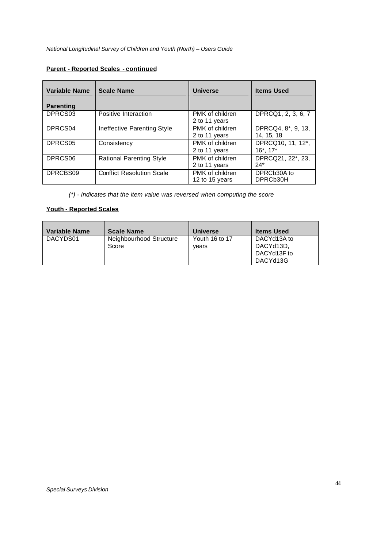## **Parent - Reported Scales - continued**

| <b>Variable Name</b> | <b>Scale Name</b>                | <b>Universe</b>                   | <b>Items Used</b>                    |
|----------------------|----------------------------------|-----------------------------------|--------------------------------------|
| <b>Parenting</b>     |                                  |                                   |                                      |
| DPRCS03              | Positive Interaction             | PMK of children<br>2 to 11 years  | DPRCQ1, 2, 3, 6, 7                   |
| DPRCS04              | Ineffective Parenting Style      | PMK of children<br>2 to 11 years  | DPRCQ4, 8*, 9, 13,<br>14, 15, 18     |
| DPRCS05              | Consistency                      | PMK of children<br>2 to 11 years  | DPRCQ10, 11, 12*,<br>$16^*$ , $17^*$ |
| DPRCS06              | <b>Rational Parenting Style</b>  | PMK of children<br>2 to 11 years  | DPRCQ21, 22*, 23,<br>$24*$           |
| DPRCBS09             | <b>Conflict Resolution Scale</b> | PMK of children<br>12 to 15 years | DPRCb30A to<br>DPRCb30H              |

*(\*) - Indicates that the item value was reversed when computing the score*

## **Youth - Reported Scales**

| Variable Name | <b>Scale Name</b>                | <b>Universe</b>         | <b>Items Used</b>                                   |
|---------------|----------------------------------|-------------------------|-----------------------------------------------------|
| DACYDS01      | Neighbourhood Structure<br>Score | Youth 16 to 17<br>vears | DACYd13A to<br>DACYd13D.<br>DACYd13F to<br>DACYd13G |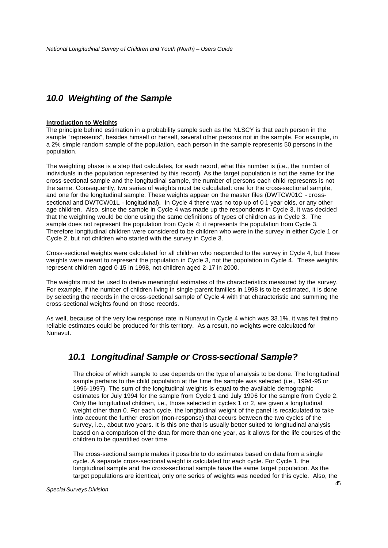# *10.0 Weighting of the Sample*

## **Introduction to Weights**

The principle behind estimation in a probability sample such as the NLSCY is that each person in the sample "represents", besides himself or herself, several other persons not in the sample. For example, in a 2% simple random sample of the population, each person in the sample represents 50 persons in the population.

The weighting phase is a step that calculates, for each record, what this number is (i.e., the number of individuals in the population represented by this record). As the target population is not the same for the cross-sectional sample and the longitudinal sample, the number of persons each child represents is not the same. Consequently, two series of weights must be calculated: one for the cross-sectional sample, and one for the longitudinal sample. These weights appear on the master files (DWTCW01C - crosssectional and DWTCW01L - longitudinal). In Cycle 4 there was no top-up of 0-1 year olds, or any other age children. Also, since the sample in Cycle 4 was made up the respondents in Cycle 3, it was decided that the weighting would be done using the same definitions of types of children as in Cycle 3. The sample does not represent the population from Cycle 4; it represents the population from Cycle 3. Therefore longitudinal children were considered to be children who were in the survey in either Cycle 1 or Cycle 2, but not children who started with the survey in Cycle 3.

Cross-sectional weights were calculated for all children who responded to the survey in Cycle 4, but these weights were meant to represent the population in Cycle 3, not the population in Cycle 4. These weights represent children aged 0-15 in 1998, not children aged 2-17 in 2000.

The weights must be used to derive meaningful estimates of the characteristics measured by the survey. For example, if the number of children living in single-parent families in 1998 is to be estimated, it is done by selecting the records in the cross-sectional sample of Cycle 4 with that characteristic and summing the cross-sectional weights found on those records.

As well, because of the very low response rate in Nunavut in Cycle 4 which was 33.1%, it was felt that no reliable estimates could be produced for this territory. As a result, no weights were calculated for Nunavut.

# *10.1 Longitudinal Sample or Cross-sectional Sample?*

The choice of which sample to use depends on the type of analysis to be done. The longitudinal sample pertains to the child population at the time the sample was selected (i.e., 1994 -95 or 1996-1997). The sum of the longitudinal weights is equal to the available demographic estimates for July 1994 for the sample from Cycle 1 and July 1996 for the sample from Cycle 2. Only the longitudinal children, i.e., those selected in cycles 1 or 2, are given a longitudinal weight other than 0. For each cycle, the longitudinal weight of the panel is recalculated to take into account the further erosion (non-response) that occurs between the two cycles of the survey, i.e., about two years. It is this one that is usually better suited to longitudinal analysis based on a comparison of the data for more than one year, as it allows for the life courses of the children to be quantified over time.

*\_\_\_\_\_\_\_\_\_\_\_\_\_\_\_\_\_\_\_\_\_\_\_\_\_\_\_\_\_\_\_\_\_\_\_\_\_\_\_\_\_\_\_\_\_\_\_\_\_\_\_\_\_\_\_\_\_\_\_\_\_\_\_\_\_\_\_\_\_\_\_\_\_\_\_\_\_\_\_\_\_* The cross-sectional sample makes it possible to do estimates based on data from a single cycle. A separate cross-sectional weight is calculated for each cycle. For Cycle 1, the longitudinal sample and the cross-sectional sample have the same target population. As the target populations are identical, only one series of weights was needed for this cycle. Also, the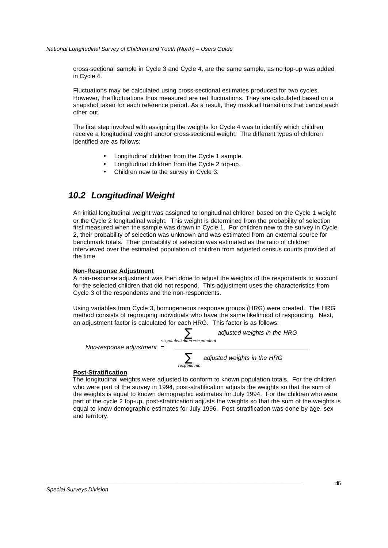cross-sectional sample in Cycle 3 and Cycle 4, are the same sample, as no top-up was added in Cycle 4.

Fluctuations may be calculated using cross-sectional estimates produced for two cycles. However, the fluctuations thus measured are net fluctuations. They are calculated based on a snapshot taken for each reference period. As a result, they mask all transitions that cancel each other out.

The first step involved with assigning the weights for Cycle 4 was to identify which children receive a longitudinal weight and/or cross-sectional weight. The different types of children identified are as follows:

- Longitudinal children from the Cycle 1 sample.
- Longitudinal children from the Cycle 2 top-up.
- Children new to the survey in Cycle 3.

# *10.2 Longitudinal Weight*

An initial longitudinal weight was assigned to longitudinal children based on the Cycle 1 weight or the Cycle 2 longitudinal weight. This weight is determined from the probability of selection first measured when the sample was drawn in Cycle 1. For children new to the survey in Cycle 2, their probability of selection was unknown and was estimated from an external source for benchmark totals. Their probability of selection was estimated as the ratio of children interviewed over the estimated population of children from adjusted census counts provided at the time.

### **Non-Response Adjustment**

A non-response adjustment was then done to adjust the weights of the respondents to account for the selected children that did not respond. This adjustment uses the characteristics from Cycle 3 of the respondents and the non-respondents.

Using variables from Cycle 3, homogeneous response groups (HRG) were created. The HRG method consists of regrouping individuals who have the same likelihood of responding. Next, an adjustment factor is calculated for each HRG. This factor is as follows:



*\_\_\_\_\_\_\_\_\_\_\_\_\_\_\_\_\_\_\_\_\_\_\_\_\_\_\_\_\_\_\_\_\_\_\_\_\_\_\_\_\_\_\_\_\_\_\_\_\_\_\_\_\_\_\_\_\_\_\_\_\_\_\_\_\_\_\_\_\_\_\_\_\_\_\_\_\_\_\_\_\_*

### **Post-Stratification**

The longitudinal weights were adjusted to conform to known population totals. For the children who were part of the survey in 1994, post-stratification adjusts the weights so that the sum of the weights is equal to known demographic estimates for July 1994. For the children who were part of the cycle 2 top-up, post-stratification adjusts the weights so that the sum of the weights is equal to know demographic estimates for July 1996. Post-stratification was done by age, sex and territory.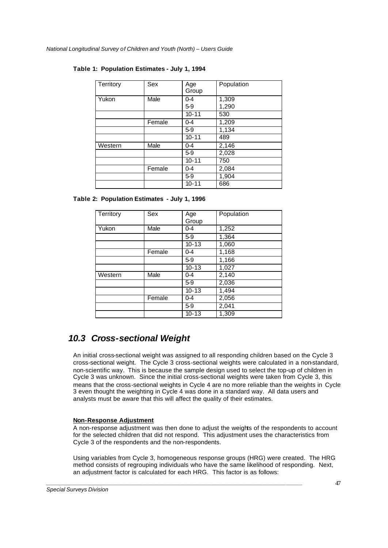| Territory | <b>Sex</b> | Age<br>Group | Population |
|-----------|------------|--------------|------------|
| Yukon     | Male       | $0 - 4$      | 1,309      |
|           |            | $5-9$        | 1,290      |
|           |            | $10 - 11$    | 530        |
|           | Female     | $0 - 4$      | 1,209      |
|           |            | $5-9$        | 1,134      |
|           |            | $10 - 11$    | 489        |
| Western   | Male       | $0 - 4$      | 2,146      |
|           |            | $5-9$        | 2,028      |
|           |            | $10 - 11$    | 750        |
|           | Female     | $0-4$        | 2,084      |
|           |            | $5-9$        | 1,904      |
|           |            | $10 - 11$    | 686        |

## **Table 1: Population Estimates - July 1, 1994**

**Table 2: Population Estimates - July 1, 1996**

| Territory | Sex    | Age<br>Group | Population         |
|-----------|--------|--------------|--------------------|
| Yukon     | Male   | $0 - 4$      | $\overline{1,252}$ |
|           |        | $5-9$        | 1,364              |
|           |        | $10 - 13$    | 1,060              |
|           | Female | $0 - 4$      | 1,168              |
|           |        | $5-9$        | 1,166              |
|           |        | $10 - 13$    | 1,027              |
| Western   | Male   | $0 - 4$      | 2,140              |
|           |        | $5-9$        | 2,036              |
|           |        | $10 - 13$    | 1,494              |
|           | Female | $0 - 4$      | 2,056              |
|           |        | $5-9$        | 2,041              |
|           |        | $10 - 13$    | 1,309              |

# *10.3 Cross-sectional Weight*

An initial cross-sectional weight was assigned to all responding children based on the Cycle 3 cross-sectional weight. The Cycle 3 cross-sectional weights were calculated in a non-standard, non-scientific way. This is because the sample design used to select the top-up of children in Cycle 3 was unknown. Since the initial cross-sectional weights were taken from Cycle 3, this means that the cross-sectional weights in Cycle 4 are no more reliable than the weights in Cycle 3 even thought the weighting in Cycle 4 was done in a standard way. All data users and analysts must be aware that this will affect the quality of their estimates.

## **Non-Response Adjustment**

A non-response adjustment was then done to adjust the weights of the respondents to account for the selected children that did not respond. This adjustment uses the characteristics from Cycle 3 of the respondents and the non-respondents.

Using variables from Cycle 3, homogeneous response groups (HRG) were created. The HRG method consists of regrouping individuals who have the same likelihood of responding. Next, an adjustment factor is calculated for each HRG. This factor is as follows: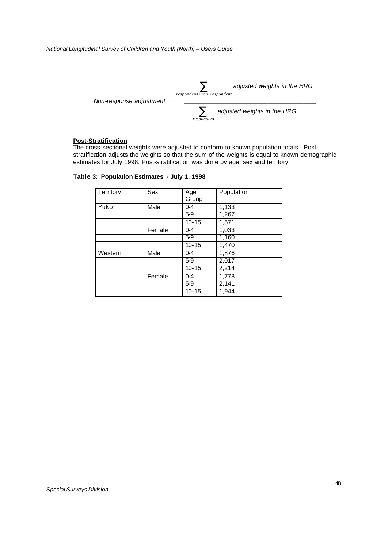

## **Post-Stratification**

The cross-sectional weights were adjusted to conform to known population totals. Poststratification adjusts the weights so that the sum of the weights is equal to known demographic estimates for July 1998. Post-stratification was done by age, sex and territory.

|  |  | Table 3: Population Estimates - July 1, 1998 |  |  |  |
|--|--|----------------------------------------------|--|--|--|
|--|--|----------------------------------------------|--|--|--|

| Territory | Sex    | Age<br>Group | Population |
|-----------|--------|--------------|------------|
| Yukon     | Male   | $0 - 4$      | 1,133      |
|           |        | $5-9$        | 1,267      |
|           |        | $10 - 15$    | 1,571      |
|           | Female | $0 - 4$      | 1,033      |
|           |        | $5-9$        | 1,160      |
|           |        | $10 - 15$    | 1,470      |
| Western   | Male   | $0 - 4$      | 1,876      |
|           |        | $5-9$        | 2,017      |
|           |        | $10 - 15$    | 2,214      |
|           | Female | $0 - 4$      | 1,778      |
|           |        | $5-9$        | 2,141      |
|           |        | $10 - 15$    | 1,944      |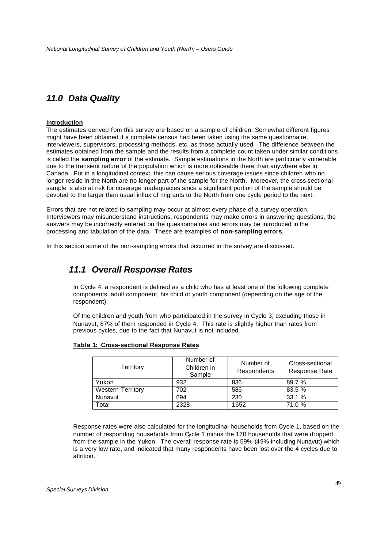# *11.0 Data Quality*

### **Introduction**

The estimates derived fom this survey are based on a sample of children. Somewhat different figures might have been obtained if a complete census had been taken using the same questionnaire, interviewers, supervisors, processing methods, etc. as those actually used. The difference between the estimates obtained from the sample and the results from a complete count taken under similar conditions is called the **sampling error** of the estimate. Sample estimations in the North are particularly vulnerable due to the transient nature of the population which is more noticeable there than anywhere else in Canada. Put in a longitudinal context, this can cause serious coverage issues since children who no longer reside in the North are no longer part of the sample for the North. Moreover, the cross-sectional sample is also at risk for coverage inadequacies since a significant portion of the sample should be devoted to the larger than usual influx of migrants to the North from one cycle period to the next.

Errors that are not related to sampling may occur at almost every phase of a survey operation. Interviewers may misunderstand instructions, respondents may make errors in answering questions, the answers may be incorrectly entered on the questionnaires and errors may be introduced in the processing and tabulation of the data. These are examples of **non-sampling errors**.

In this section some of the non-sampling errors that occurred in the survey are discussed.

# *11.1 Overall Response Rates*

In Cycle 4, a respondent is defined as a child who has at least one of the following complete components: adult component, his child or youth component (depending on the age of the respondent).

Of the children and youth from who participated in the survey in Cycle 3, excluding those in Nunavut, 87% of them responded in Cycle 4. This rate is slightly higher than rates from previous cycles, due to the fact that Nunavut is not included.

| Territory                | Number of<br>Children in<br>Sample | Number of<br>Respondents | Cross-sectional<br>Response Rate |
|--------------------------|------------------------------------|--------------------------|----------------------------------|
| Yukon                    | 932                                | 836                      | 89.7 %                           |
| <b>Western Territory</b> | 702                                | 586                      | 83.5 %                           |
| Nunavut                  | 694                                | 230                      | 33.1%                            |
| Total                    | 2328                               | 1652                     | 71.0 %                           |

## **Table 1: Cross-sectional Response Rates**

Response rates were also calculated for the longitudinal households from Cycle 1, based on the number of responding households from Cycle 1 minus the 170 households that were dropped from the sample in the Yukon. The overall response rate is 59% (49% including Nunavut) which is a very low rate, and indicated that many respondents have been lost over the 4 cycles due to attrition.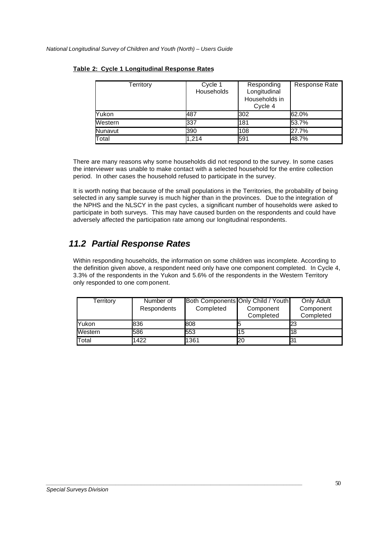| Territory | Cycle 1<br><b>Households</b> | Responding<br>Longitudinal<br>Households in<br>Cycle 4 | Response Rate |
|-----------|------------------------------|--------------------------------------------------------|---------------|
| Yukon     | 487                          | 302                                                    | 62.0%         |
| Western   | 337                          | 181                                                    | 53.7%         |
| Nunavut   | 390                          | 108                                                    | 27.7%         |
| Total     | 1.214                        | 591                                                    | 48.7%         |

## **Table 2: Cycle 1 Longitudinal Response Rates**

There are many reasons why some households did not respond to the survey. In some cases the interviewer was unable to make contact with a selected household for the entire collection period. In other cases the household refused to participate in the survey.

It is worth noting that because of the small populations in the Territories, the probability of being selected in any sample survey is much higher than in the provinces. Due to the integration of the NPHS and the NLSCY in the past cycles, a significant number of households were asked to participate in both surveys. This may have caused burden on the respondents and could have adversely affected the participation rate among our longitudinal respondents.

# *11.2 Partial Response Rates*

Within responding households, the information on some children was incomplete. According to the definition given above, a respondent need only have one component completed. In Cycle 4, 3.3% of the respondents in the Yukon and 5.6% of the respondents in the Western Territory only responded to one com ponent.

| Territory    | Number of          |           | Both Components Only Child / Youth | Only Adult             |
|--------------|--------------------|-----------|------------------------------------|------------------------|
|              | <b>Respondents</b> | Completed | Component<br>Completed             | Component<br>Completed |
| <b>Yukon</b> | 836                | 808       |                                    | 23                     |
| Western      | 586                | 553       | 15                                 | 18                     |
| Total        | 1422               | 1361      | 20                                 | 31                     |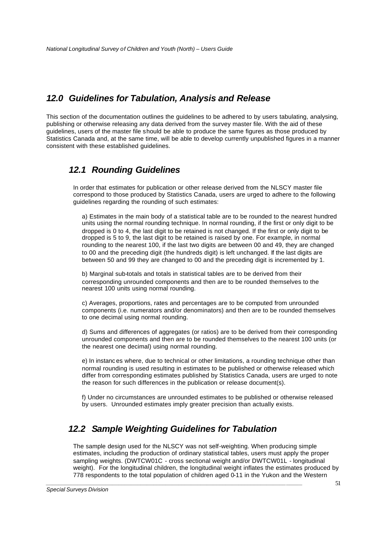# *12.0 Guidelines for Tabulation, Analysis and Release*

This section of the documentation outlines the guidelines to be adhered to by users tabulating, analysing, publishing or otherwise releasing any data derived from the survey master file. With the aid of these guidelines, users of the master file should be able to produce the same figures as those produced by Statistics Canada and, at the same time, will be able to develop currently unpublished figures in a manner consistent with these established guidelines.

# *12.1 Rounding Guidelines*

In order that estimates for publication or other release derived from the NLSCY master file correspond to those produced by Statistics Canada, users are urged to adhere to the following guidelines regarding the rounding of such estimates:

a) Estimates in the main body of a statistical table are to be rounded to the nearest hundred units using the normal rounding technique. In normal rounding, if the first or only digit to be dropped is 0 to 4, the last digit to be retained is not changed. If the first or only digit to be dropped is 5 to 9, the last digit to be retained is raised by one. For example, in normal rounding to the nearest 100, if the last two digits are between 00 and 49, they are changed to 00 and the preceding digit (the hundreds digit) is left unchanged. If the last digits are between 50 and 99 they are changed to 00 and the preceding digit is incremented by 1.

b) Marginal sub-totals and totals in statistical tables are to be derived from their corresponding unrounded components and then are to be rounded themselves to the nearest 100 units using normal rounding.

c) Averages, proportions, rates and percentages are to be computed from unrounded components (i.e. numerators and/or denominators) and then are to be rounded themselves to one decimal using normal rounding.

d) Sums and differences of aggregates (or ratios) are to be derived from their corresponding unrounded components and then are to be rounded themselves to the nearest 100 units (or the nearest one decimal) using normal rounding.

e) In instanc es where, due to technical or other limitations, a rounding technique other than normal rounding is used resulting in estimates to be published or otherwise released which differ from corresponding estimates published by Statistics Canada, users are urged to note the reason for such differences in the publication or release document(s).

f) Under no circumstances are unrounded estimates to be published or otherwise released by users. Unrounded estimates imply greater precision than actually exists.

# *12.2 Sample Weighting Guidelines for Tabulation*

*\_\_\_\_\_\_\_\_\_\_\_\_\_\_\_\_\_\_\_\_\_\_\_\_\_\_\_\_\_\_\_\_\_\_\_\_\_\_\_\_\_\_\_\_\_\_\_\_\_\_\_\_\_\_\_\_\_\_\_\_\_\_\_\_\_\_\_\_\_\_\_\_\_\_\_\_\_\_\_\_\_*

The sample design used for the NLSCY was not self-weighting. When producing simple estimates, including the production of ordinary statistical tables, users must apply the proper sampling weights. (DWTCW01C - cross sectional weight and/or DWTCW01L - longitudinal weight). For the longitudinal children, the longitudinal weight inflates the estimates produced by 778 respondents to the total population of children aged 0-11 in the Yukon and the Western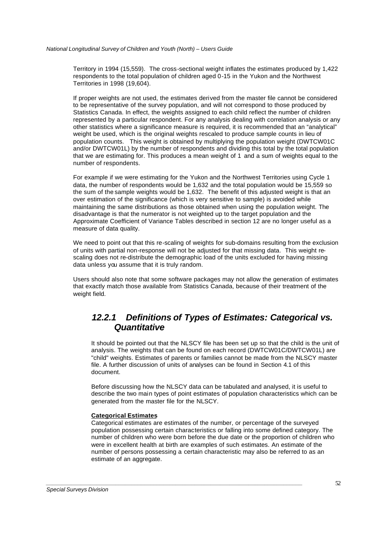Territory in 1994 (15,559). The cross-sectional weight inflates the estimates produced by 1,422 respondents to the total population of children aged 0-15 in the Yukon and the Northwest Territories in 1998 (19,604).

If proper weights are not used, the estimates derived from the master file cannot be considered to be representative of the survey population, and will not correspond to those produced by Statistics Canada. In effect, the weights assigned to each child reflect the number of children represented by a particular respondent. For any analysis dealing with correlation analysis or any other statistics where a significance measure is required, it is recommended that an "analytical" weight be used, which is the original weights rescaled to produce sample counts in lieu of population counts. This weight is obtained by multiplying the population weight (DWTCW01C and/or DWTCW01L) by the number of respondents and dividing this total by the total population that we are estimating for. This produces a mean weight of 1 and a sum of weights equal to the number of respondents.

For example if we were estimating for the Yukon and the Northwest Territories using Cycle 1 data, the number of respondents would be 1,632 and the total population would be 15,559 so the sum of the sample weights would be 1,632. The benefit of this adjusted weight is that an over estimation of the significance (which is very sensitive to sample) is avoided while maintaining the same distributions as those obtained when using the population weight. The disadvantage is that the numerator is not weighted up to the target population and the Approximate Coefficient of Variance Tables described in section 12 are no longer useful as a measure of data quality.

We need to point out that this re-scaling of weights for sub-domains resulting from the exclusion of units with partial non-response will not be adjusted for that missing data. This weight rescaling does not re-distribute the demographic load of the units excluded for having missing data unless you assume that it is truly random.

Users should also note that some software packages may not allow the generation of estimates that exactly match those available from Statistics Canada, because of their treatment of the weight field.

# *12.2.1 Definitions of Types of Estimates: Categorical vs. Quantitative*

It should be pointed out that the NLSCY file has been set up so that the child is the unit of analysis. The weights that can be found on each record (DWTCW01C/DWTCW01L) are "child" weights. Estimates of parents or families cannot be made from the NLSCY master file. A further discussion of units of analyses can be found in Section 4.1 of this document.

Before discussing how the NLSCY data can be tabulated and analysed, it is useful to describe the two main types of point estimates of population characteristics which can be generated from the master file for the NLSCY.

## **Categorical Estimates**

Categorical estimates are estimates of the number, or percentage of the surveyed population possessing certain characteristics or falling into some defined category. The number of children who were born before the due date or the proportion of children who were in excellent health at birth are examples of such estimates. An estimate of the number of persons possessing a certain characteristic may also be referred to as an estimate of an aggregate.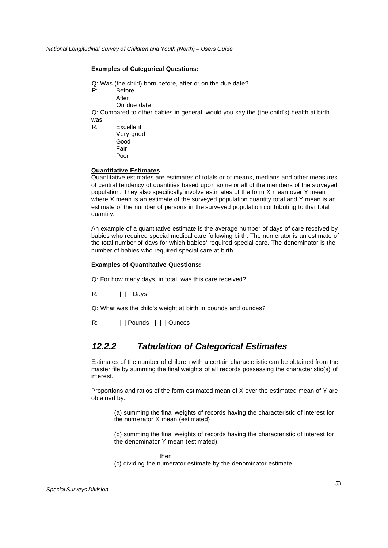### **Examples of Categorical Questions:**

- Q: Was (the child) born before, after or on the due date?
- R: Before
	- After
	- On due date

Q: Compared to other babies in general, would you say the (the child's) health at birth was:

R: Excellent Very good Good Fair Poor

## **Quantitative Estimates**

Quantitative estimates are estimates of totals or of means, medians and other measures of central tendency of quantities based upon some or all of the members of the surveyed population. They also specifically involve estimates of the form X mean over Y mean where X mean is an estimate of the surveyed population quantity total and Y mean is an estimate of the number of persons in the surveyed population contributing to that total quantity.

An example of a quantitative estimate is the average number of days of care received by babies who required special medical care following birth. The numerator is an estimate of the total number of days for which babies' required special care. The denominator is the number of babies who required special care at birth.

### **Examples of Quantitative Questions:**

Q: For how many days, in total, was this care received?

 $R: \qquad \Box \Box \Box$  Days

Q: What was the child's weight at birth in pounds and ounces?

R:  $| \_ |$  Pounds  $| \_ |$  Ounces

# *12.2.2 Tabulation of Categorical Estimates*

Estimates of the number of children with a certain characteristic can be obtained from the master file by summing the final weights of all records possessing the characteristic(s) of interest.

Proportions and ratios of the form estimated mean of X over the estimated mean of Y are obtained by:

(a) summing the final weights of records having the characteristic of interest for the num erator X mean (estimated)

(b) summing the final weights of records having the characteristic of interest for the denominator Y mean (estimated)

then

*\_\_\_\_\_\_\_\_\_\_\_\_\_\_\_\_\_\_\_\_\_\_\_\_\_\_\_\_\_\_\_\_\_\_\_\_\_\_\_\_\_\_\_\_\_\_\_\_\_\_\_\_\_\_\_\_\_\_\_\_\_\_\_\_\_\_\_\_\_\_\_\_\_\_\_\_\_\_\_\_\_*

(c) dividing the numerator estimate by the denominator estimate.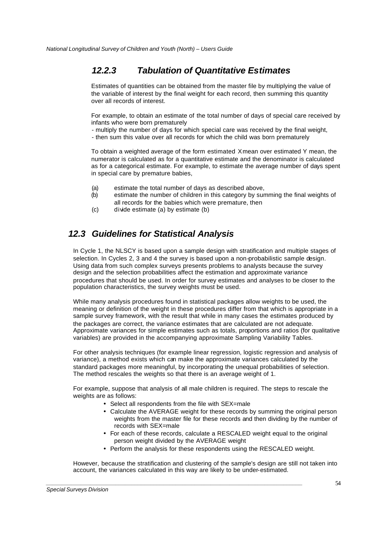# *12.2.3 Tabulation of Quantitative Estimates*

Estimates of quantities can be obtained from the master file by multiplying the value of the variable of interest by the final weight for each record, then summing this quantity over all records of interest.

For example, to obtain an estimate of the total number of days of special care received by infants who were born prematurely

- multiply the number of days for which special care was received by the final weight,

- then sum this value over all records for which the child was born prematurely

To obtain a weighted average of the form estimated X mean over estimated Y mean, the numerator is calculated as for a quantitative estimate and the denominator is calculated as for a categorical estimate. For example, to estimate the average number of days spent in special care by premature babies,

- (a) estimate the total number of days as described above,
- (b) estimate the number of children in this category by summing the final weights of all records for the babies which were premature, then
- (c) divide estimate (a) by estimate (b)

# *12.3 Guidelines for Statistical Analysis*

In Cycle 1, the NLSCY is based upon a sample design with stratification and multiple stages of selection. In Cycles 2, 3 and 4 the survey is based upon a non-probabilistic sample design. Using data from such complex surveys presents problems to analysts because the survey design and the selection probabilities affect the estimation and approximate variance procedures that should be used. In order for survey estimates and analyses to be closer to the population characteristics, the survey weights must be used.

While many analysis procedures found in statistical packages allow weights to be used, the meaning or definition of the weight in these procedures differ from that which is appropriate in a sample survey framework, with the result that while in many cases the estimates produced by the packages are correct, the variance estimates that are calculated are not adequate. Approximate variances for simple estimates such as totals, proportions and ratios (for qualitative variables) are provided in the accompanying approximate Sampling Variability Tables.

For other analysis techniques (for example linear regression, logistic regression and analysis of variance), a method exists which can make the approximate variances calculated by the standard packages more meaningful, by incorporating the unequal probabilities of selection. The method rescales the weights so that there is an average weight of 1.

For example, suppose that analysis of all male children is required. The steps to rescale the weights are as follows:

• Select all respondents from the file with SEX=male

*\_\_\_\_\_\_\_\_\_\_\_\_\_\_\_\_\_\_\_\_\_\_\_\_\_\_\_\_\_\_\_\_\_\_\_\_\_\_\_\_\_\_\_\_\_\_\_\_\_\_\_\_\_\_\_\_\_\_\_\_\_\_\_\_\_\_\_\_\_\_\_\_\_\_\_\_\_\_\_\_\_*

- Calculate the AVERAGE weight for these records by summing the original person weights from the master file for these records and then dividing by the number of records with SEX=male
- For each of these records, calculate a RESCALED weight equal to the original person weight divided by the AVERAGE weight
- Perform the analysis for these respondents using the RESCALED weight.

However, because the stratification and clustering of the sample's design are still not taken into account, the variances calculated in this way are likely to be under-estimated.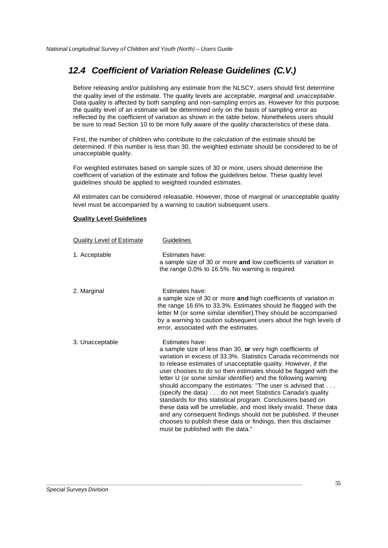# *12.4 Coefficient of Variation Release Guidelines (C.V.)*

Before releasing and/or publishing any estimate from the NLSCY, users should first determine the quality level of the estimate. The quality levels are *acceptable*, *marginal* and *unacceptable*. Data quality is affected by both sampling and non-sampling errors as. However for this purpose, the quality level of an estimate will be determined only on the basis of sampling error as reflected by the coefficient of variation as shown in the table below. Nonetheless users should be sure to read Section 10 to be more fully aware of the quality characteristics of these data.

First, the number of children who contribute to the calculation of the estimate should be determined. If this number is less than 30, the weighted estimate should be considered to be of unacceptable quality.

For weighted estimates based on sample sizes of 30 or more, users should determine the coefficient of variation of the estimate and follow the guidelines below. These quality level guidelines should be applied to weighted rounded estimates.

All estimates can be considered releasable. However, those of marginal or unacceptable quality level must be accompanied by a warning to caution subsequent users.

### **Quality Level Guidelines**

| <b>Quality Level of Estimate</b> | <b>Guidelines</b>                                                                                                                                                                                                                                                                                                                                                                                                                                                                                                                                                                                                                                                                                                                                                                                   |
|----------------------------------|-----------------------------------------------------------------------------------------------------------------------------------------------------------------------------------------------------------------------------------------------------------------------------------------------------------------------------------------------------------------------------------------------------------------------------------------------------------------------------------------------------------------------------------------------------------------------------------------------------------------------------------------------------------------------------------------------------------------------------------------------------------------------------------------------------|
| 1. Acceptable                    | Estimates have:<br>a sample size of 30 or more and low coefficients of variation in<br>the range 0.0% to 16.5%. No warning is required                                                                                                                                                                                                                                                                                                                                                                                                                                                                                                                                                                                                                                                              |
| 2. Marginal                      | Estimates have:<br>a sample size of 30 or more and high coefficients of variation in<br>the range 16.6% to 33.3%. Estimates should be flagged with the<br>letter M (or some similar identifier). They should be accompanied<br>by a warning to caution subsequent users about the high levels of<br>error, associated with the estimates.                                                                                                                                                                                                                                                                                                                                                                                                                                                           |
| 3. Unacceptable                  | Estimates have:<br>a sample size of less than 30, or very high coefficients of<br>variation in excess of 33.3%. Statistics Canada recommends not<br>to release estimates of unacceptable quality. However, if the<br>user chooses to do so then estimates should be flagged with the<br>letter U (or some similar identifier) and the following warning<br>should accompany the estimates: "The user is advised that<br>(specify the data) do not meet Statistics Canada's quality<br>standards for this statistical program. Conclusions based on<br>these data will be unreliable, and most likely invalid. These data<br>and any consequent findings should not be published. If theuser<br>chooses to publish these data or findings, then this disclaimer<br>must be published with the data." |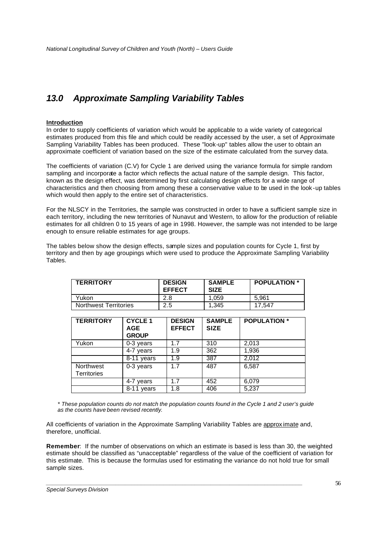# *13.0 Approximate Sampling Variability Tables*

## **Introduction**

In order to supply coefficients of variation which would be applicable to a wide variety of categorical estimates produced from this file and which could be readily accessed by the user, a set of Approximate Sampling Variability Tables has been produced. These "look-up" tables allow the user to obtain an approximate coefficient of variation based on the size of the estimate calculated from the survey data.

The coefficients of variation (C.V) for Cycle 1 are derived using the variance formula for simple random sampling and incorporate a factor which reflects the actual nature of the sample design. This factor, known as the design effect, was determined by first calculating design effects for a wide range of characteristics and then choosing from among these a conservative value to be used in the look -up tables which would then apply to the entire set of characteristics.

For the NLSCY in the Territories, the sample was constructed in order to have a sufficient sample size in each territory, including the new territories of Nunavut and Western, to allow for the production of reliable estimates for all children 0 to 15 years of age in 1998. However, the sample was not intended to be large enough to ensure reliable estimates for age groups.

The tables below show the design effects, sample sizes and population counts for Cycle 1, first by territory and then by age groupings which were used to produce the Approximate Sampling Variability Tables.

| <b>TERRITORY</b>             | <b>DESIGN</b><br><b>EFFECT</b> | <b>SAMPLE</b><br><b>SIZE</b> | <b>POPULATION</b> * |
|------------------------------|--------------------------------|------------------------------|---------------------|
| Yukon                        | 2.8                            | 1.059                        | 5.961               |
| <b>Northwest Territories</b> | 2.5                            | 1.345                        | 17.547              |

| <b>TERRITORY</b>                | <b>CYCLE 1</b><br><b>AGE</b><br><b>GROUP</b> | <b>DESIGN</b><br><b>EFFECT</b> | <b>SAMPLE</b><br><b>SIZE</b> | <b>POPULATION</b> * |
|---------------------------------|----------------------------------------------|--------------------------------|------------------------------|---------------------|
| Yukon                           | 0-3 years                                    | 1.7                            | 310                          | 2,013               |
|                                 | 4-7 years                                    | 1.9                            | 362                          | 1,936               |
|                                 | 8-11 years                                   | 1.9                            | 387                          | 2,012               |
| Northwest<br><b>Territories</b> | 0-3 years                                    | 1.7                            | 487                          | 6,587               |
|                                 | 4-7 years                                    | 1.7                            | 452                          | 6,079               |
|                                 | $8 - 11$<br>vears                            | 1.8                            | 406                          | 5,237               |

*\* These population counts do not match the population counts found in the Cycle 1 and 2 user's guide as the counts have been revised recently.*

All coefficients of variation in the Approximate Sampling Variability Tables are approx imate and, therefore, unofficial.

*\_\_\_\_\_\_\_\_\_\_\_\_\_\_\_\_\_\_\_\_\_\_\_\_\_\_\_\_\_\_\_\_\_\_\_\_\_\_\_\_\_\_\_\_\_\_\_\_\_\_\_\_\_\_\_\_\_\_\_\_\_\_\_\_\_\_\_\_\_\_\_\_\_\_\_\_\_\_\_\_\_*

**Remember**: If the number of observations on which an estimate is based is less than 30, the weighted estimate should be classified as "unacceptable" regardless of the value of the coefficient of variation for this estimate. This is because the formulas used for estimating the variance do not hold true for small sample sizes.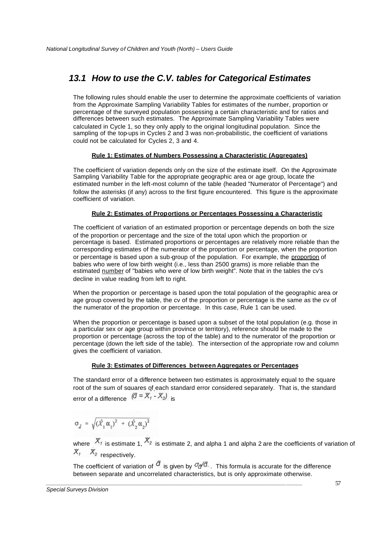# *13.1 How to use the C.V. tables for Categorical Estimates*

The following rules should enable the user to determine the approximate coefficients of variation from the Approximate Sampling Variability Tables for estimates of the number, proportion or percentage of the surveyed population possessing a certain characteristic and for ratios and differences between such estimates. The Approximate Sampling Variability Tables were calculated in Cycle 1, so they only apply to the original longitudinal population. Since the sampling of the top-ups in Cycles 2 and 3 was non-probabilistic, the coefficient of variations could not be calculated for Cycles 2, 3 and 4.

## **Rule 1: Estimates of Numbers Possessing a Characteristic (Aggregates)**

The coefficient of variation depends only on the size of the estimate itself. On the Approximate Sampling Variability Table for the appropriate geographic area or age group, locate the estimated number in the left-most column of the table (headed "Numerator of Percentage") and follow the asterisks (if any) across to the first figure encountered. This figure is the approximate coefficient of variation.

## **Rule 2: Estimates of Proportions or Percentages Possessing a Characteristic**

The coefficient of variation of an estimated proportion or percentage depends on both the size of the proportion or percentage and the size of the total upon which the proportion or percentage is based. Estimated proportions or percentages are relatively more reliable than the corresponding estimates of the numerator of the proportion or percentage, when the proportion or percentage is based upon a sub-group of the population. For example, the proportion of babies who were of low birth weight (i.e., less than 2500 grams) is more reliable than the estimated number of "babies who were of low birth weight". Note that in the tables the cv's decline in value reading from left to right.

When the proportion or percentage is based upon the total population of the geographic area or age group covered by the table, the cv of the proportion or percentage is the same as the cv of the numerator of the proportion or percentage. In this case, Rule 1 can be used.

When the proportion or percentage is based upon a subset of the total population (e.g. those in a particular sex or age group within province or territory), reference should be made to the proportion or percentage (across the top of the table) and to the numerator of the proportion or percentage (down the left side of the table). The intersection of the appropriate row and column gives the coefficient of variation.

## **Rule 3: Estimates of Differences between Aggregates or Percentages**

The standard error of a difference between two estimates is approximately equal to the square root of the sum of squares of each standard error considered separately. That is, the standard error of a difference  $\left(\vec{a} = X_1 - X_2\right)$  is

$$
\sigma_{\tilde{d}} = \sqrt{(\hat{X}_1 \alpha_1)^2 + (\hat{X}_2 \alpha_2)^2}
$$

where  $X_1$  is estimate 1,  $X_2$  is estimate 2, and alpha 1 and alpha 2 are the coefficients of variation of  $X_1$   $X_2$  respectively.

The coefficient of variation of  $\sigma$  is given by  $\sigma_{\sigma}/d$ . This formula is accurate for the difference between separate and uncorrelated characteristics, but is only approximate otherwise.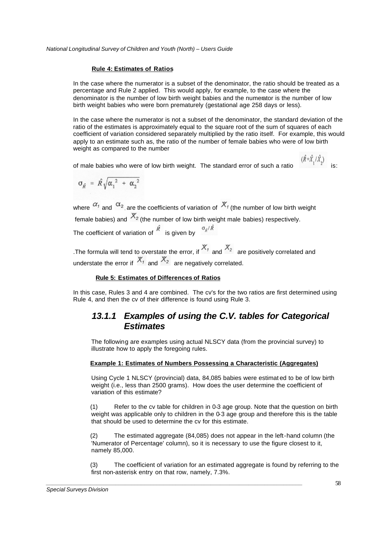### **Rule 4: Estimates of Ratios**

In the case where the numerator is a subset of the denominator, the ratio should be treated as a percentage and Rule 2 applied. This would apply, for example, to the case where the denominator is the number of low birth weight babies and the numerator is the number of low birth weight babies who were born prematurely (gestational age 258 days or less).

In the case where the numerator is not a subset of the denominator, the standard deviation of the ratio of the estimates is approximately equal to the square root of the sum of squares of each coefficient of variation considered separately multiplied by the ratio itself. For example, this would apply to an estimate such as, the ratio of the number of female babies who were of low birth weight as compared to the number

of male babies who were of low birth weight. The standard error of such a ratio is:

$$
\sigma_{\vec{R}} = \hat{R} \sqrt{{\alpha_1}^2 + {\alpha_2}^2}
$$

where  $\alpha_1$  and  $\alpha_2$  are the coefficients of variation of  $X_t$  (the number of low birth weight female babies) and  $X_2$  (the number of low birth weight male babies) respectively. The coefficient of variation of  $\widehat{R}$  is given by  $\sigma_{\hat{K}}/\hat{R}$ 

.The formula will tend to overstate the error, if  $X_7$  and  $X_2$  are positively correlated and understate the error if  $X_1$  and  $X_2$  are negatively correlated.

## **Rule 5: Estimates of Differences of Ratios**

In this case, Rules 3 and 4 are combined. The cv's for the two ratios are first determined using Rule 4, and then the cv of their difference is found using Rule 3.

# *13.1.1 Examples of using the C.V. tables for Categorical Estimates*

The following are examples using actual NLSCY data (from the provincial survey) to illustrate how to apply the foregoing rules.

### **Example 1: Estimates of Numbers Possessing a Characteristic (Aggregates)**

Using Cycle 1 NLSCY (provincial) data, 84,085 babies were estimat ed to be of low birth weight (i.e., less than 2500 grams). How does the user determine the coefficient of variation of this estimate?

(1) Refer to the cv table for children in 0-3 age group. Note that the question on birth weight was applicable only to children in the 0-3 age group and therefore this is the table that should be used to determine the cv for this estimate.

(2) The estimated aggregate (84,085) does not appear in the left-hand column (the 'Numerator of Percentage' column), so it is necessary to use the figure closest to it, namely 85,000.

(3) The coefficient of variation for an estimated aggregate is found by referring to the first non-asterisk entry on that row, namely, 7.3%.

*\_\_\_\_\_\_\_\_\_\_\_\_\_\_\_\_\_\_\_\_\_\_\_\_\_\_\_\_\_\_\_\_\_\_\_\_\_\_\_\_\_\_\_\_\_\_\_\_\_\_\_\_\_\_\_\_\_\_\_\_\_\_\_\_\_\_\_\_\_\_\_\_\_\_\_\_\_\_\_\_\_*

 $(\hat{R} = \hat{X}, / \hat{X})$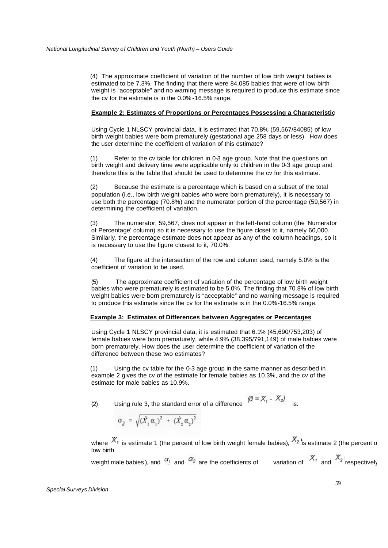(4) The approximate coefficient of variation of the number of low birth weight babies is estimated to be 7.3%. The finding that there were 84,085 babies that were of low birth weight is "acceptable" and no warning message is required to produce this estimate since the cv for the estimate is in the 0.0% -16.5% range.

## **Example 2: Estimates of Proportions or Percentages Possessing a Characteristic**

Using Cycle 1 NLSCY provincial data, it is estimated that 70.8% (59,567/84085) of low birth weight babies were born prematurely (gestational age 258 days or less). How does the user determine the coefficient of variation of this estimate?

(1) Refer to the cv table for children in 0-3 age group. Note that the questions on birth weight and delivery time were applicable only to children in the 0-3 age group and therefore this is the table that should be used to determine the cv for this estimate.

(2) Because the estimate is a percentage which is based on a subset of the total population (i.e., low birth weight babies who were born prematurely), it is necessary to use both the percentage (70.8%) and the numerator portion of the percentage (59,567) in determining the coefficient of variation.

(3) The numerator, 59,567, does not appear in the left-hand column (the 'Numerator of Percentage' column) so it is necessary to use the figure closet to it, namely 60,000. Similarly, the percentage estimate does not appear as any of the column headings, so it is necessary to use the figure closest to it, 70.0%.

(4) The figure at the intersection of the row and column used, namely 5.0% is the coefficient of variation to be used.

(5) The approximate coefficient of variation of the percentage of low birth weight babies who were prematurely is estimated to be 5.0%. The finding that 70.8% of low birth weight babies were born prematurely is "acceptable" and no warning message is required to produce this estimate since the cv for the estimate is in the 0.0%-16.5% range.

## **Example 3: Estimates of Differences between Aggregates or Percentages**

Using Cycle 1 NLSCY provincial data, it is estimated that 6.1% (45,690/753,203) of female babies were born prematurely, while 4.9% (38,395/791,149) of male babies were born prematurely. How does the user determine the coefficient of variation of the difference between these two estimates?

(1) Using the cv table for the 0-3 age group in the same manner as described in example 2 gives the cv of the estimate for female babies as 10.3%, and the cv of the estimate for male babies as 10.9%.

(2) Using rule 3, the standard error of a difference  $\left(\vec{a} = X_1 - X_2\right)$ 

$$
\sigma_{\hat{d}} = \sqrt{(\hat{X}_1 \alpha_1)^2 + (\hat{X}_2 \alpha_2)^2}
$$

*\_\_\_\_\_\_\_\_\_\_\_\_\_\_\_\_\_\_\_\_\_\_\_\_\_\_\_\_\_\_\_\_\_\_\_\_\_\_\_\_\_\_\_\_\_\_\_\_\_\_\_\_\_\_\_\_\_\_\_\_\_\_\_\_\_\_\_\_\_\_\_\_\_\_\_\_\_\_\_\_\_*

where  $X_i$  is estimate 1 (the percent of low birth weight female babies),  $X_2$  is estimate 2 (the percent of low birth

weight male babies ), and  $\alpha_1$  and  $\alpha_2$  are the coefficients of variation of  $X_1$  and  $X_2$  respectively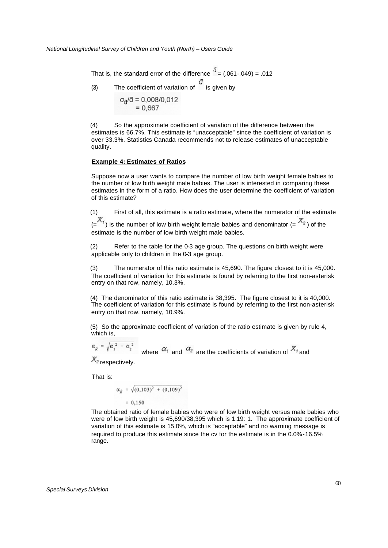That is, the standard error of the difference  $\hat{d} = (0.061 - 0.049) = 0.012$ (3) The coefficient of variation of  $\overrightarrow{a}$  is given by  $\sigma_A/d = 0.008/0.012$  $= 0.667$ 

(4) So the approximate coefficient of variation of the difference between the estimates is 66.7%. This estimate is "unacceptable" since the coefficient of variation is over 33.3%. Statistics Canada recommends not to release estimates of unacceptable quality.

### **Example 4: Estimates of Ratios**

Suppose now a user wants to compare the number of low birth weight female babies to the number of low birth weight male babies. The user is interested in comparing these estimates in the form of a ratio. How does the user determine the coefficient of variation of this estimate?

(1) First of all, this estimate is a ratio estimate, where the numerator of the estimate  $(X_1, X_2)$  is the number of low birth weight female babies and denominator (=  $X_2$ ) of the estimate is the number of low birth weight male babies.

(2) Refer to the table for the 0-3 age group. The questions on birth weight were applicable only to children in the 0-3 age group.

(3) The numerator of this ratio estimate is 45,690. The figure closest to it is 45,000. The coefficient of variation for this estimate is found by referring to the first non-asterisk entry on that row, namely, 10.3%.

(4) The denominator of this ratio estimate is 38,395. The figure closest to it is 40,000. The coefficient of variation for this estimate is found by referring to the first non-asterisk entry on that row, namely, 10.9%.

(5) So the approximate coefficient of variation of the ratio estimate is given by rule 4, which is,

$$
\alpha_{\hat{\beta}} = \sqrt{\alpha_1^2 + \alpha_2^2}
$$
 where  $\alpha_1$  and  $\alpha_2$  are the coefficients of variation of  $X_1$  and  $X_2$ 

 $\lambda_2$  respectively.

That is:

$$
\alpha_{\hat{R}} = \sqrt{(0,103)^2 + (0,109)^2}
$$
  
= 0,150

*\_\_\_\_\_\_\_\_\_\_\_\_\_\_\_\_\_\_\_\_\_\_\_\_\_\_\_\_\_\_\_\_\_\_\_\_\_\_\_\_\_\_\_\_\_\_\_\_\_\_\_\_\_\_\_\_\_\_\_\_\_\_\_\_\_\_\_\_\_\_\_\_\_\_\_\_\_\_\_\_\_*

The obtained ratio of female babies who were of low birth weight versus male babies who were of low birth weight is 45,690/38,395 which is 1.19: 1. The approximate coefficient of variation of this estimate is 15.0%, which is "acceptable" and no warning message is required to produce this estimate since the cv for the estimate is in the 0.0%-16.5% range.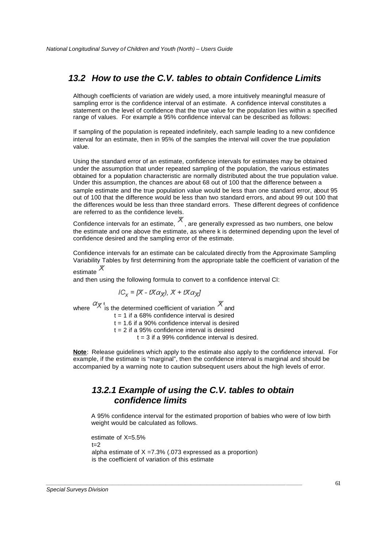# *13.2 How to use the C.V. tables to obtain Confidence Limits*

Although coefficients of variation are widely used, a more intuitively meaningful measure of sampling error is the confidence interval of an estimate. A confidence interval constitutes a statement on the level of confidence that the true value for the population lies within a specified range of values. For example a 95% confidence interval can be described as follows:

If sampling of the population is repeated indefinitely, each sample leading to a new confidence interval for an estimate, then in 95% of the samples the interval will cover the true population value.

Using the standard error of an estimate, confidence intervals for estimates may be obtained under the assumption that under repeated sampling of the population, the various estimates obtained for a population characteristic are normally distributed about the true population value. Under this assumption, the chances are about 68 out of 100 that the difference between a sample estimate and the true population value would be less than one standard error, about 95 out of 100 that the difference would be less than two standard errors, and about 99 out 100 that the differences would be less than three standard errors. These different degrees of confidence are referred to as the confidence levels.

Confidence intervals for an estimate,  $\overline{X}$ , are generally expressed as two numbers, one below the estimate and one above the estimate, as where k is determined depending upon the level of confidence desired and the sampling error of the estimate.

Confidence intervals for an estimate can be calculated directly from the Approximate Sampling Variability Tables by first determining from the appropriate table the coefficient of variation of the estimate  $\chi$ 

and then using the following formula to convert to a confidence interval CI:

$$
IC_{x} = [X - tX\alpha_{x}], X + tX\alpha_{x}]
$$

where  $\alpha$ <sup>x</sup> is the determined coefficient of variation  $\alpha$  and

 $t = 1$  if a 68% confidence interval is desired

 $t = 1.6$  if a 90% confidence interval is desired

 $t = 2$  if a 95% confidence interval is desired

 $t = 3$  if a 99% confidence interval is desired.

**Note**: Release guidelines which apply to the estimate also apply to the confidence interval. For example, if the estimate is "marginal", then the confidence interval is marginal and should be accompanied by a warning note to caution subsequent users about the high levels of error.

# *13.2.1 Example of using the C.V. tables to obtain confidence limits*

A 95% confidence interval for the estimated proportion of babies who were of low birth weight would be calculated as follows.

estimate of X=5.5%  $t - 2$ alpha estimate of  $X = 7.3\%$  (.073 expressed as a proportion) is the coefficient of variation of this estimate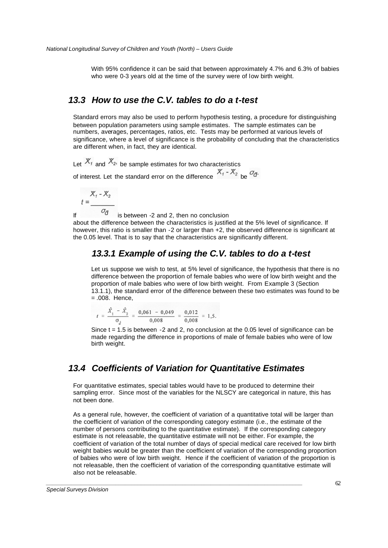With 95% confidence it can be said that between approximately 4.7% and 6.3% of babies who were 0-3 years old at the time of the survey were of low birth weight.

# *13.3 How to use the C.V. tables to do a t-test*

Standard errors may also be used to perform hypothesis testing, a procedure for distinguishing between population parameters using sample estimates. The sample estimates can be numbers, averages, percentages, ratios, etc. Tests may be performed at various levels of significance, where a level of significance is the probability of concluding that the characteristics are different when, in fact, they are identical.

Let  $X_1$  and  $X_2$ , be sample estimates for two characteristics

of interest. Let the standard error on the difference  $X_1 - X_2$  be  $\sigma_d$ .

$$
t = \frac{X_1 - X_2}{\sigma_A}
$$

If  $\frac{a}{a}$  is between -2 and 2, then no conclusion about the difference between the characteristics is justified at the 5% level of significance. If however, this ratio is smaller than -2 or larger than +2, the observed difference is significant at the 0.05 level. That is to say that the characteristics are significantly different.

# *13.3.1 Example of using the C.V. tables to do a t-test*

Let us suppose we wish to test, at 5% level of significance, the hypothesis that there is no difference between the proportion of female babies who were of low birth weight and the proportion of male babies who were of low birth weight. From Example 3 (Section 13.1.1), the standard error of the difference between these two estimates was found to be = .008. Hence,

$$
t = \frac{\hat{X}_1 - \hat{X}_2}{\sigma_d} = \frac{0.061 - 0.049}{0.008} = \frac{0.012}{0.008} = 1.5.
$$

Since  $t = 1.5$  is between  $-2$  and 2, no conclusion at the 0.05 level of significance can be made regarding the difference in proportions of male of female babies who were of low birth weight.

# *13.4 Coefficients of Variation for Quantitative Estimates*

*\_\_\_\_\_\_\_\_\_\_\_\_\_\_\_\_\_\_\_\_\_\_\_\_\_\_\_\_\_\_\_\_\_\_\_\_\_\_\_\_\_\_\_\_\_\_\_\_\_\_\_\_\_\_\_\_\_\_\_\_\_\_\_\_\_\_\_\_\_\_\_\_\_\_\_\_\_\_\_\_\_*

For quantitative estimates, special tables would have to be produced to determine their sampling error. Since most of the variables for the NLSCY are categorical in nature, this has not been done.

As a general rule, however, the coefficient of variation of a quantitative total will be larger than the coefficient of variation of the corresponding category estimate (i.e., the estimate of the number of persons contributing to the quantitative estimate). If the corresponding category estimate is not releasable, the quantitative estimate will not be either. For example, the coefficient of variation of the total number of days of special medical care received for low birth weight babies would be greater than the coefficient of variation of the corresponding proportion of babies who were of low birth weight. Hence if the coefficient of variation of the proportion is not releasable, then the coefficient of variation of the corresponding quantitative estimate will also not be releasable.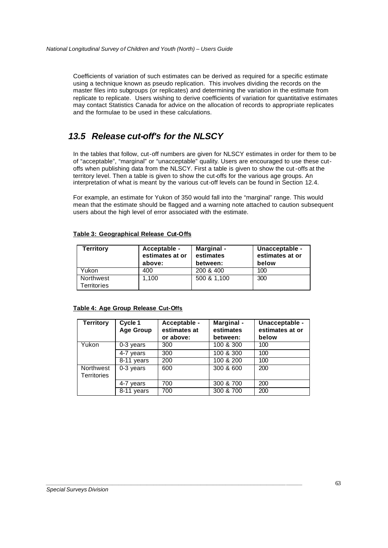Coefficients of variation of such estimates can be derived as required for a specific estimate using a technique known as pseudo replication. This involves dividing the records on the master files into subgroups (or replicates) and determining the variation in the estimate from replicate to replicate. Users wishing to derive coefficients of variation for quantitative estimates may contact Statistics Canada for advice on the allocation of records to appropriate replicates and the formulae to be used in these calculations.

# *13.5 Release cut-off's for the NLSCY*

In the tables that follow, cut-off numbers are given for NLSCY estimates in order for them to be of "acceptable", "marginal" or "unacceptable" quality. Users are encouraged to use these cutoffs when publishing data from the NLSCY. First a table is given to show the cut-offs at the territory level. Then a table is given to show the cut-offs for the various age groups. An interpretation of what is meant by the various cut-off levels can be found in Section 12.4.

For example, an estimate for Yukon of 350 would fall into the "marginal" range. This would mean that the estimate should be flagged and a warning note attached to caution subsequent users about the high level of error associated with the estimate.

## **Table 3: Geographical Release Cut-Offs**

| <b>Territory</b>         | Acceptable -<br>estimates at or<br>above: | Marginal -<br>estimates<br>between: | Unacceptable -<br>estimates at or<br>below |
|--------------------------|-------------------------------------------|-------------------------------------|--------------------------------------------|
| Yukon                    | 400                                       | 200 & 400                           | 100                                        |
| Northwest<br>Territories | 1.100                                     | 500 & 1,100                         | 300                                        |

## **Table 4: Age Group Release Cut-Offs**

| <b>Territory</b>                | Cycle 1<br><b>Age Group</b> | Acceptable -<br>estimates at<br>or above: | Marginal -<br>estimates<br>between: | Unacceptable -<br>estimates at or<br>below |
|---------------------------------|-----------------------------|-------------------------------------------|-------------------------------------|--------------------------------------------|
| Yukon                           | 0-3 years                   | 300                                       | 100 & 300                           | 100                                        |
|                                 | 4-7 years                   | 300                                       | 100 & 300                           | 100                                        |
|                                 | $8-11$ years                | 200                                       | 100 & 200                           | 100                                        |
| Northwest<br><b>Territories</b> | 0-3 years                   | 600                                       | 300 & 600                           | 200                                        |
|                                 | 4-7 years                   | 700                                       | 300 & 700                           | 200                                        |
|                                 | $\overline{8}$ -11 years    | 700                                       | 300 & 700                           | 200                                        |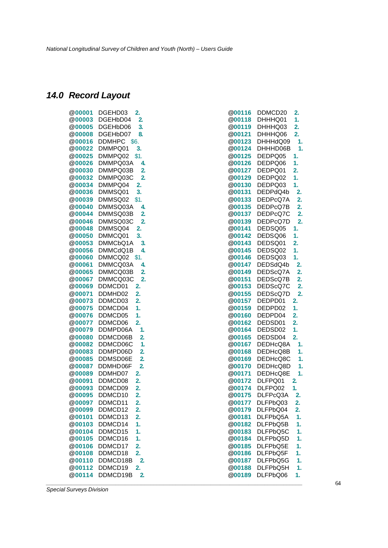# *14.0 Record Layout*

| @00001        | DGEHD03<br>2.                     | @00116        | DDMCD20  | 2.           |
|---------------|-----------------------------------|---------------|----------|--------------|
| @00003        | DGEHbD04<br>$\mathbf{2}$          | @00118        | DHHHQ01  | 1.           |
| <b>@00005</b> | 3.<br>DGEHbD06                    | <b>@00119</b> | DHHHQ03  | 2.           |
| <b>@00008</b> | DGEHbD07<br>8.                    | <b>@00121</b> | DHHHQ06  | 2.           |
|               | @00016 DDMHPC \$6.                | @00123        | DHHHdQ09 | 1.           |
| <b>@00022</b> | DMMPQ01<br>3.                     | @00124        | DHHHD06B | $\mathbf{1}$ |
| @00025        | DMMPQ02 \$1.                      | @00125        | DEDPQ05  | 1.           |
| @00026        | DMMPQ03A<br>4.                    | @00126        | DEDPQ06  | 1.           |
| @00030        | $\overline{2}$<br>DMMPQ03B        | <b>@00127</b> | DEDPQ01  | 2.           |
| @00032        | $\overline{2}$<br>DMMPQ03C        | @00129        | DEDPQ02  | 1.           |
| @00034        | DMMPQ04<br>2.                     | @00130        | DEDPQ03  | 1.           |
| <b>@00036</b> | 3.<br>DMMSQ01                     | @00131        | DEDPdQ4b | 2.           |
| @00039        | DMMSQ02<br>\$1.                   | @00133        | DEDPcQ7A | 2.           |
| <b>@00040</b> | DMMSQ03A<br>4.                    | @00135        | DEDPcQ7B | 2.           |
| <b>@00044</b> | $\overline{2}$<br>DMMSQ03B        | <b>@00137</b> | DEDPcQ7C | 2.           |
| @00046        | $\overline{2}$<br>DMMSQ03C        | @00139        | DEDPcQ7D | 2.           |
| <b>@00048</b> | DMMSQ04<br>2.                     | <b>@00141</b> | DEDSQ05  | 1.           |
| <b>@00050</b> | DMMCQ01<br>3.                     | <b>@00142</b> | DEDSQ06  | 1.           |
| @00053        | DMMCbQ1A<br>3.                    | @00143        | DEDSQ01  | 2.           |
| @00056        | DMMCdQ1B<br>4.                    | @00145        | DEDSQ02  | 1.           |
| @00060        | DMMCQ02 \$1.                      | @00146        | DEDSQ03  | 1.           |
| <b>@00061</b> | DMMCQ03A<br>4.                    | <b>@00147</b> | DEDSdQ4b | 2.           |
| @00065        | DMMCQ03B<br>$\overline{2}$        | @00149        | DEDScQ7A | 2.           |
| @00067        | 2.<br>DMMCQ03C                    | @00151        | DEDScQ7B | 2.           |
| <b>@00069</b> | DDMCD01<br>2.                     | <b>@00153</b> | DEDScQ7C | 2.           |
| @00071        | DDMHD02<br>2.                     | @00155        | DEDScQ7D | 2.           |
| @00073        | DDMCD03<br>2.                     | @00157        | DEDPD01  | 2.           |
| <b>@00075</b> | 1.<br>DDMCD04                     | @00159        | DEDPD02  | 1.           |
| @00076        | 1.<br>DDMCD05                     | @00160        | DEDPD04  | 2.           |
| <b>@00077</b> | DDMCD06<br>2.                     | @00162        | DEDSD01  | 2.           |
| <b>@00079</b> | DDMPD06A<br>1.                    | <b>@00164</b> | DEDSD02  | 1.           |
| @00080        | DDMCD06B<br>$\overline{2}$        | @00165        | DEDSD04  | 2.           |
| <b>@00082</b> | 1.<br>DDMCD06C                    | <b>@00167</b> | DEDHcQ8A | 1.           |
| @00083        | $\overline{2}$<br>DDMPD06D        | @00168        | DEDHcQ8B | 1.           |
| @00085        | $\overline{2}$<br>DDMSD06E        | @00169        | DEDHcQ8C | 1.           |
|               | $\overline{2}$<br>@00087 DDMHD06F | <b>@00170</b> | DEDHcQ8D | $\mathbf 1$  |
| @00089        | DDMHD07<br>2.                     | @00171        | DEDHcQ8E | 1.           |
| @00091        | DDMCD08<br>2.                     | @00172        | DLFPQ01  | 2.           |
| @00093        | DDMCD09<br>2.                     | @00174        | DLFPQ02  | 1.           |
| <b>@00095</b> | DDMCD10<br>2.                     | <b>@00175</b> | DLFPcQ3A | 2.           |
| <b>@00097</b> | DDMCD11<br>2.                     | <b>@00177</b> | DLFPbQ03 | 2.           |
| @00099        | DDMCD12<br>2.                     | @00179        | DLFPbQ04 | 2.           |
| @00101        | DDMCD13<br>2.                     | <b>@00181</b> | DLFPbQ5A | 1.           |
| @00103        | 1.<br>DDMCD14                     | @00182        | DLFPbQ5B | 1.           |
| @00104        | DDMCD15<br>1.                     | @00183        | DLFPbQ5C | 1.           |
| <b>@00105</b> | DDMCD16<br>1.                     | @00184        | DLFPbQ5D | 1.           |
| @00106        | DDMCD17<br>2.                     | @00185        | DLFPbQ5E | 1.           |
| @00108        | DDMCD18<br>2.                     | @00186        | DLFPbQ5F | 1.           |
| @00110        | $\overline{2}$<br>DDMCD18B        | @00187        | DLFPbQ5G | 1.           |
| @00112        | DDMCD19<br>2.                     | @00188        | DLFPbQ5H | 1.           |
| @00114        | DDMCD19B<br>$\overline{2}$        | @00189        | DLFPbQ06 | 1.           |
|               |                                   |               |          |              |

| @00116 | DDMCD20               | 2.               |
|--------|-----------------------|------------------|
| @00118 | DHHHQ01               | 1.               |
| @00119 | DHHHQ03               | 2.               |
| @00121 | DHHHQ06               | 2.               |
| @00123 | DHHHdQ09              | 1.               |
| @00124 | DHHHD06B              | 1.               |
| @00125 | DEDPQ05               | 1.               |
| @00126 | DEDPQ06               | 1.               |
| @00127 | DEDPQ01               | 2.               |
| @00129 | DEDPQ02               | 1.               |
| @00130 | DEDPQ03               | 1.               |
| @00131 | DEDPdQ4b              | 2.               |
|        |                       |                  |
| @00133 | DEDPcQ7A              | 2.               |
| @00135 | DEDPcQ7B              | 2.               |
| @00137 | DEDPcQ7C              | 2.               |
| @00139 | DEDPcQ7D              | $\overline{2}$ . |
| @00141 | DEDSQ05               | 1.               |
| @00142 | DEDSQ06               | 1.               |
| @00143 | DEDSQ01               | 2.               |
| @00145 | DEDSQ02               | 1.               |
| @00146 | DEDSQ03               | 1.               |
| @00147 | DEDSdQ4b              | 2.               |
| @00149 | DEDScQ7A              | 2.               |
| @00151 | DEDScQ7B              | 2.               |
| @00153 | DEDScQ7C              | $\overline{2}$ . |
| @00155 | DEDScQ7D              | $\overline{2}$ . |
| @00157 | DEDPD01               | 2.               |
| @00159 | DEDPD02               | 1.               |
| @00160 | DEDPD04               | $\overline{2}$ . |
| @00162 | DEDSD01               | 2.               |
| @00164 | DEDSD02               | 1.               |
| @00165 | DEDSD04               | $\overline{2}$ . |
| @00167 | DEDHcQ8A              | 1.               |
| @00168 | DEDHcQ8B              | 1.               |
| @00169 | DEDHcQ8C              | 1.               |
| @00170 | DEDHcQ8D              | 1.               |
| @00171 | DEDHcQ8E              |                  |
| @00172 | DLFPQ01               | 2                |
| @00174 | DLFPQ02               |                  |
| @00175 | DLFP <sub>c</sub> Q3A |                  |
| @00177 | DLFPbQ03              | 2.               |
| @00179 | DLFPbQ04              | 2.               |
| @00181 | DLFPbQ5A              | 1.               |
| @00182 | DLFPbQ5B              | 1.               |
|        | DLFPbQ5C              |                  |
| @00183 | DLFPbQ5D              | 1.               |
| @00184 |                       | 1.               |
| @00185 | DLFPbQ5E              | 1.               |
| @00186 | DLFPbQ5F              | 1.               |
| @00187 | DLFPbQ5G              | 1.               |
| @00188 | DLFPbQ5H              | 1.               |
| @00189 | DLFPbQ06              | 1.               |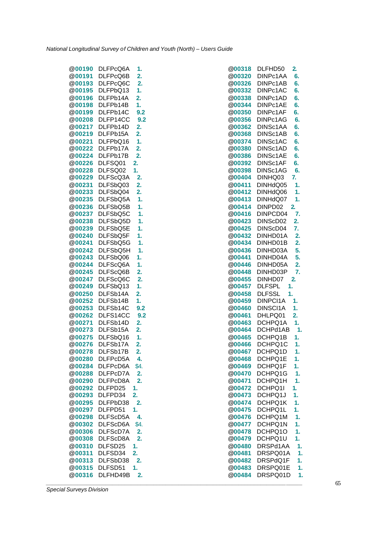| @00190        | DLFPcQ6A | 1.               |
|---------------|----------|------------------|
| @00191        | DLFPcQ6B | 2.               |
| @00193        | DLFPcQ6C | 2.               |
| @00195        | DLFPbQ13 | 1.               |
| @00196        | DLFPb14A | 2.               |
| @00198        | DLFPb14B | 1.               |
| @00199        | DLFPb14C | 9.2              |
| @00208        | DLFP14CC | 9.2              |
| @00217        | DLFPb14D | $\overline{2}$ . |
| @00219        | DLFPb15A | 2.               |
| @00221        | DLFPbQ16 | 1.               |
| @00222        | DLFPb17A | 2.               |
|               |          | $\overline{2}$ . |
| @00224        | DLFPb17B |                  |
| @00226        | DLFSQ01  | 2.               |
| @00228        | DLFSQ02  | 1.               |
| @00229        | DLFScQ3A | 2.               |
| @00231        | DLFSbQ03 | 2.               |
| @00233        | DLFSbQ04 | 2.               |
| @00235        | DLFSbQ5A | 1.               |
| @00236        | DLFSbQ5B | 1.               |
| <b>@00237</b> | DLFSbQ5C | 1.               |
| @00238        | DLFSbQ5D | 1.               |
| @00239        | DLFSbQ5E | 1.               |
| @00240        | DLFSbQ5F | 1.               |
| @00241        | DLFSbQ5G | 1.               |
| @00242        | DLFSbQ5H | 1.               |
| @00243        | DLFSbQ06 | 1.               |
| <b>@00244</b> | DLFScQ6A | 1.               |
| @00245        | DLFScQ6B | 2.               |
| @00247        | DLFScQ6C | $\overline{2}$ . |
| @00249        | DLFSbQ13 | 1.               |
|               |          |                  |
| @00250        | DLFSb14A | 2.               |
| @00252        | DLFSb14B | 1.               |
| <b>@00253</b> | DLFSb14C | 9.2              |
| @00262        | DLFS14CC | 9.2              |
| @00271        | DLFSb14D | 2.               |
| @00273        | DLFSb15A | 2.               |
| @00275        | DLFSbQ16 | 1.               |
| @00276        | DLFSb17A | 2.               |
| @00278        | DLFSb17B | 2.               |
| @00280        | DLFPcD5A | 4.               |
| <b>@00284</b> | DLFPcD6A | \$4.             |
| @00288        | DLFPcD7A | 2.               |
| <b>@00290</b> | DLFPcD8A | 2.               |
| @00292        | DLFPD25  | 1.               |
| @00293        | DLFPD34  | 2.               |
| @00295        | DLFPbD38 | 2.               |
| @00297        | DLFPD51  | 1.               |
| @00298        | DLFScD5A | 4.               |
| @00302        | DLFScD6A | \$4.             |
| @00306        | DLFScD7A | $\overline{2}$ . |
| @00308        | DLFScD8A | $\overline{2}$ . |
| @00310        | DLFSD25  | 1.               |
| @00311        | DLFSD34  | 2.               |
| @00313        | DLFSbD38 | 2.               |
| @00315        | DLFSD51  | 1.               |
| @00316        | DLFHD49B |                  |
|               |          |                  |

|               | @00190 DLFPcQ6A | 1.   | <b>@00318</b><br>DLFHD50             | 2.          |
|---------------|-----------------|------|--------------------------------------|-------------|
| <b>@00191</b> | DLFPcQ6B        | 2.   | @00320<br>DINPc1AA                   | 6.          |
| @00193        | DLFPcQ6C        | 2.   | @00326<br>DINPc1AB                   | 6.          |
| <b>@00195</b> | DLFPbQ13        | 1.   | @00332<br>DINPc1AC                   | 6.          |
| @00196        | DLFPb14A        | 2.   | @00338<br>DINPc1AD                   | 6.          |
| @00198        | DLFPb14B        | 1.   | @00344<br>DINPc1AE                   | 6.          |
|               | @00199 DLFPb14C | 9.2  | <b>@00350</b><br>DINPc1AF            | 6.          |
|               | @00208 DLFP14CC | 9.2  | @00356<br>DINPc1AG                   | 6.          |
|               | @00217 DLFPb14D | 2.   | @00362<br>DINSc1AA                   | 6.          |
|               | @00219 DLFPb15A | 2.   | <b>@00368</b><br>DINSc1AB            | 6.          |
| @00221        | DLFPbQ16        | 1.   | @00374<br>DINSc1AC                   | 6.          |
|               | @00222 DLFPb17A | 2.   | @00380<br>DINSc1AD                   | 6.          |
|               | @00224 DLFPb17B | 2.   | DINSc1AE<br><b>@00386</b>            | 6.          |
|               | @00226 DLFSQ01  | 2.   | @00392<br>DINSc1AF                   | 6.          |
|               | @00228 DLFSQ02  | 1.   | @00398<br>DINSc1AG                   | 6.          |
|               | @00229 DLFScQ3A | 2.   | <b>@00404</b><br>DINHQ03             | 7.          |
| @00231        | DLFSbQ03        | 2.   | @00411<br>DINHdQ05                   | 1.          |
| <b>@00233</b> | DLFSbQ04        | 2.   | <b>@00412</b><br>DINHdQ06            | 1.          |
| @00235        | DLFSbQ5A        | 1.   | DINHdQ07<br>@00413                   | 1.          |
| @00236        | DLFSbQ5B        | 1.   | @00414<br>DINPD02                    | 2.          |
|               | @00237 DLFSbQ5C | 1.   | DINPCD04<br><b>@00416</b>            | 7.          |
| @00238        | DLFSbQ5D        | 1.   | <b>@00423</b><br>DINScD02            | 2.          |
|               | @00239 DLFSbQ5E | 1.   | <b>@00425</b><br>DINScD04            | 7.          |
|               | @00240 DLFSbQ5F | 1.   | @00432<br>DINHD01A                   | 2.          |
| @00241        | DLFSbQ5G        | 1.   | <b>@00434</b><br>DINHD01B            | 2.          |
|               | @00242 DLFSbQ5H | 1.   | @00436<br>DINHD03A                   | 5.          |
|               | @00243 DLFSbQ06 | 1.   | <b>@00441</b><br>DINHD04A            | 5.          |
|               | @00244 DLFScQ6A | 1.   | @00446<br>DINHD05A                   | 2.          |
|               | @00245 DLFScQ6B | 2.   | @00448<br>DINHD03P                   | 7.          |
|               | @00247 DLFScQ6C | 2.   | <b>@00455</b><br>DINHD07             | 2.          |
| <b>@00249</b> | DLFSbQ13        | 1.   | 1.<br><b>@00457</b><br><b>DLFSPL</b> |             |
| @00250        | DLFSb14A        | 2.   | 1.<br>@00458<br><b>DLFSSL</b>        |             |
| <b>@00252</b> | DLFSb14B        | 1.   | <b>@00459</b><br>DINPCI1A            | 1.          |
| <b>@00253</b> | DLFSb14C        | 9.2  | DINSCI1A<br><b>@00460</b>            | 1.          |
| @00262        | DLFS14CC        | 9.2  | @00461<br>DHLPQ01                    | 2.          |
| @00271        | DLFSb14D        | 2.   | @00463<br>DCHPQ1A                    | 1.          |
|               | @00273 DLFSb15A | 2.   | <b>@00464</b><br>DCHPd1AB            | $\mathbf 1$ |
|               | @00275 DLFSbQ16 | 1.   | @00465<br>DCHPQ1B                    | 1.          |
| <b>@00276</b> | DLFSb17A        | 2.   | <b>@00466</b><br>DCHPQ1C             | 1.          |
| <b>@00278</b> | DLFSb17B        | 2.   | DCHPQ1D<br><b>@00467</b>             | 1.          |
| @00280        | DLFPcD5A        | 4.   | <b>@00468</b><br>DCHPQ1E             | 1.          |
| @00284        | DLFPcD6A        | \$4. | DCHPQ1F<br>@00469                    | 1.          |
| @00288        | DLFPcD7A        | 2.   | @00470<br>DCHPQ1G                    | 1.          |
|               | @00290 DLFPcD8A | 2.   | DCHPQ1H<br><b>@00471</b>             | 1.          |
| @00292        | DLFPD25         | 1.   | @00472<br>DCHPQ1I                    | 1.          |
| @00293        | DLFPD34         | 2.   | @00473<br>DCHPQ1J                    | 1.          |
| @00295        | DLFPbD38        | 2.   | @00474<br>DCHPQ1K                    | 1.          |
| <b>@00297</b> | DLFPD51         | 1.   | <b>@00475</b><br>DCHPQ1L             | 1.          |
| <b>@00298</b> | DLFScD5A        | 4.   | <b>@00476</b><br>DCHPQ1M             | 1.          |
| @00302        | DLFScD6A        | \$4. | @00477<br>DCHPQ1N                    | 1.          |
| @00306        | DLFScD7A        | 2.   | @00478<br>DCHPQ1O                    | 1.          |
| <b>@00308</b> | DLFScD8A        | 2.   | <b>@00479</b><br>DCHPQ1U             | 1.          |
| @00310        | DLFSD25         | 1.   | @00480<br>DRSPd1AA                   | 1.          |
| @00311        | DLFSD34         | 2.   | <b>@00481</b><br>DRSPQ01A            | 1.          |
| @00313        | DLFSbD38        | 2.   | DRSPdQ1F<br><b>@00482</b>            | 1.          |
| @00315        | DLFSD51         | 1.   | @00483<br>DRSPQ01E                   | 1.          |
| @00316        | DLFHD49B        | 2.   | @00484<br>DRSPQ01D                   | 1.          |
|               |                 |      |                                      |             |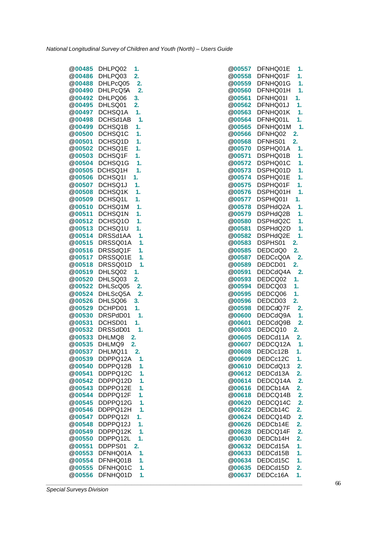| <b>@00485</b>           | DHLPQ02<br>1.                              | <b>@00557</b>           | DFNHQ01E<br>1.                   |
|-------------------------|--------------------------------------------|-------------------------|----------------------------------|
| @00486                  | 2.<br>DHLPQ03                              | @00558                  | DFNHQ01F<br>1.                   |
| @00488                  | DHLPcQ05<br>2.                             | @00559                  | DFNHQ01G<br>1.                   |
| <b>@00490</b>           | 2.<br>DHLPcQ5A                             | <b>@00560</b>           | DFNHQ01H<br>1.                   |
| @00492                  | DHLPQ06<br>3.                              | @00561                  | DFNHQ01I<br>1.                   |
| @00495                  | DHLSQ01<br>2.                              | <b>@00562</b>           | DFNHQ01J<br>1.                   |
|                         | @00497 DCHSQ1A<br>1.                       | <b>@00563</b>           | DFNHQ01K<br>1.                   |
| @00498                  | DCHSd1AB<br>1.                             | @00564                  | DFNHQ01L<br>1.                   |
| @00499                  | DCHSQ1B<br>1.                              | <b>@00565</b>           | DFNHQ01M<br>1.                   |
| <b>@00500</b>           | DCHSQ1C<br>1.                              | <b>@00566</b>           | DFNHQ02<br>2.                    |
| @00501                  | DCHSQ1D<br>1.                              | @00568                  | DFNHS01<br>2.                    |
| @00502                  | DCHSQ1E<br>1.                              | @00570                  | DSPHQ01A<br>1.                   |
|                         | @00503 DCHSQ1F<br>1.                       | @00571                  | DSPHQ01B<br>1.                   |
|                         | @00504 DCHSQ1G<br>1.                       | <b>@00572</b>           | DSPHQ01C<br>1.                   |
|                         | @00505 DCHSQ1H<br>1.                       | @00573                  | DSPHQ01D<br>1.                   |
| @00506                  | DCHSQ1I<br>1.                              | <b>@00574</b>           | DSPHQ01E<br>1.                   |
| @00507                  | DCHSQ1J<br>1.                              | @00575                  | DSPHQ01F<br>1.                   |
| @00508                  | DCHSQ1K<br>1.                              | <b>@00576</b>           | DSPHQ01H<br>1.                   |
| @00509                  | DCHSQ1L<br>1.                              | <b>@00577</b>           | DSPHQ01I<br>1.                   |
|                         | @00510 DCHSQ1M<br>1.                       | @00578                  | DSPHdQ2A<br>1.                   |
| <b>@00511</b>           | 1.<br>DCHSQ1N                              | @00579                  | DSPHdQ2B<br>1.                   |
|                         | @00512 DCHSQ1O<br>1.                       | <b>@00580</b>           | DSPHdQ2C<br>1.                   |
| <b>@00513</b>           | DCHSQ1U<br>1.                              | <b>@00581</b>           | DSPHdQ2D<br>1.                   |
| @00514                  | DRSSd1AA<br>1.                             | @00582                  | DSPHdQ2E<br>1.                   |
| <b>@00515</b>           | DRSSQ01A<br>1.                             | @00583                  | 2.<br>DSPHS01                    |
|                         | @00516 DRSSdQ1F<br>1.                      | @00585                  | DEDCdQ0<br>2.                    |
|                         | @00517 DRSSQ01E<br>1.                      | <b>@00587</b>           | DEDCcQ0A<br>2.                   |
| @00518                  | 1.<br>DRSSQ01D                             | <b>@00589</b>           | 2.<br>DEDCD01                    |
| @00519                  | DHLSQ02<br>$\mathbf{1}$ .                  | @00591                  | DEDCdQ4A<br>2.                   |
| @00520                  | 2.<br>DHLSQ03                              | @00593                  | DEDCQ02<br>1.                    |
| @00522                  | DHLScQ05<br>2.                             | <b>@00594</b>           | DEDCQ03<br>1.                    |
| @00524                  | 2.<br>DHLScQ5A                             | @00595                  | DEDCQ06<br>1.                    |
| <b>@00526</b>           | DHLSQ06<br>3.                              | <b>@00596</b>           | DEDCD03<br>2.                    |
| @00529                  | DCHPD01<br>1.                              | <b>@00598</b>           | DEDCdQ7F<br>2.                   |
| @00530                  | 1.<br>DRSPdD01                             | <b>@00600</b>           | DEDCdQ9A<br>1.                   |
| @00531                  | 1.<br>DCHSD01                              | @00601                  | DEDCdQ9B<br>2.                   |
| @00532                  | DRSSdD01<br>1.                             | @00603                  | DEDCQ10<br>2.                    |
|                         |                                            |                         |                                  |
|                         | @00533 DHLMQ8<br>2.<br>@00535 DHLMQ9<br>2. | @00605<br><b>@00607</b> | DEDCd11A<br>2.<br>DEDCQ12A<br>1. |
| <b>@00537</b>           | DHLMQ11<br>2.                              | <b>@00608</b>           | DEDCc12B<br>1.                   |
| @00539                  | DDPPQ12A<br>1.                             | @00609                  | DEDCc12C<br>$-1.$                |
|                         | DDPPQ12B                                   |                         | DEDCdQ13                         |
| <b>@00540</b><br>@00541 | 1.<br>DDPPQ12C<br>1.                       | <b>@00610</b><br>@00612 | 2.<br>DEDCd13A                   |
|                         |                                            |                         | 2.<br>DEDCQ14A                   |
| <b>@00542</b>           | DDPPQ12D<br>1.                             | @00614                  | 2.                               |
| @00543                  | DDPPQ12E<br>1.                             | @00616                  | DEDCb14A<br>2.                   |
| @00544                  | DDPPQ12F<br>1.                             | @00618                  | DEDCQ14B<br>2.                   |
| @00545                  | DDPPQ12G<br>1.                             | @00620                  | DEDCQ14C<br>2.                   |
| @00546                  | 1.<br>DDPPQ12H                             | <b>@00622</b>           | 2.<br>DEDCb14C                   |
| <b>@00547</b>           | DDPPQ12I<br>1.                             | @00624                  | DEDCQ14D<br>2.                   |
| @00548                  | DDPPQ12J<br>1.                             | @00626                  | DEDCb14E<br>2.                   |
| <b>@00549</b>           | DDPPQ12K<br>1.                             | @00628                  | DEDCQ14F<br>2.                   |
| <b>@00550</b>           | DDPPQ12L<br>1.                             | @00630                  | DEDCb14H<br>2.                   |
| @00551                  | DDPPS01<br>2.                              | @00632                  | DEDCd15A<br>1.                   |
| <b>@00553</b>           | DFNHQ01A<br>1.                             | @00633                  | DEDCd15B<br>1.                   |
| <b>@00554</b>           | 1.<br>DFNHQ01B                             | @00634                  | DEDCd15C<br>1.                   |
| <b>@00555</b>           | DFNHQ01C<br>1.                             | <b>@00635</b>           | DEDCd15D<br>2.                   |
| @00556                  | DFNHQ01D<br>1.                             | <b>@00637</b>           | DEDCc16A<br>1.                   |
|                         |                                            |                         |                                  |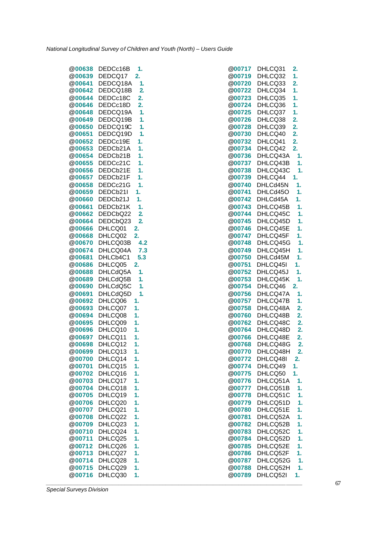| @00638        | DEDCc16B | 1.             |
|---------------|----------|----------------|
| @00639        | DEDCQ17  | 2.             |
| @00641        | DEDCQ18A | 1.             |
| @00642        | DEDCQ18B | 2.             |
| @00644        | DEDCc18C | 2.             |
| @00646        | DEDCc18D | 2.             |
| @00648        | DEDCQ19A | 1.             |
|               |          |                |
| @00649        | DEDCQ19B | 1.             |
| @00650        | DEDCQ19C | 1.             |
| @00651        | DEDCQ19D | 1.             |
| @00652        | DEDCc19E | 1.             |
| @00653        | DEDCb21A | 1.             |
| @00654        | DEDCb21B | 1.             |
| @00655        | DEDCc21C | 1.             |
| @00656        | DEDCb21E | 1.             |
| @00657        | DEDCb21F | 1.             |
| @00658        | DEDCc21G | 1.             |
| @00659        | DEDCb21I | 1.             |
| <b>@00660</b> |          | 1.             |
|               | DEDCb21J |                |
| @00661        | DEDCb21K | 1.             |
| @00662        | DEDCbQ22 | $\overline{2}$ |
| @00664        | DEDCbQ23 | $\overline{2}$ |
| @00666        | DHLCQ01  | 2.             |
| @00668        | DHLCQ02  | 2.             |
| @00670        | DHLCQ03B | 4.2            |
| @00674        | DHLCQ04A | 7.3            |
| @00681        | DHLCb4C1 | 5.3            |
| @00686        | DHLCQ05  | 2.             |
| @00688        | DHLCdQ5A | 1.             |
| @00689        | DHLCdQ5B | 1.             |
| @00690        | DHLCdQ5C | 1.             |
|               |          |                |
| @00691        | DHLCdQ5D | 1.             |
| @00692        | DHLCQ06  | 1.             |
| @00693        | DHLCQ07  | 1.             |
| @00694        | DHLCQ08  | 1.             |
| @00695        | DHLCQ09  | 1.             |
| @00696        | DHLCQ10  | 1.             |
| @00697        | DHLCQ11  | 1.             |
| @00698        | DHLCQ12  | 1.             |
| @00699        | DHLCQ13  | 1.             |
| <b>@00700</b> | DHLCQ14  | 1.             |
| <b>@00701</b> | DHLCQ15  | 1.             |
| @00702        | DHLCQ16  | 1.             |
| @00703        | DHLCQ17  | 1.             |
| @00704        | DHLCQ18  | 1.             |
| <b>@00705</b> | DHLCQ19  | 1.             |
|               |          |                |
| @00706        | DHLCQ20  | 1.             |
| <b>@00707</b> | DHLCQ21  | 1.             |
| @00708        | DHLCQ22  | 1.             |
| @00709        | DHLCQ23  | 1.             |
| @00710        | DHLCQ24  | 1.             |
| <b>@00711</b> | DHLCQ25  | 1.             |
| <b>@00712</b> | DHLCQ26  | 1.             |
| <b>@00713</b> | DHLCQ27  | 1.             |
| @00714        | DHLCQ28  | 1.             |
| <b>@00715</b> | DHLCQ29  | 1.             |
| @00716        | DHLCQ30  | 1.             |
|               |          |                |

|               | @00638 DEDCc16B | 1.             | <b>@00717</b> | DHLCQ31<br>2. |    |
|---------------|-----------------|----------------|---------------|---------------|----|
|               | @00639 DEDCQ17  | 2.             | @00719        | DHLCQ32<br>1. |    |
|               | @00641 DEDCQ18A | 1.             | @00720        | 2.<br>DHLCQ33 |    |
| <b>@00642</b> | DEDCQ18B        | $\overline{2}$ | <b>@00722</b> | 1.<br>DHLCQ34 |    |
| @00644        | DEDCc18C        | 2.             | @00723        | DHLCQ35<br>1. |    |
| @00646        | DEDCc18D        | 2.             | <b>@00724</b> | DHLCQ36<br>1. |    |
|               | @00648 DEDCQ19A | 1.             | <b>@00725</b> | DHLCQ37<br>1. |    |
|               | @00649 DEDCQ19B | 1.             | @00726        | DHLCQ38<br>2. |    |
|               | @00650 DEDCQ19C | 1.             | @00728        | DHLCQ39<br>2. |    |
| @00651        | DEDCQ19D        | 1.             | @00730        | 2.<br>DHLCQ40 |    |
|               | @00652 DEDCc19E | 1.             | @00732        | 2.<br>DHLCQ41 |    |
|               | @00653 DEDCb21A | 1.             | @00734        | DHLCQ42<br>2. |    |
| <b>@00654</b> | DEDCb21B        | 1.             | @00736        | DHLCQ43A      | 1. |
|               | @00655 DEDCc21C | 1.             | @00737        | DHLCQ43B      | 1. |
|               | @00656 DEDCb21E | 1.             | @00738        | DHLCQ43C      | 1. |
|               | @00657 DEDCb21F | 1.             | <b>@00739</b> | DHLCQ44<br>1. |    |
|               | @00658 DEDCc21G | 1.             | <b>@00740</b> | DHLCd45N      | 1. |
| <b>@00659</b> | DEDCb21I        | 1.             | @00741        | DHLCd45O      | 1. |
| @00660        | DEDCb21J        | 1.             | <b>@00742</b> | DHLCd45A      | 1. |
| @00661        | DEDCb21K        | 1.             | @00743        | DHLCQ45B      | 1. |
|               | @00662 DEDCbQ22 | $\overline{2}$ | @00744        | DHLCQ45C      | 1. |
|               | @00664 DEDCbQ23 | 2.             | <b>@00745</b> | DHLCQ45D      | 1. |
|               | @00666 DHLCQ01  | 2.             | @00746        | DHLCQ45E      | 1. |
|               | @00668 DHLCQ02  | 2.             | @00747        | DHLCQ45F      | 1. |
| <b>@00670</b> | DHLCQ03B        | 4.2            | <b>@00748</b> | DHLCQ45G      | 1. |
| @00674        | DHLCQ04A        | 7.3            | @00749        | DHLCQ45H      | 1. |
| <b>@00681</b> | DHLCb4C1        | 5.3            | <b>@00750</b> | DHLCd45M      | 1. |
|               | @00686 DHLCQ05  | 2.             | <b>@00751</b> | DHLCQ45I      | 1. |
| @00688        | DHLCdQ5A        | 1.             | @00752        | DHLCQ45J      | 1. |
| @00689        | DHLCdQ5B        | 1.             | @00753        | DHLCQ45K      | 1. |
| @00690        | DHLCdQ5C        | 1.             | <b>@00754</b> | 2.<br>DHLCQ46 |    |
| @00691        | DHLCdQ5D        | 1.             | @00756        | DHLCQ47A      | 1. |
| @00692        | DHLCQ06         | 1.             | <b>@00757</b> | DHLCQ47B      | 1. |
| @00693        | DHLCQ07         | 1.             | <b>@00758</b> | DHLCQ48A      | 2. |
| @00694        | DHLCQ08         | 1.             | @00760        | DHLCQ48B      | 2. |
| @00695        | DHLCQ09         | 1.             | <b>@00762</b> | DHLCQ48C      | 2. |
|               | @00696 DHLCQ10  | 1.             | <b>@00764</b> | DHLCQ48D      | 2. |
|               | @00697 DHLCQ11  | 1.             | @00766        | DHLCQ48E      | 2. |
| @00698        | DHLCQ12         | 1.             | <b>@00768</b> | DHLCQ48G      | 2. |
| @00699        | DHLCQ13         | 1.             | @00770        | DHLCQ48H      | 2. |
| <b>@00700</b> | DHLCQ14         | 1.             | <b>@00772</b> | DHLCQ48I      | 2. |
| @00701        | DHLCQ15         | 1.             | @00774        | DHLCQ49<br>1. |    |
| <b>@00702</b> | DHLCQ16         | 1.             | <b>@00775</b> | DHLCQ50<br>1. |    |
| @00703        | DHLCQ17         | 1.             | <b>@00776</b> | DHLCQ51A      | 1. |
| <b>@00704</b> | DHLCQ18         | 1.             | <b>@00777</b> | DHLCQ51B      | 1. |
| <b>@00705</b> | DHLCQ19         | 1.             | <b>@00778</b> | DHLCQ51C      | 1. |
| @00706        | DHLCQ20         | 1.             | @00779        | DHLCQ51D      | 1. |
| <b>@00707</b> | DHLCQ21         | 1.             | <b>@00780</b> | DHLCQ51E      | 1. |
| @00708        | DHLCQ22         | 1.             | <b>@00781</b> | DHLCQ52A      | 1. |
| <b>@00709</b> | DHLCQ23         | 1.             | @00782        | DHLCQ52B      | 1. |
| @00710        | DHLCQ24         | 1.             | @00783        | DHLCQ52C      | 1. |
| <b>@00711</b> | DHLCQ25         | 1.             | <b>@00784</b> | DHLCQ52D      | 1. |
| @00712        | DHLCQ26         | 1.             | @00785        | DHLCQ52E      | 1. |
| @00713        | DHLCQ27         | 1.             | <b>@00786</b> | DHLCQ52F      | 1. |
| <b>@00714</b> | DHLCQ28         | 1.             | <b>@00787</b> | DHLCQ52G      | 1. |
| @00715        | DHLCQ29         | 1.             | @00788        | DHLCQ52H      | 1. |
| @00716        | DHLCQ30         | 1.             | @00789        | DHLCQ52I      | 1. |
|               |                 |                |               |               |    |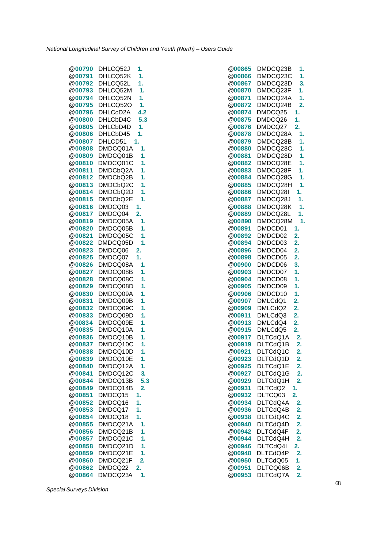@**00790** DHLCQ52J **1.** @**00791** DHLCQ52K **1.** @**00792** DHLCQ52L **1.** @**00793** DHLCQ52M **1.** @**00794** DHLCQ52N **1.** @**00795** DHLCQ52O **1.** @**00796** DHLCcD2A **4.2** @**00800** DHLCbD4C **5.3** @**00805** DHLCbD4D **1.** @**00806** DHLCbD45 **1.** @**00807** DHLCD51 **1.** @**00808** DMDCQ01A **1.** @**00809** DMDCQ01B **1.** @**00810** DMDCQ01C **1.** @**00811** DMDCbQ2A **1.** @**00812** DMDCbQ2B **1.** @**00813** DMDCbQ2C **1.** @**00814** DMDCbQ2D **1.** @**00815** DMDCbQ2E **1.** @**00816** DMDCQ03 **1.** @**00817** DMDCQ04 **2.** @**00819** DMDCQ05A **1.** @**00820** DMDCQ05B **1.** @**00821** DMDCQ05C **1.** @**00822** DMDCQ05D **1.** @**00823** DMDCQ06 **2.** @**00825** DMDCQ07 **1.** @**00826** DMDCQ08A **1.** @**00827** DMDCQ08B **1.** @**00828** DMDCQ08C **1.** @**00829** DMDCQ08D **1.** @**00830** DMDCQ09A **1.** @**00831** DMDCQ09B **1.** @**00832** DMDCQ09C **1.** @**00833** DMDCQ09D **1.** @**00834** DMDCQ09E **1.** @**00835** DMDCQ10A **1.** @**00836** DMDCQ10B **1.** @**00837** DMDCQ10C **1.** @**00838** DMDCQ10D **1.** @**00839** DMDCQ10E **1.** @**00840** DMDCQ12A **1.** @**00841** DMDCQ12C **3.** @**00844** DMDCQ13B **5.3** @**00849** DMDCQ14B **2.** @**00851** DMDCQ15 **1.** @**00852** DMDCQ16 **1.** @**00853** DMDCQ17 **1.** @**00854** DMDCQ18 **1.** @**00855** DMDCQ21A **1.** @**00856** DMDCQ21B **1.** @**00857** DMDCQ21C **1.** @**00858** DMDCQ21D **1.** @**00859** DMDCQ21E **1.** @**00860** DMDCQ21F **2.** @**00862** DMDCQ22 **2.** @**00864** DMDCQ23A **1.**

| @00865        | DMDCQ23B             | 1.               |
|---------------|----------------------|------------------|
| @00866        | DMDCQ23C             | 1.               |
|               |                      |                  |
| @00867        | DMDCQ23D             | 3.               |
| @00870        | DMDCQ23F             | 1.               |
| @00871        | DMDCQ24A             | 1.               |
| @00872        | DMDCQ24B             | 2.               |
| @00874        | DMDCQ25              | 1.               |
| @00875        | DMDCQ26              | 1.               |
| @00876        | DMDCQ27              | $\overline{2}$ . |
| @00878        | DMDCQ28A             | 1.               |
| @00879        | DMDCQ28B             | 1.               |
| @00880        | DMDCQ28C             | 1.               |
|               |                      |                  |
| @00881        | DMDCQ28D             | 1.               |
| @00882        | DMDCQ28E             | 1.               |
| @00883        | DMDCQ28F             | 1.               |
| @00884        | DMDCQ28G             | 1.               |
| @00885        | DMDCQ28H             | 1.               |
| @00886        | DMDCQ28I             | 1.               |
| @00887        | DMDCQ28J             | 1.               |
| @00888        | DMDCQ28K             | 1.               |
| @00889        | DMDCQ28L             | 1.               |
| @00890        | DMDCQ28M             | 1.               |
|               |                      |                  |
| @00891        | DMDCD01              | 1.               |
| @00892        | DMDCD02              | 2.               |
| @00894        | DMDCD03              | 2.               |
| @00896        | DMDCD04              | $\overline{2}$ . |
| @00898        | DMDCD05              | $\overline{2}$ . |
| @00900        | DMDCD06              | 3.               |
| @00903        | DMDCD07              | 1.               |
| @00904        | DMDCD08              | 1.               |
| @00905        | DMDCD09              | 1.               |
| @00906        | DMDCD10              | 1.               |
| @00907        | DMLCdQ1              | 2.               |
| @00909        | DMLCdQ2              | 2.               |
|               |                      |                  |
| @00911        | DMLCdQ3              | $\overline{2}$ . |
| @00913        | DMLCdQ4              | $\overline{2}$ . |
| @00915        | DMLCdQ5              | $\overline{2}$ . |
| @00917        | DLTCdQ1A             | 2.               |
| @00919        | DLTCdQ1B             | $\overline{2}$ . |
| @00921        | DLTCdQ1C             | $\overline{2}$ . |
| @00923        | DLTCdQ1D             | $\overline{2}$ . |
| @00925        | DLTCdQ1E             | 2.               |
| @00927        | DLTCdQ1G             | 2.               |
| @00929        | DLTCdQ1H             | 2.               |
| @00931        | DLTCdQ2              | 1.               |
| @00932        |                      | $\overline{2}$ . |
|               | DLTCQ03<br>DLTCdQ4A  |                  |
| @00934        |                      | 2.               |
| @00936        | DLTCdQ4B             | 2.               |
| @00938        | DLTCdQ4C             | 2.               |
| <b>@00940</b> | DLTCdQ4D             | 2.               |
| @00942        | DLTCdQ4F             | 2.               |
| @00944        |                      | 2.               |
| @00946        | DLTCdQ4H<br>DLTCdQ4I | 2.               |
| @00948        | DLTCdQ4P             | $\overline{2}$ . |
| <b>@00950</b> | DLTCdQ05             | 1.               |
| @00951        | DLTCQ06B             | $\overline{2}$ . |
| @00953        |                      | $\overline{2}$ . |
|               | DLTCdQ7A             |                  |

*Special Surveys Division*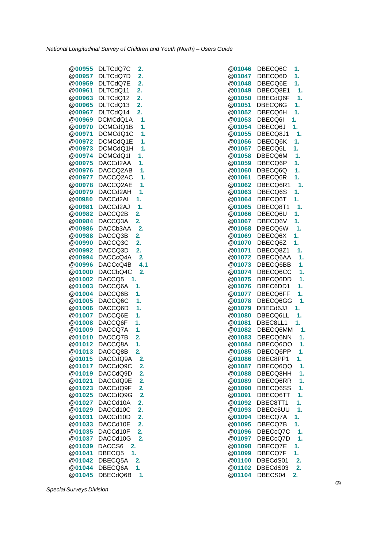| <b>@00955</b> | DLTCdQ7C<br>2.             | <b>@01046</b> | DBECQ6C<br>1.              |
|---------------|----------------------------|---------------|----------------------------|
| @00957        | DLTCdQ7D<br>2.             | <b>@01047</b> | DBECQ6D<br>1.              |
| @00959        | 2.<br>DLTCdQ7E             | @01048        | 1.<br>DBECQ6E              |
| <b>@00961</b> | DLTCdQ11<br>2.             | <b>@01049</b> | DBECQ8E1<br>1.             |
| @00963        | DLTCdQ12<br>2.             | @01050        | DBECdQ6F<br>1.             |
| @00965        | DLTCdQ13<br>2.             | <b>@01051</b> | DBECQ6G<br>1.              |
| @00967        | DLTCdQ14<br>2.             | <b>@01052</b> | DBECQ6H<br>1.              |
| @00969        | DCMCdQ1A<br>1.             | @01053        | DBECQ6I<br>1.              |
| @00970        | DCMCdQ1B<br>1.             | @01054        | DBECQ6J<br>1.              |
| <b>@00971</b> | 1.<br>DCMCdQ1C             | <b>@01055</b> | 1.<br>DBECQ8J1             |
| @00972        | DCMCdQ1E<br>1.             | <b>@01056</b> | 1.<br>DBECQ6K              |
| @00973        | DCMCdQ1H<br>1.             | <b>@01057</b> | 1.<br>DBECQ6L              |
| @00974        | DCMCdQ1I<br>1.             | <b>@01058</b> | DBECQ6M<br>1.              |
| @00975        | DACCd2AA<br>1.             | @01059        | DBECQ6P<br>1.              |
| @00976        | DACCQ2AB<br>1.             | <b>@01060</b> | DBECQ6Q<br>1.              |
| <b>@00977</b> | DACCQ2AC<br>1.             | <b>@01061</b> | DBECQ6R<br>1.              |
| @00978        | DACCQ2AE<br>1.             | @01062        | DBECQ6R1<br>$\mathbf{1}$ . |
| @00979        | 1.<br>DACCd2AH             | <b>@01063</b> | 1.<br>DBECQ6S              |
| @00980        | DACCd2AI<br>1.             | @01064        | 1.<br>DBECQ6T              |
| @00981        | DACCd2AJ<br>1.             | @01065        | DBECQ8T1<br>1.             |
| @00982        | DACCQ2B<br>2.              | <b>@01066</b> | DBECQ6U<br>1.              |
| @00984        | DACCQ3A<br>2.              | <b>@01067</b> | DBECQ6V<br>1.              |
| @00986        | 2 <sub>1</sub><br>DACCb3AA | <b>@01068</b> | DBECQ6W<br>1.              |
| @00988        | DACCQ3B<br>2.              | @01069        | DBECQ6X<br>1.              |
| @00990        | DACCQ3C<br>2.              | <b>@01070</b> | 1.<br>DBECQ6Z              |
| @00992        | DACCQ3D<br>2.              | <b>@01071</b> | DBECQ8Z1<br>1.             |
| @00994        | DACCcQ4A<br>2.             | <b>@01072</b> | DBECQ6AA<br>1.             |
| <b>@00996</b> | 4.1<br>DACCcQ4B            | <b>@01073</b> | DBECQ6BB<br>1.             |
| @01000        | DACCbQ4C<br>$\overline{2}$ | <b>@01074</b> | DBECQ6CC<br>1.             |
| <b>@01002</b> | DACCQ5<br>1.               | @01075        | DBECQ6DD<br>1.             |
| <b>@01003</b> | 1.<br>DACCQ6A              | <b>@01076</b> | 1.<br>DBEC6DD1             |
| @01004        | DACCQ6B<br>1.              | <b>@01077</b> | DBECQ6FF<br>1.             |
| <b>@01005</b> | DACCQ6C<br>1.              | <b>@01078</b> | 1.<br>DBECQ6GG             |
| @01006        | DACCQ6D<br>1.              | <b>@01079</b> | DBECd6JJ<br>1.             |
| @01007        | DACCQ6E<br>1.              | @01080        | DBECQ6LL<br>1.             |
| @01008        | DACCQ6F<br>1.              | @01081        | DBEC8LL1<br>1.             |
| <b>@01009</b> | DACCQ7A<br>1.              | <b>@01082</b> | 1.<br>DBECQ6MM             |
|               | @01010 DACCQ7B<br>2.       | @01083        | DBECQ6NN<br>1.             |
| <b>@01012</b> | DACCQ8A<br>1.              | <b>@01084</b> | DBECQ6OO<br>1.             |
| @01013        | DACCQ8B<br>2.              | @01085        | DBECQ6PP<br>1.             |
| <b>@01015</b> | DACCdQ9A<br>2.             | <b>@01086</b> | DBEC8PP1<br>1.             |
| <b>@01017</b> | DACCdQ9C<br>2.             | <b>@01087</b> | DBECQ6QQ<br>1.             |
| @01019        | DACCdQ9D<br>2.             | <b>@01088</b> | DBECQ8HH<br>1.             |
| <b>@01021</b> | DACCdQ9E<br>$\mathbf{2}$   | <b>@01089</b> | DBECQ6RR<br>1.             |
| @01023        | DACCdQ9F<br>2.             | <b>@01090</b> | DBECQ6SS<br>1.             |
| <b>@01025</b> | DACCdQ9G<br>$\mathbf{2}$   | <b>@01091</b> | DBECQ6TT<br>1.             |
| <b>@01027</b> | DACCd10A<br>2.             | <b>@01092</b> | DBEC8TT1<br>1.             |
| @01029        | DACCd10C<br>2.             | <b>@01093</b> | 1.<br>DBECc6UU             |
| @01031        | DACCd10D<br>2.             | <b>@01094</b> | DBECQ7A<br>1.              |
| @01033        | DACCd10E<br>2.             | @01095        | DBECQ7B<br>1.              |
| @01035        | DACCd10F<br>2.             | @01096        | DBECcQ7C<br>1.             |
| <b>@01037</b> | 2.<br>DACCd10G             | <b>@01097</b> | 1.<br>DBECcQ7D             |
| @01039        | DACCS6<br>2.               | @01098        | 1.<br>DBECQ7E              |
| @01041        | 1.<br>DBECQ5               | <b>@01099</b> | 1.<br>DBECQ7F              |
| @01042        | DBECQ5A<br>2.              | <b>@01100</b> | DBECdS01<br>2.             |
| @01044        | DBECQ6A<br>1.              | <b>@01102</b> | DBECdS03<br>2.             |
| <b>@01045</b> | DBECdQ6B<br>1.             | @01104        | DBECS04<br>2.              |
|               |                            |               |                            |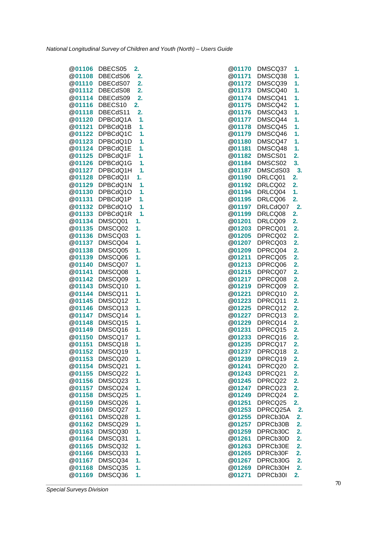| @01106           | DBECS05            | 2.       |
|------------------|--------------------|----------|
| @01108           | DBECdS06           | 2.       |
| @01110           | DBECdS07           | 2.       |
| @01112           | DBECdS08           | 2.       |
| @01114           | DBECdS09           | 2.       |
| @01116           | DBECS10            | 2.       |
| @01118           | DBECdS11           | 2.       |
| @01120           | DPBCdQ1A           | 1.       |
| @01121           | DPBCdQ1B           | 1.       |
| @01122           | DPBCdQ1C           | 1.       |
| @01123           | DPBCdQ1D           | 1.       |
| @01124           | DPBCdQ1E           | 1.       |
| @01125           | DPBCdQ1F           | 1.       |
| @01126           | DPBCdQ1G           | 1.       |
| @01127           | DPBCdQ1H           | 1.       |
| @01128           | DPBCdQ1I           | 1.       |
| @01129           | DPBCdQ1N           | 1.       |
| @01130           | DPBCdQ1O           | 1.       |
| @01131           | DPBCdQ1P           | 1.       |
| @01132           | DPBCdQ1Q           | 1.       |
| @01133           | DPBCdQ1R           | 1.       |
| @01134           | DMSCQ01            | 1.       |
| @01135           | DMSCQ02            | 1.       |
| @01136           | DMSCQ03            | 1.       |
| @01137           | DMSCQ04            | 1.       |
| @01138           | DMSCQ05            | 1.       |
| @01139           | DMSCQ06            | 1.       |
| @01140           | DMSCQ07            | 1.       |
| @01141           | DMSCQ08            | 1.       |
| @01142           | DMSCQ09            | 1.       |
| @01143           | DMSCQ10            | 1.       |
| @01144           | DMSCQ11            | 1.       |
| @01145           | DMSCQ12            | 1.       |
| @01146           | DMSCQ13            | 1.       |
| @01147           | DMSCQ14<br>DMSCQ15 | 1.       |
| @01148<br>@01149 | DMSCQ16            | 1.<br>1. |
|                  |                    |          |
| @01150<br>@01151 | DMSCQ17            | 1.<br>1. |
| @01152           | DMSCQ18<br>DMSCQ19 | 1.       |
| @01153           | DMSCQ20            | 1.       |
| @01154           | DMSCQ21            | 1.       |
| <b>@01155</b>    | DMSCQ22            | 1.       |
| @01156           | DMSCQ23            | 1.       |
| @01157           | DMSCQ24            | 1.       |
| @01158           | DMSCQ25            | 1.       |
| @01159           | DMSCQ26            | 1.       |
| @01160           | DMSCQ27            | 1.       |
| @01161           | DMSCQ28            | 1.       |
| @01162           | DMSCQ29            | 1.       |
| @01163           | DMSCQ30            | 1.       |
| @01164           | DMSCQ31            | 1.       |
| @01165           | DMSCQ32            | 1.       |
| @01166           | DMSCQ33            | 1.       |
| @01167           | DMSCQ34            | 1.       |
| <b>@01168</b>    | DMSCQ35            | 1.       |
| <b>@01169</b>    | DMSCQ36            | 1.       |

|               | @01106 DBECS05  | 2. | <b>@01170</b><br>DMSCQ37  | 1. |
|---------------|-----------------|----|---------------------------|----|
|               | @01108 DBECdS06 | 2. | <b>@01171</b><br>DMSCQ38  | 1. |
|               | @01110 DBECdS07 | 2. | DMSCQ39<br>@01172         | 1. |
|               | @01112 DBECdS08 | 2. | DMSCQ40<br><b>@01173</b>  | 1. |
| @01114        | DBECdS09        | 2. | @01174<br>DMSCQ41         | 1. |
|               | @01116 DBECS10  | 2. | DMSCQ42<br><b>@01175</b>  | 1. |
|               | @01118 DBECdS11 | 2. | DMSCQ43<br><b>@01176</b>  | 1. |
|               | @01120 DPBCdQ1A | 1. | @01177<br>DMSCQ44         | 1. |
|               |                 |    |                           |    |
| @01121        | DPBCdQ1B        | 1. | @01178<br>DMSCQ45         | 1. |
|               | @01122 DPBCdQ1C | 1. | DMSCQ46<br><b>@01179</b>  | 1. |
|               | @01123 DPBCdQ1D | 1. | @01180<br>DMSCQ47         | 1. |
|               | @01124 DPBCdQ1E | 1. | DMSCQ48<br><b>@01181</b>  | 1. |
|               | @01125 DPBCdQ1F | 1. | DMSCS01<br><b>@01182</b>  | 2. |
|               | @01126 DPBCdQ1G | 1. | DMSCS02<br><b>@01184</b>  | 3. |
|               | @01127 DPBCdQ1H | 1. | @01187<br>DMSCdS03        | 3. |
| <b>@01128</b> | DPBCdQ1I        | 1. | @01190<br>DRLCQ01         | 2. |
| @01129        | DPBCdQ1N        | 1. | DRLCQ02<br>@01192         | 2. |
| @01130        | DPBCdQ1O        | 1. | DRLCQ04<br><b>@01194</b>  | 1. |
| @01131        | DPBCdQ1P        | 1. | DRLCQ06<br><b>@01195</b>  | 2. |
| @01132        | DPBCdQ1Q        | 1. | @01197<br>DRLCdQ07        | 2. |
| <b>@01133</b> | DPBCdQ1R        | 1. | @01199<br>DRLCQ08         | 2. |
| @01134        | DMSCQ01         | 1. | @01201<br>DRLCQ09         | 2. |
| @01135        | DMSCQ02         | 1. | @01203<br>DPRCQ01         | 2. |
|               | @01136 DMSCQ03  | 1. | @01205<br>DPRCQ02         | 2. |
| @01137        | DMSCQ04         | 1. | @01207<br>DPRCQ03         | 2. |
| @01138        | DMSCQ05         | 1. | @01209<br>DPRCQ04         | 2. |
| <b>@01139</b> | DMSCQ06         | 1. | @01211<br>DPRCQ05         | 2. |
| <b>@01140</b> | DMSCQ07         | 1. | DPRCQ06<br><b>@01213</b>  | 2. |
| @01141        | DMSCQ08         | 1. | @01215<br>DPRCQ07         | 2. |
| <b>@01142</b> | DMSCQ09         | 1. | @01217<br>DPRCQ08         | 2. |
| <b>@01143</b> | DMSCQ10         | 1. | <b>@01219</b><br>DPRCQ09  | 2. |
| @01144        | DMSCQ11         | 1. | DPRCQ10<br>@01221         | 2. |
| <b>@01145</b> | DMSCQ12         | 1. | <b>@01223</b><br>DPRCQ11  | 2. |
| @01146        | DMSCQ13         | 1. | @01225<br>DPRCQ12         | 2. |
| <b>@01147</b> | DMSCQ14         | 1. | @01227<br>DPRCQ13         | 2. |
| @01148        | DMSCQ15         | 1. | @01229<br>DPRCQ14         | 2. |
| <b>@01149</b> | DMSCQ16         | 1. | <b>@01231</b><br>DPRCQ15  | 2. |
|               | @01150 DMSCQ17  | 1. | DPRCQ16<br>@01233         | 2. |
| <b>@01151</b> | DMSCQ18         | 1. | @01235<br>DPRCQ17         | 2. |
| <b>@01152</b> | DMSCQ19         | 1. | DPRCQ18<br><b>@01237</b>  | 2. |
| @01153        | DMSCQ20         | 1. | @01239<br>DPRCQ19         | 2. |
| <b>@01154</b> | DMSCQ21         | 1. | <b>@01241</b><br>DPRCQ20  | 2. |
| @01155        | DMSCQ22         | 1. | @01243<br>DPRCQ21         | 2. |
| @01156        | DMSCQ23         | 1. | @01245<br>DPRCQ22         | 2. |
| <b>@01157</b> | DMSCQ24         | 1. | @01247<br>DPRCQ23         | 2. |
| <b>@01158</b> | DMSCQ25         | 1. | @01249<br>DPRCQ24         | 2. |
| @01159        | DMSCQ26         | 1. | DPRCQ25<br>@01251         | 2. |
| <b>@01160</b> | DMSCQ27         | 1. | DPRCQ25A<br><b>@01253</b> | 2. |
| <b>@01161</b> | DMSCQ28         | 1. | <b>@01255</b><br>DPRCb30A | 2. |
| @01162        | DMSCQ29         | 1. | DPRCb30B<br>@01257        | 2. |
| @01163        | DMSCQ30         | 1. | @01259<br>DPRCb30C        | 2. |
| <b>@01164</b> | DMSCQ31         | 1. | <b>@01261</b><br>DPRCb30D | 2. |
| @01165        | DMSCQ32         | 1. | DPRCb30E<br>@01263        | 2. |
| <b>@01166</b> | DMSCQ33         | 1. | <b>@01265</b><br>DPRCb30F | 2. |
| <b>@01167</b> | DMSCQ34         | 1. | DPRCb30G<br><b>@01267</b> | 2. |
| @01168        | DMSCQ35         | 1. | DPRCb30H<br><b>@01269</b> | 2. |
| @01169        | DMSCQ36         | 1. | @01271<br>DPRCb30I        | 2. |
|               |                 |    |                           |    |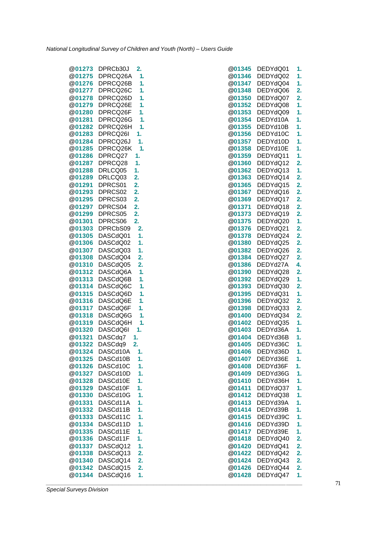| @01273        | DPRCb30J |    | 2.               |
|---------------|----------|----|------------------|
| <b>@01275</b> | DPRCQ26A |    | 1.               |
| @01276        |          |    | 1.               |
|               | DPRCQ26B |    |                  |
| @01277        | DPRCQ26C |    | 1.               |
| @01278        | DPRCQ26D |    | 1.               |
| @01279        | DPRCQ26E |    | 1.               |
| @01280        | DPRCQ26F |    | 1.               |
| @01281        | DPRCQ26G |    | 1.               |
|               |          |    |                  |
| @01282        | DPRCQ26H |    | 1.               |
| @01283        | DPRCQ26I |    |                  |
| @01284        | DPRCQ26J |    | 1.               |
| @01285        | DPRCQ26K |    | 1.               |
| @01286        | DPRCQ27  |    | 1.               |
| @01287        | DPRCQ28  |    | 1.               |
| @01288        | DRLCQ05  |    | 1.               |
|               |          |    |                  |
| @01289        | DRLCQ03  |    | 2.               |
| @01291        | DPRCS01  |    | 2.               |
| @01293        | DPRCS02  |    | 2.               |
| @01295        | DPRCS03  |    | 2.               |
| @01297        | DPRCS04  |    | $\overline{2}$ . |
| @01299        | DPRCS05  |    | 2.               |
|               |          |    |                  |
| @01301        | DPRCS06  |    | $\overline{2}$ . |
| @01303        | DPRCbS09 |    | 2.               |
| @01305        | DASCdQ01 |    | 1.               |
| @01306        | DASCdQ02 |    | 1.               |
| @01307        | DASCdQ03 |    | 1.               |
| @01308        | DASCdQ04 |    | 2.               |
| @01310        |          |    |                  |
|               | DASCdQ05 |    | 2.               |
| @01312        | DASCdQ6A |    | 1.               |
| @01313        | DASCdQ6B |    | 1.               |
| @01314        | DASCdQ6C |    | 1.               |
| @01315        | DASCdQ6D |    | 1.               |
| @01316        | DASCdQ6E |    | 1.               |
| @01317        | DASCdQ6F |    | 1.               |
| @01318        |          |    |                  |
|               | DASCdQ6G |    | 1.               |
| @01319        | DASCdQ6H |    | 1.               |
| @01320        | DASCdQ6I |    | 1.               |
| @01321        | DASCdq7  | 1. |                  |
| @01322        | DASCdq9  | 2. |                  |
| @01324        | DASCd10A |    | 1.               |
| @01325        | DASCd10B |    | 1.               |
|               |          |    |                  |
| @01326        | DASCd10C |    | 1.               |
| @01327        | DASCd10D |    | 1.               |
| @01328        | DASCd10E |    | 1.               |
| @01329        | DASCd10F |    | 1.               |
| @01330        | DASCd10G |    | 1.               |
| @01331        | DASCd11A |    | 1.               |
|               | DASCd11B |    |                  |
| @01332        |          |    | 1.               |
| @01333        | DASCd11C |    | 1.               |
| @01334        | DASCd11D |    | 1.               |
| @01335        | DASCd11E |    | 1.               |
| @01336        | DASCd11F |    | 1.               |
| @01337        | DASCdQ12 |    | 1.               |
| @01338        | DASCdQ13 |    | 2.               |
|               |          |    |                  |
| @01340        | DASCdQ14 |    | 2.               |
| @01342        | DASCdQ15 |    | 2.               |
| @01344        | DASCdQ16 |    | 1.               |

|               | @01273 DPRCb30J<br>2.           |               | @01345 DEDYdQ01 | 1. |
|---------------|---------------------------------|---------------|-----------------|----|
| @01275        | DPRCQ26A<br>1.                  | @01346        | DEDYdQ02        | 1. |
| @01276        | DPRCQ26B<br>1.                  | <b>@01347</b> | DEDYdQ04        | 1. |
| <b>@01277</b> | 1.<br>DPRCQ26C                  | <b>@01348</b> | DEDYdQ06        | 2. |
| @01278        | DPRCQ26D<br>1.                  | @01350        | DEDYdQ07        | 2. |
| @01279        | DPRCQ26E<br>1.                  | @01352        | DEDYdQ08        | 1. |
| <b>@01280</b> | DPRCQ26F<br>1.                  | <b>@01353</b> | DEDYdQ09        | 1. |
| @01281        | DPRCQ26G<br>1.                  | @01354        | DEDYd10A        | 1. |
|               | @01282 DPRCQ26H<br>$\mathbf{1}$ | <b>@01355</b> | DEDYd10B        | 1. |
| <b>@01283</b> | DPRCQ26I<br>1.                  | <b>@01356</b> | DEDYd10C        | 1. |
| @01284        | DPRCQ26J<br>1.                  | <b>@01357</b> | DEDYd10D        | 1. |
| <b>@01285</b> | DPRCQ26K<br>1.                  | @01358        | DEDYd10E        | 1. |
| @01286        | DPRCQ27<br>1.                   | <b>@01359</b> | DEDYdQ11        | 1. |
| @01287        | DPRCQ28<br>1.                   | @01360        | DEDYdQ12        | 2. |
| @01288        | DRLCQ05<br>1.                   | <b>@01362</b> | DEDYdQ13        | 1. |
| <b>@01289</b> | DRLCQ03<br>2.                   | <b>@01363</b> | DEDYdQ14        | 2. |
| @01291        | 2.<br>DPRCS01                   | <b>@01365</b> | DEDYdQ15        | 2. |
| @01293        | 2.<br>DPRCS02                   | <b>@01367</b> | DEDYdQ16        | 2. |
| <b>@01295</b> | DPRCS03<br>2.                   | <b>@01369</b> | DEDYdQ17        | 2. |
| @01297        | DPRCS04<br>2.                   | @01371        | DEDYdQ18        | 2. |
| <b>@01299</b> | 2.<br>DPRCS05                   | <b>@01373</b> | DEDYdQ19        | 2. |
| <b>@01301</b> | 2.<br>DPRCS06                   | <b>@01375</b> | DEDYdQ20        | 1. |
| @01303        | 2.<br>DPRCbS09                  | <b>@01376</b> | DEDYdQ21        | 2. |
| <b>@01305</b> | DASCdQ01<br>1.                  | <b>@01378</b> | DEDYdQ24        | 2. |
| <b>@01306</b> | DASCdQ02<br>1.                  | <b>@01380</b> | DEDYdQ25        | 2. |
| <b>@01307</b> | DASCdQ03<br>1.                  | @01382        | DEDYdQ26        | 2. |
| <b>@01308</b> | DASCdQ04<br>2.                  | @01384        | DEDYdQ27        | 2. |
| <b>@01310</b> | DASCdQ05<br>2.                  | <b>@01386</b> | DEDYd27A        | 4. |
|               | @01312 DASCdQ6A<br>1.           | @01390        | DEDYdQ28        | 2. |
| @01313        | DASCdQ6B<br>1.                  | @01392        | DEDYdQ29        | 1. |
| <b>@01314</b> | DASCdQ6C<br>1.                  | <b>@01393</b> | DEDYdQ30        | 2. |
| @01315        | DASCdQ6D<br>1.                  | <b>@01395</b> | DEDYdQ31        | 1. |
| @01316        | DASCdQ6E<br>1.                  | <b>@01396</b> | DEDYdQ32        | 2. |
| <b>@01317</b> | DASCdQ6F<br>1.                  | <b>@01398</b> | DEDYdQ33        | 2. |
| @01318        | DASCdQ6G<br>1.                  | <b>@01400</b> | DEDYdQ34        | 2. |
| @01319        | DASCdQ6H<br>1.                  | <b>@01402</b> | DEDYdQ35        | 1. |
| <b>@01320</b> | 1.<br>DASCdQ6I                  | <b>@01403</b> | DEDYd36A        | 1. |
| @01321        | DASCdq7<br>1.                   | @01404        | DEDYd36B        | 1. |
| <b>@01322</b> | 2.<br>DASCdq9                   | <b>@01405</b> | DEDYd36C        | 1. |
| @01324        | DASCd10A<br>1.                  | <b>@01406</b> | DEDYd36D        | 1. |
| <b>@01325</b> | DASCd10B<br>1.                  | <b>@01407</b> | DEDYd36E        | 1. |
| @01326        | DASCd10C<br>1.                  | @01408        | DEDYd36F        | 1. |
| <b>@01327</b> | DASCd10D<br>1.                  | @01409        | DEDYd36G        | 1. |
| @01328        | DASCd10E<br>1.                  | <b>@01410</b> | DEDYd36H        | 1. |
| @01329        | DASCd10F<br>1.                  | @01411        | DEDYdQ37        | 1. |
| <b>@01330</b> | DASCd10G<br>1.                  | @01412        | DEDYdQ38        | 1. |
| @01331        | DASCd11A<br>1.                  | @01413        | DEDYd39A        | 1. |
| @01332        | DASCd11B<br>1.                  | <b>@01414</b> | DEDYd39B        | 1. |
| @01333        | DASCd11C<br>1.                  | <b>@01415</b> | DEDYd39C        | 1. |
| @01334        | DASCd11D<br>1.                  | @01416        | DEDYd39D        | 1. |
| @01335        | DASCd11E<br>1.                  | @01417        | DEDYd39E        | 1. |
| @01336        | DASCd11F<br>1.                  | <b>@01418</b> | DEDYdQ40        | 2. |
| @01337        | DASCdQ12<br>1.                  | @01420        | DEDYdQ41        | 2. |
| @01338        | DASCdQ13<br>2.                  | <b>@01422</b> | DEDYdQ42        | 2. |
| @01340        | DASCdQ14<br>2.                  | @01424        | DEDYdQ43        | 2. |
| @01342        | DASCdQ15<br>2.                  | @01426        | DEDYdQ44        | 2. |
| @01344        | DASCdQ16<br>1.                  | @01428        | DEDYdQ47        | 1. |
|               |                                 |               |                 |    |
|               |                                 |               |                 |    |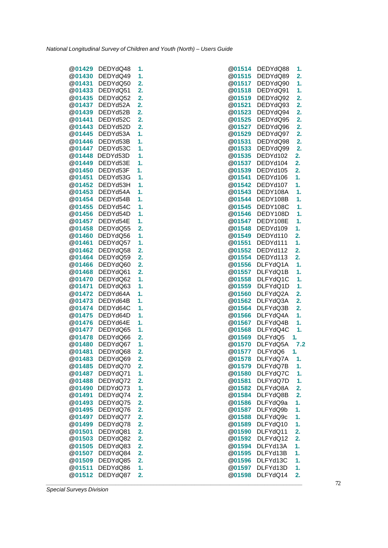| @01429                  | DEDYdQ48             | 1.       | <b>@01514</b>           | DEDYdQ88             | 1.       |
|-------------------------|----------------------|----------|-------------------------|----------------------|----------|
| @01430                  | DEDYdQ49             | 1.       | @01515                  | DEDYdQ89             | 2.       |
| @01431                  | DEDYdQ50             | 2.       | @01517                  | DEDYdQ90             | 1.       |
| @01433                  | DEDYdQ51             | 2.       | <b>@01518</b>           | DEDYdQ91             | 1.       |
| @01435                  | DEDYdQ52             | 2.       | @01519                  | DEDYdQ92             | 2.       |
| <b>@01437</b>           | DEDYd52A             | 2.       | <b>@01521</b>           | DEDYdQ93             | 2.       |
| <b>@01439</b>           | DEDYd52B             | 2.       | <b>@01523</b>           | DEDYdQ94             | 2.       |
| @01441                  | DEDYd52C             | 2.       | <b>@01525</b>           | DEDYdQ95             | 2.       |
| @01443                  | DEDYd52D             | 2.       | @01527                  | DEDYdQ96             | 2.       |
| <b>@01445</b>           | DEDYd53A             | 1.       | <b>@01529</b>           | DEDYdQ97             | 2.       |
| @01446                  | DEDYd53B             | 1.       | @01531                  | DEDYdQ98             | 2.       |
| <b>@01447</b>           | DEDYd53C             | 1.       | @01533                  | DEDYdQ99             | 2.       |
|                         | @01448 DEDYd53D      | 1.       | <b>@01535</b>           | DEDYd102             | 2.       |
| @01449                  | DEDYd53E             | 1.       | <b>@01537</b>           | DEDYd104             | 2.       |
| @01450                  | DEDYd53F             | 1.       | @01539                  | DEDYd105             | 2.       |
| <b>@01451</b>           | DEDYd53G             | 1.       | <b>@01541</b>           | DEDYd106             | 1.       |
| @01452                  | DEDYd53H             | 1.       | @01542                  | DEDYd107             | 1.       |
| <b>@01453</b>           | DEDYd54A             | 1.       | <b>@01543</b>           | DEDY108A             | 1.       |
| <b>@01454</b>           | DEDYd54B             | 1.       | <b>@01544</b>           | DEDY108B             | 1.       |
| <b>@01455</b>           | DEDYd54C             | 1.       | @01545                  | DEDY108C             | 1.       |
| <b>@01456</b>           | DEDYd54D             | 1.       | <b>@01546</b>           | DEDY108D             | 1.       |
| <b>@01457</b><br>@01458 | DEDYd54E             | 1.       | <b>@01547</b><br>@01548 | DEDY108E<br>DEDYd109 | 1.       |
| <b>@01460</b>           | DEDYdQ55<br>DEDYdQ56 | 2.       | @01549                  | DEDYd110             | 1.       |
| <b>@01461</b>           | DEDYdQ57             | 1.<br>1. | <b>@01551</b>           | DEDYd111             | 2.<br>1. |
| @01462                  | DEDYdQ58             | 2.       | @01552                  | DEDYd112             | 2.       |
| <b>@01464</b>           | DEDYdQ59             | 2.       | <b>@01554</b>           | DEDYd113             | 2.       |
| <b>@01466</b>           | DEDYdQ60             | 2.       | <b>@01556</b>           | DLFYdQ1A             | 1.       |
| @01468                  | DEDYdQ61             | 2.       | <b>@01557</b>           | DLFYdQ1B             | 1.       |
| @01470                  | DEDYdQ62             | 1.       | @01558                  | DLFYdQ1C             | 1.       |
| @01471                  | DEDYdQ63             | 1.       | <b>@01559</b>           | DLFYdQ1D             | 1.       |
| @01472                  | DEDYd64A             | 1.       | @01560                  | DLFYdQ2A             | 2.       |
| @01473                  | DEDYd64B             | 1.       | <b>@01562</b>           | DLFYdQ3A             | 2.       |
| <b>@01474</b>           | DEDYd64C             | 1.       | <b>@01564</b>           | DLFYdQ3B             | 2.       |
| @01475                  | DEDYd64D             | 1.       | <b>@01566</b>           | DLFYdQ4A             | 1.       |
| @01476                  | DEDYd64E             | 1.       | <b>@01567</b>           | DLFYdQ4B             | 1.       |
| @01477                  | DEDYdQ65             | 1.       | <b>@01568</b>           | DLFYdQ4C             | 1.       |
| @01478                  | DEDYdQ66             | 2.       | @01569                  | DLFYdQ5              | 1.       |
| @01480                  | DEDYdQ67             | 1.       | <b>@01570</b>           | DLFYdQ5A             | 7.5      |
| @01481                  | DEDYdQ68             | 2.       | <b>@01577</b>           | DLFYdQ6              | 1.       |
|                         | @01483 DEDYdQ69      | 2.       |                         | @01578 DLFYdQ7A      | $-1.$    |
| <b>@01485</b>           | DEDYdQ70             | 2.       | <b>@01579</b>           | DLFYdQ7B             | 1.       |
| <b>@01487</b>           | DEDYdQ71             | 1.       | @01580                  | DLFYdQ7C             | 1.       |
| @01488                  | DEDYdQ72             | 2.       | <b>@01581</b>           | DLFYdQ7D             | 1.       |
| <b>@01490</b>           | DEDYdQ73             | 1.       | @01582                  | DLFYdQ8A             | 2.       |
| <b>@01491</b>           | DEDYdQ74             | 2.       | @01584                  | DLFYdQ8B             | 2.       |
| @01493                  | DEDYdQ75             | 2.       | @01586                  | DLFYdQ9a             | 1.       |
| @01495                  | DEDYdQ76             | 2.       | <b>@01587</b>           | DLFYdQ9b             | 1.       |
| @01497                  | DEDYdQ77             | 2.       | <b>@01588</b>           | DLFYdQ9c             | 1.       |
| <b>@01499</b>           | DEDYdQ78             | 2.       | @01589                  | DLFYdQ10             | 1.       |
| @01501                  | DEDYdQ81             | 2.       | @01590                  | DLFYdQ11             | 2.       |
| @01503                  | DEDYdQ82             | 2.       | <b>@01592</b>           | DLFYdQ12             | 2.       |
| <b>@01505</b>           | DEDYdQ83             | 2.       | <b>@01594</b>           | DLFYd13A             | 1.       |
| <b>@01507</b>           | DEDYdQ84             | 2.       | <b>@01595</b>           | DLFYd13B             | 1.       |
| <b>@01509</b>           | DEDYdQ85             | 2.       | <b>@01596</b>           | DLFYd13C             | 1.       |
| <b>@01511</b>           | DEDYdQ86             | 1.       | <b>@01597</b>           | DLFYd13D             | 1.       |
| <b>@01512</b>           | DEDYdQ87             | 2.       | <b>@01598</b>           | DLFYdQ14             | 2.       |
|                         |                      |          |                         |                      |          |

| @01514           | DEDYdQ88             | 1.               |
|------------------|----------------------|------------------|
| @01515           | DEDYdQ89             | 2.               |
| @01517           | DEDYdQ90             | 1.               |
| @01518           | DEDYdQ91             | 1.               |
| @01519           | DEDYdQ92             | 2.               |
| @01521           | DEDYdQ93             | 2.               |
| @01523           | DEDYdQ94             | 2.               |
| @01525           | DEDYdQ95             | 2.               |
| @01527           | DEDYdQ96             | 2.               |
| @01529           | DEDYdQ97             | $\overline{2}$ . |
| @01531           | DEDYdQ98             | 2.               |
| @01533           | DEDYdQ99             | $\overline{2}$ . |
| @01535           | DEDYd102             | $\overline{2}$ . |
| @01537           | DEDYd104             | 2.               |
| @01539           | DEDYd105             | 2.               |
| @01541           | DEDYd106             | 1.               |
| @01542           | DEDYd107             | 1.               |
| @01543           | DEDY108A             | 1.               |
| @01544           | DEDY108B             | 1.               |
| @01545           | DEDY108C             | 1.               |
| @01546           | DEDY108D             | 1.               |
| @01547           | DEDY108E             | 1.               |
| @01548           | DEDYd109             | 1.               |
| @01549           | DEDYd110             | 2.               |
| <b>@01551</b>    | DEDYd111             | 1.               |
| @01552           | DEDYd112             | 2.               |
| @01554           | DEDYd113             | 2.               |
| @01556           | DLFYdQ1A             | 1.               |
| @01557           | DLFYdQ1B             | 1.               |
| @01558           | DLFYdQ1C             | 1.               |
| @01559           | DLFYdQ1D             | 1.               |
| @01560           | DLFYdQ2A             | $\overline{2}$ . |
| <b>@01562</b>    | DLFYdQ3A             | 2.               |
| @01564           | DLFYdQ3B<br>DLFYdQ4A | 2.               |
| @01566<br>@01567 | DLFYdQ4B             | 1.               |
| @01568           | DLFYdQ4C             | 1.<br>1.         |
| @01569           | DLFYdQ5              |                  |
| @01570           | DLFYdQ5A             | 1.<br>7.2        |
| @01577           | DLFYdQ6              | 1.               |
| @01578           | DLFYdQ7A             | 1.               |
| @01579           | DLFYdQ7B             | 1.               |
| @01580           | DLFYdQ7C             | 1.               |
| @01581           | DLFYdQ7D             | 1.               |
| @01582           | DLFYdQ8A             | 2.               |
| @01584           | DLFYdQ8B             | 2.               |
| @01586           | DLFYdQ9a             | 1.               |
| @01587           | DLFYdQ9b             | 1.               |
| @01588           | DLFYdQ9c             | 1.               |
| @01589           | DLFYdQ10             | 1.               |
| @01590           | DLFYdQ11             | 2.               |
| @01592           | DLFYdQ12             | 2.               |
| @01594           | DLFYd13A             | 1.               |
| @01595           | DLFYd13B             | 1.               |
| @01596           | DLFYd13C             | 1.               |
| @01597           | DLFYd13D             | 1.               |
| @01598           | DLFYdQ14             | 2.               |
|                  |                      |                  |